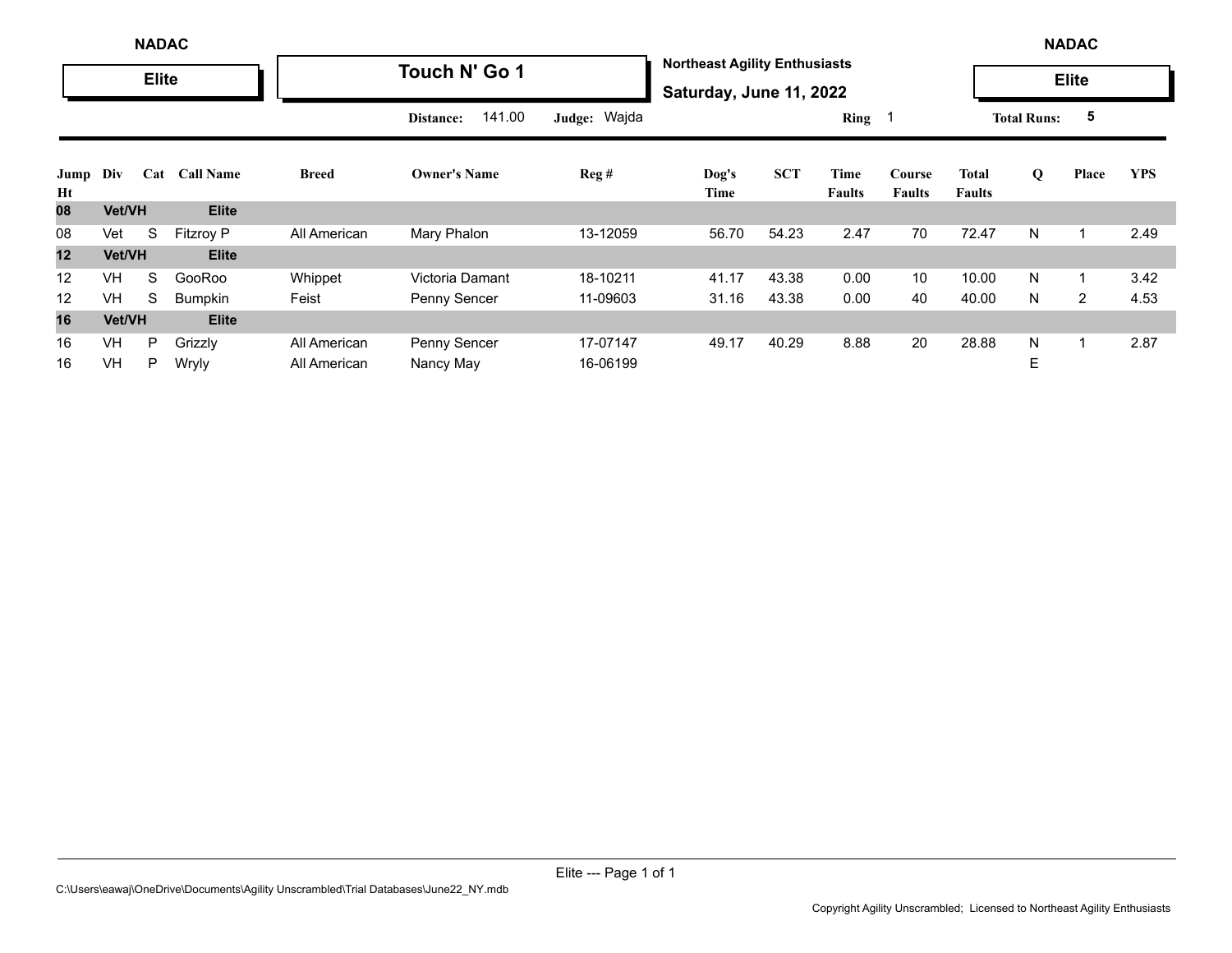|            | <b>NADAC</b>  |              |                  |              |                     |              |                                                                 |            |                |                         |                        | <b>NADAC</b>       |                |            |
|------------|---------------|--------------|------------------|--------------|---------------------|--------------|-----------------------------------------------------------------|------------|----------------|-------------------------|------------------------|--------------------|----------------|------------|
|            |               | <b>Elite</b> |                  |              | Touch N' Go 1       |              | <b>Northeast Agility Enthusiasts</b><br>Saturday, June 11, 2022 |            |                |                         |                        |                    | <b>Elite</b>   |            |
|            |               |              |                  |              | 141.00<br>Distance: | Judge: Wajda |                                                                 |            | Ring 1         |                         |                        | <b>Total Runs:</b> | 5              |            |
| Jump<br>Ht | Div           | Cat          | <b>Call Name</b> | <b>Breed</b> | <b>Owner's Name</b> | Reg#         | Dog's<br>Time                                                   | <b>SCT</b> | Time<br>Faults | Course<br><b>Faults</b> | Total<br><b>Faults</b> | Q                  | Place          | <b>YPS</b> |
| 08         | <b>Vet/VH</b> |              | <b>Elite</b>     |              |                     |              |                                                                 |            |                |                         |                        |                    |                |            |
| 08         | Vet           | S            | <b>Fitzroy P</b> | All American | Mary Phalon         | 13-12059     | 56.70                                                           | 54.23      | 2.47           | 70                      | 72.47                  | N                  |                | 2.49       |
| 12         | <b>Vet/VH</b> |              | <b>Elite</b>     |              |                     |              |                                                                 |            |                |                         |                        |                    |                |            |
| 12         | <b>VH</b>     | S            | GooRoo           | Whippet      | Victoria Damant     | 18-10211     | 41.17                                                           | 43.38      | 0.00           | 10                      | 10.00                  | N                  |                | 3.42       |
| 12         | <b>VH</b>     | S            | <b>Bumpkin</b>   | Feist        | Penny Sencer        | 11-09603     | 31.16                                                           | 43.38      | 0.00           | 40                      | 40.00                  | N                  | $\overline{2}$ | 4.53       |
| 16         | <b>Vet/VH</b> |              | <b>Elite</b>     |              |                     |              |                                                                 |            |                |                         |                        |                    |                |            |
| 16         | VH            | P            | Grizzly          | All American | Penny Sencer        | 17-07147     | 49.17                                                           | 40.29      | 8.88           | 20                      | 28.88                  | N                  |                | 2.87       |
| 16         | VH            | P            | Wryly            | All American | Nancy May           | 16-06199     |                                                                 |            |                |                         |                        | E                  |                |            |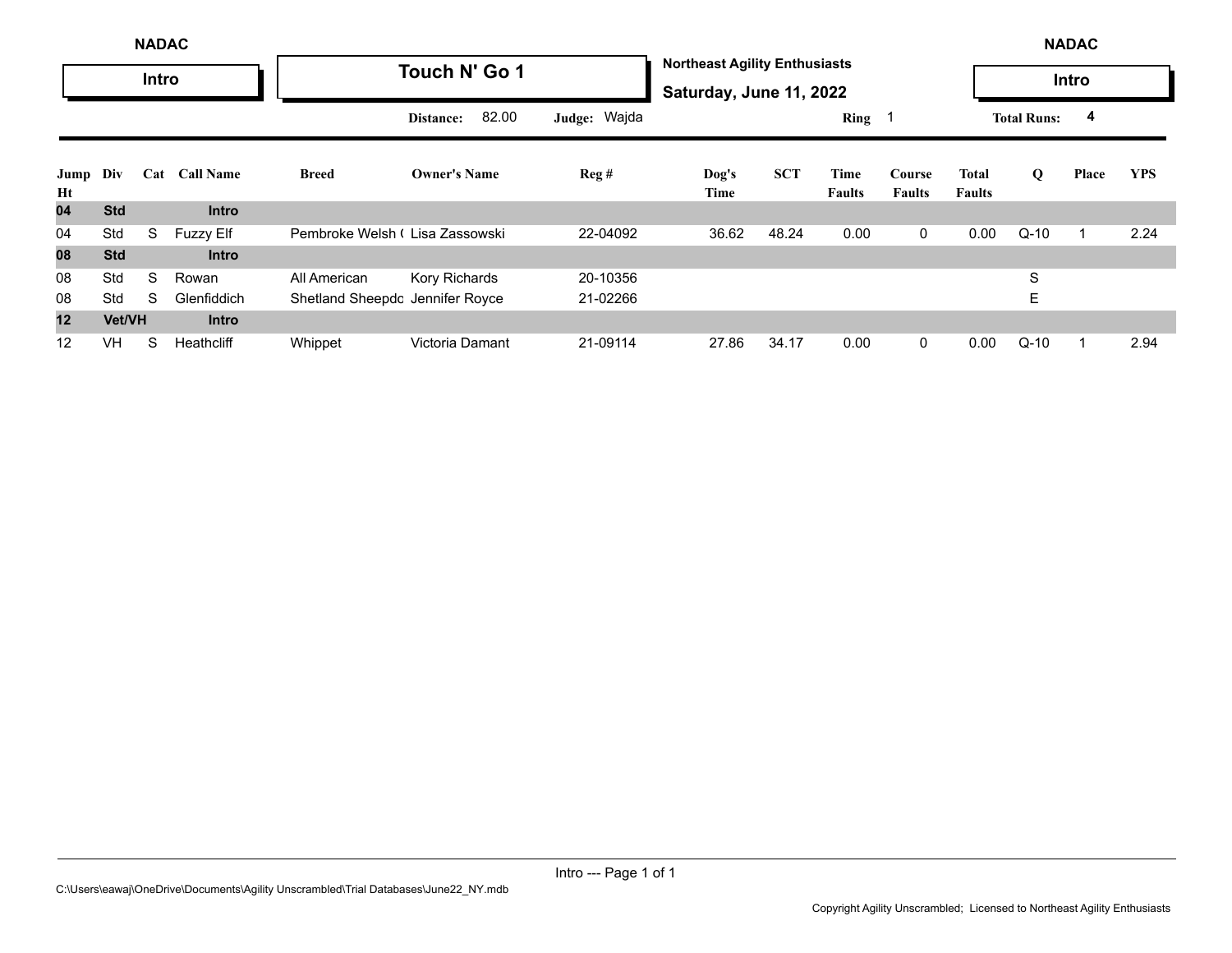|            | <b>NADAC</b> |       |                  |                                 |                     |              |                                                                 |            |                       |                         |                        | <b>NADAC</b>       |       |            |
|------------|--------------|-------|------------------|---------------------------------|---------------------|--------------|-----------------------------------------------------------------|------------|-----------------------|-------------------------|------------------------|--------------------|-------|------------|
|            |              | Intro |                  |                                 | Touch N' Go 1       |              | <b>Northeast Agility Enthusiasts</b><br>Saturday, June 11, 2022 |            |                       |                         |                        |                    | Intro |            |
|            |              |       |                  |                                 | 82.00<br>Distance:  | Judge: Wajda |                                                                 |            | Ring 1                |                         |                        | <b>Total Runs:</b> | 4     |            |
| Jump<br>Ht | Div          | Cat   | <b>Call Name</b> | <b>Breed</b>                    | <b>Owner's Name</b> | Reg#         | Dog's<br>Time                                                   | <b>SCT</b> | Time<br><b>Faults</b> | Course<br><b>Faults</b> | Total<br><b>Faults</b> | Q                  | Place | <b>YPS</b> |
| 04         | <b>Std</b>   |       | <b>Intro</b>     |                                 |                     |              |                                                                 |            |                       |                         |                        |                    |       |            |
| 04         | Std          | S     | <b>Fuzzy Elf</b> | Pembroke Welsh (Lisa Zassowski  |                     | 22-04092     | 36.62                                                           | 48.24      | 0.00                  | $\mathbf 0$             | 0.00                   | $Q-10$             |       | 2.24       |
| 08         | <b>Std</b>   |       | <b>Intro</b>     |                                 |                     |              |                                                                 |            |                       |                         |                        |                    |       |            |
| 08         | Std          | S     | Rowan            | All American                    | Kory Richards       | 20-10356     |                                                                 |            |                       |                         |                        | S                  |       |            |
| 08         | Std          | S     | Glenfiddich      | Shetland Sheepdc Jennifer Royce |                     | 21-02266     |                                                                 |            |                       |                         |                        | E                  |       |            |
| 12         | Vet/VH       |       | <b>Intro</b>     |                                 |                     |              |                                                                 |            |                       |                         |                        |                    |       |            |
| 12         | <b>VH</b>    | S     | Heathcliff       | Whippet                         | Victoria Damant     | 21-09114     | 27.86                                                           | 34.17      | 0.00                  | $\mathbf 0$             | 0.00                   | $Q-10$             |       | 2.94       |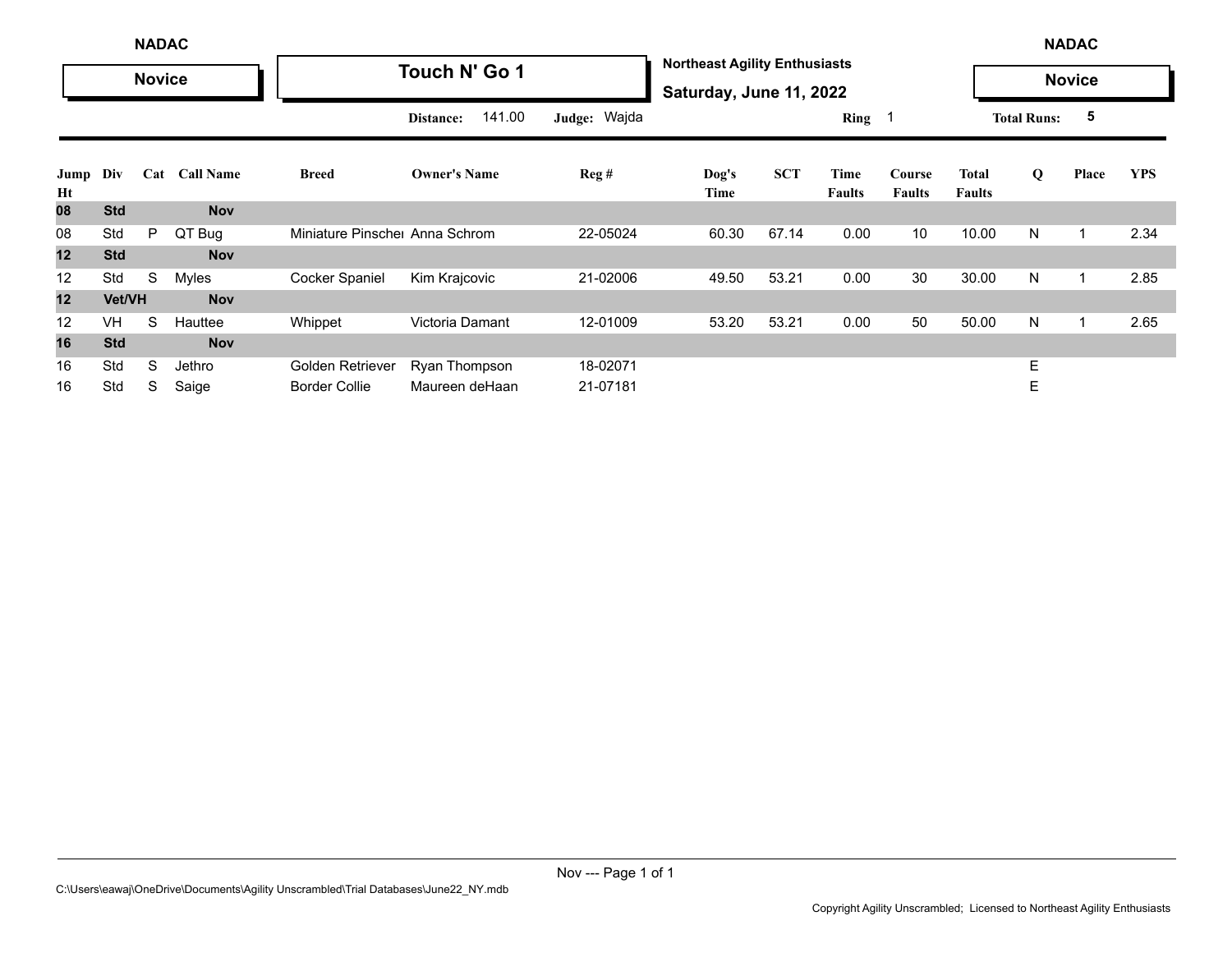|            | <b>NADAC</b> |               |                  |                               |                     |              |                                                                 |            |                       |                         |                               |                    | <b>NADAC</b>  |            |
|------------|--------------|---------------|------------------|-------------------------------|---------------------|--------------|-----------------------------------------------------------------|------------|-----------------------|-------------------------|-------------------------------|--------------------|---------------|------------|
|            |              | <b>Novice</b> |                  |                               | Touch N' Go 1       |              | <b>Northeast Agility Enthusiasts</b><br>Saturday, June 11, 2022 |            |                       |                         |                               |                    | <b>Novice</b> |            |
|            |              |               |                  |                               | 141.00<br>Distance: | Judge: Wajda |                                                                 |            | Ring                  | - 1                     |                               | <b>Total Runs:</b> | 5             |            |
| Jump<br>Ht | Div          | Cat           | <b>Call Name</b> | <b>Breed</b>                  | <b>Owner's Name</b> | Reg#         | Dog's<br>Time                                                   | <b>SCT</b> | Time<br><b>Faults</b> | Course<br><b>Faults</b> | <b>Total</b><br><b>Faults</b> | Q                  | Place         | <b>YPS</b> |
| 80         | <b>Std</b>   |               | <b>Nov</b>       |                               |                     |              |                                                                 |            |                       |                         |                               |                    |               |            |
| 08         | Std          | P             | QT Bug           | Miniature Pinsche Anna Schrom |                     | 22-05024     | 60.30                                                           | 67.14      | 0.00                  | 10                      | 10.00                         | N                  | $\mathbf 1$   | 2.34       |
| 12         | <b>Std</b>   |               | <b>Nov</b>       |                               |                     |              |                                                                 |            |                       |                         |                               |                    |               |            |
| 12         | Std          | S             | Myles            | <b>Cocker Spaniel</b>         | Kim Krajcovic       | 21-02006     | 49.50                                                           | 53.21      | 0.00                  | 30                      | 30.00                         | N                  | -1            | 2.85       |
| 12         | Vet/VH       |               | <b>Nov</b>       |                               |                     |              |                                                                 |            |                       |                         |                               |                    |               |            |
| 12         | <b>VH</b>    | S             | Hauttee          | Whippet                       | Victoria Damant     | 12-01009     | 53.20                                                           | 53.21      | 0.00                  | 50                      | 50.00                         | N                  |               | 2.65       |
| 16         | <b>Std</b>   |               | <b>Nov</b>       |                               |                     |              |                                                                 |            |                       |                         |                               |                    |               |            |
| 16         | Std          | S             | Jethro           | Golden Retriever              | Ryan Thompson       | 18-02071     |                                                                 |            |                       |                         |                               | E                  |               |            |
| 16         | Std          | S             | Saige            | <b>Border Collie</b>          | Maureen deHaan      | 21-07181     |                                                                 |            |                       |                         |                               | Е                  |               |            |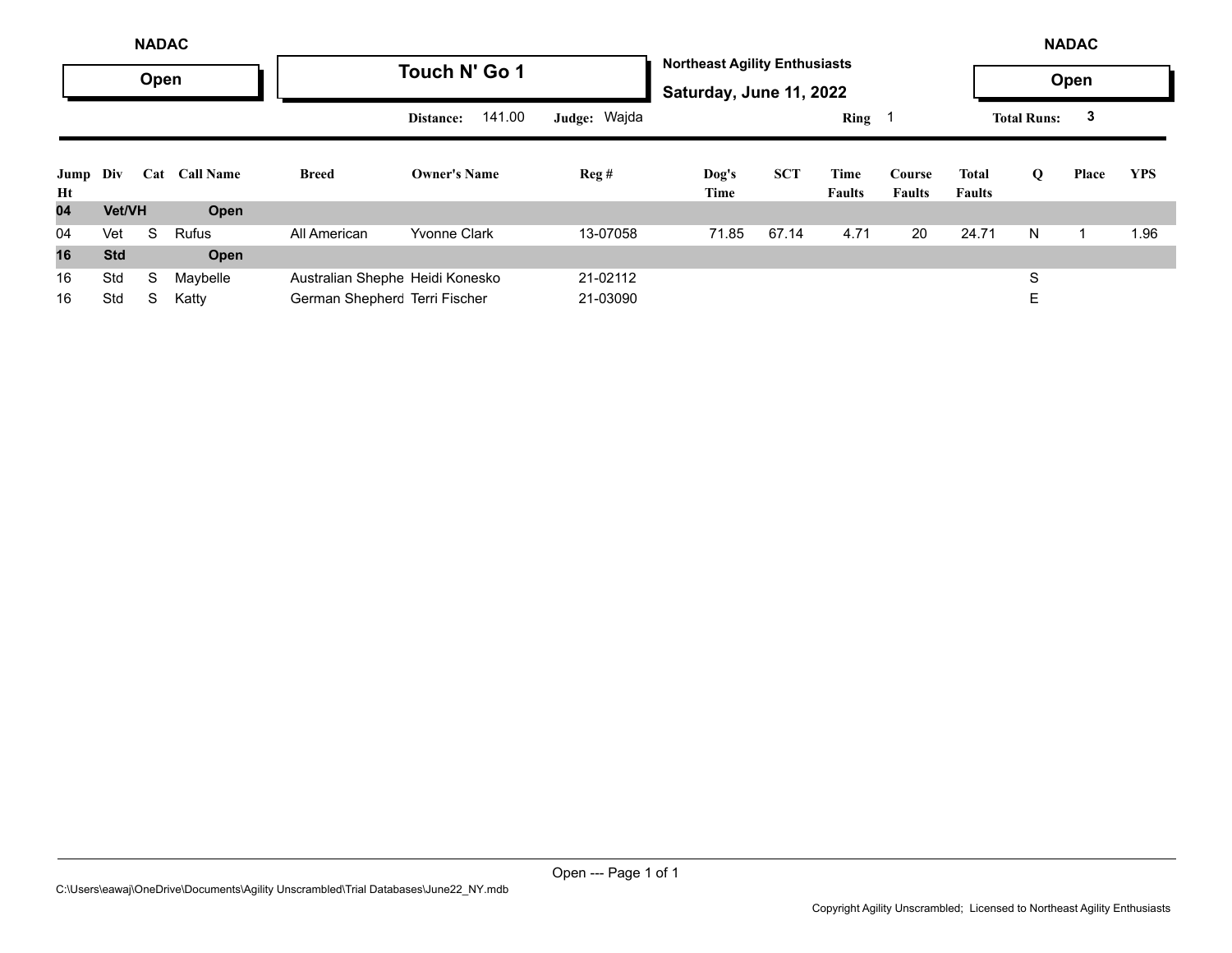|                |            | <b>NADAC</b> |                  |                                 |                     |                  |                                                                 |            |                       |                         |                               |                    | <b>NADAC</b> |            |
|----------------|------------|--------------|------------------|---------------------------------|---------------------|------------------|-----------------------------------------------------------------|------------|-----------------------|-------------------------|-------------------------------|--------------------|--------------|------------|
|                |            | Open         |                  |                                 | Touch N' Go 1       |                  | <b>Northeast Agility Enthusiasts</b><br>Saturday, June 11, 2022 |            |                       |                         |                               |                    | Open         |            |
|                |            |              |                  |                                 | 141.00<br>Distance: | Judge: Wajda     |                                                                 |            | $Ring \t1$            |                         |                               | <b>Total Runs:</b> | 3            |            |
| Jump Div<br>Ht |            | Cat          | <b>Call Name</b> | <b>Breed</b>                    | <b>Owner's Name</b> | $\text{Reg } \#$ | Dog's<br>Time                                                   | <b>SCT</b> | Time<br><b>Faults</b> | Course<br><b>Faults</b> | <b>Total</b><br><b>Faults</b> | Q                  | Place        | <b>YPS</b> |
| 04             | Vet/VH     |              | Open             |                                 |                     |                  |                                                                 |            |                       |                         |                               |                    |              |            |
| 04             | Vet        | S.           | <b>Rufus</b>     | All American                    | <b>Yvonne Clark</b> | 13-07058         | 71.85                                                           | 67.14      | 4.71                  | 20                      | 24.71                         | N.                 |              | 1.96       |
| 16             | <b>Std</b> |              | Open             |                                 |                     |                  |                                                                 |            |                       |                         |                               |                    |              |            |
| 16             | Std        | S            | Maybelle         | Australian Shephe Heidi Konesko |                     | 21-02112         |                                                                 |            |                       |                         |                               | S                  |              |            |
| 16             | Std        | S            | Katty            | German Shepherc Terri Fischer   |                     | 21-03090         |                                                                 |            |                       |                         |                               | Е                  |              |            |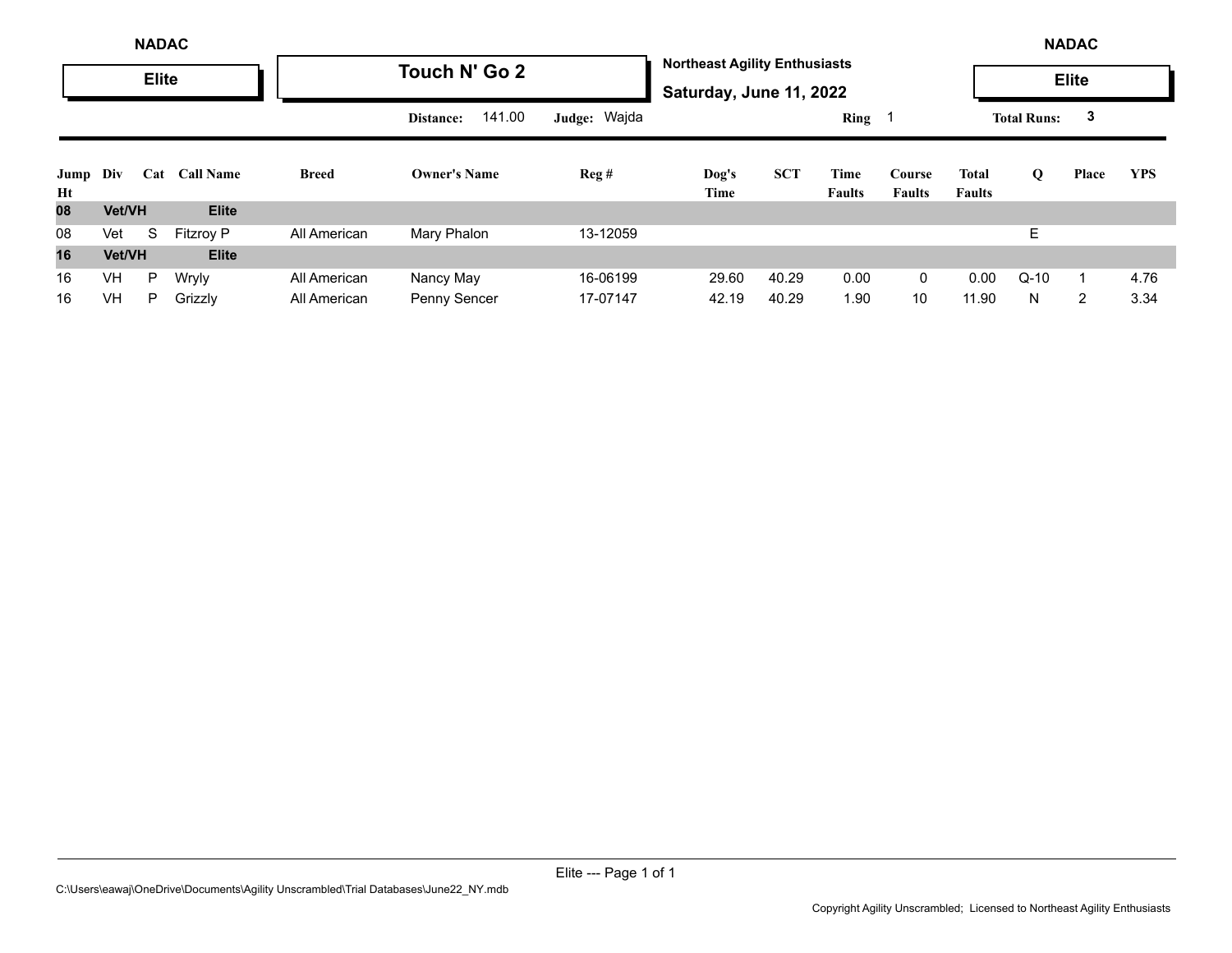|                | <b>NADAC</b> |              |                  |              |                     |              |                                                                 |            |                       |                         |                        | <b>NADAC</b>       |              |            |
|----------------|--------------|--------------|------------------|--------------|---------------------|--------------|-----------------------------------------------------------------|------------|-----------------------|-------------------------|------------------------|--------------------|--------------|------------|
|                |              | <b>Elite</b> |                  |              | Touch N' Go 2       |              | <b>Northeast Agility Enthusiasts</b><br>Saturday, June 11, 2022 |            |                       |                         |                        |                    | <b>Elite</b> |            |
|                |              |              |                  |              | 141.00<br>Distance: | Judge: Wajda |                                                                 |            | Ring <sub>1</sub>     |                         |                        | <b>Total Runs:</b> | 3            |            |
| Jump Div<br>Ht |              | Cat          | <b>Call Name</b> | <b>Breed</b> | <b>Owner's Name</b> | Reg#         | Dog's<br>Time                                                   | <b>SCT</b> | Time<br><b>Faults</b> | Course<br><b>Faults</b> | Total<br><b>Faults</b> | Q                  | Place        | <b>YPS</b> |
| 08             | Vet/VH       |              | <b>Elite</b>     |              |                     |              |                                                                 |            |                       |                         |                        |                    |              |            |
| 08             | Vet          | S            | <b>Fitzroy P</b> | All American | Mary Phalon         | 13-12059     |                                                                 |            |                       |                         |                        | Е                  |              |            |
| 16             | Vet/VH       |              | <b>Elite</b>     |              |                     |              |                                                                 |            |                       |                         |                        |                    |              |            |
| 16             | <b>VH</b>    | P            | Wryly            | All American | Nancy May           | 16-06199     | 29.60                                                           | 40.29      | 0.00                  | 0                       | 0.00                   | $Q-10$             |              | 4.76       |
| 16             | <b>VH</b>    | P.           | Grizzly          | All American | Penny Sencer        | 17-07147     | 42.19                                                           | 40.29      | 1.90                  | 10                      | 11.90                  | N                  | 2            | 3.34       |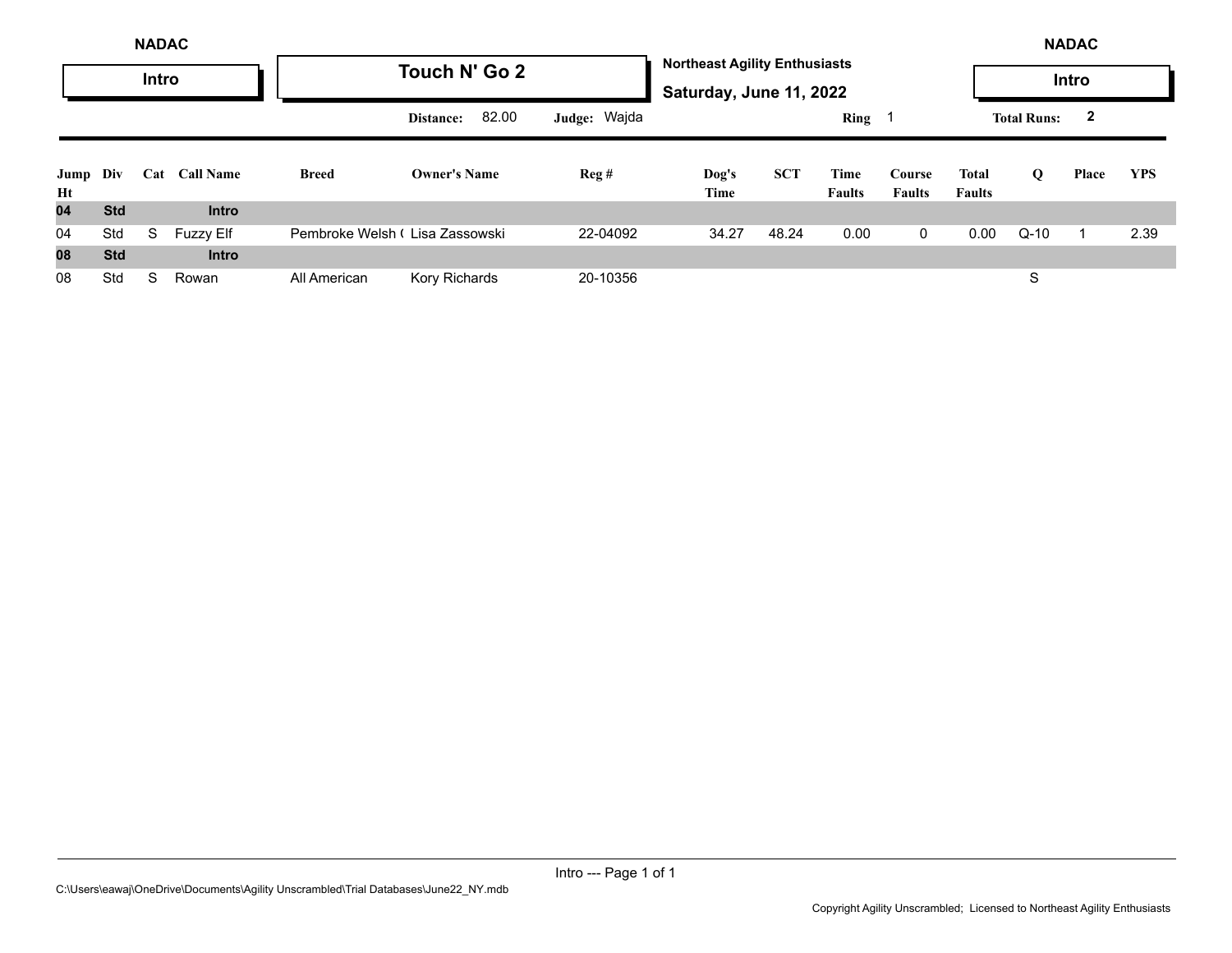|                |            | <b>NADAC</b> |                  |                                |                     |              |                                                                 |            |                       |                         |                        |                    | <b>NADAC</b> |            |
|----------------|------------|--------------|------------------|--------------------------------|---------------------|--------------|-----------------------------------------------------------------|------------|-----------------------|-------------------------|------------------------|--------------------|--------------|------------|
|                |            | Intro        |                  |                                | Touch N' Go 2       |              | <b>Northeast Agility Enthusiasts</b><br>Saturday, June 11, 2022 |            |                       |                         |                        |                    | Intro        |            |
|                |            |              |                  |                                | 82.00<br>Distance:  | Judge: Wajda |                                                                 |            | Ring 1                |                         |                        | <b>Total Runs:</b> | $\mathbf{2}$ |            |
| Jump Div<br>Ht |            | Cat          | <b>Call Name</b> | <b>Breed</b>                   | <b>Owner's Name</b> | Reg#         | Dog's<br>Time                                                   | <b>SCT</b> | Time<br><b>Faults</b> | Course<br><b>Faults</b> | Total<br><b>Faults</b> | Q                  | Place        | <b>YPS</b> |
| 04             | <b>Std</b> |              | <b>Intro</b>     |                                |                     |              |                                                                 |            |                       |                         |                        |                    |              |            |
| 04             | Std        | S            | <b>Fuzzy Elf</b> | Pembroke Welsh (Lisa Zassowski |                     | 22-04092     | 34.27                                                           | 48.24      | 0.00                  | 0                       | 0.00                   | $Q-10$             |              | 2.39       |
| 08             | <b>Std</b> |              | <b>Intro</b>     |                                |                     |              |                                                                 |            |                       |                         |                        |                    |              |            |
| 08             | Std        | S            | Rowan            | All American                   | Kory Richards       | 20-10356     |                                                                 |            |                       |                         |                        | S                  |              |            |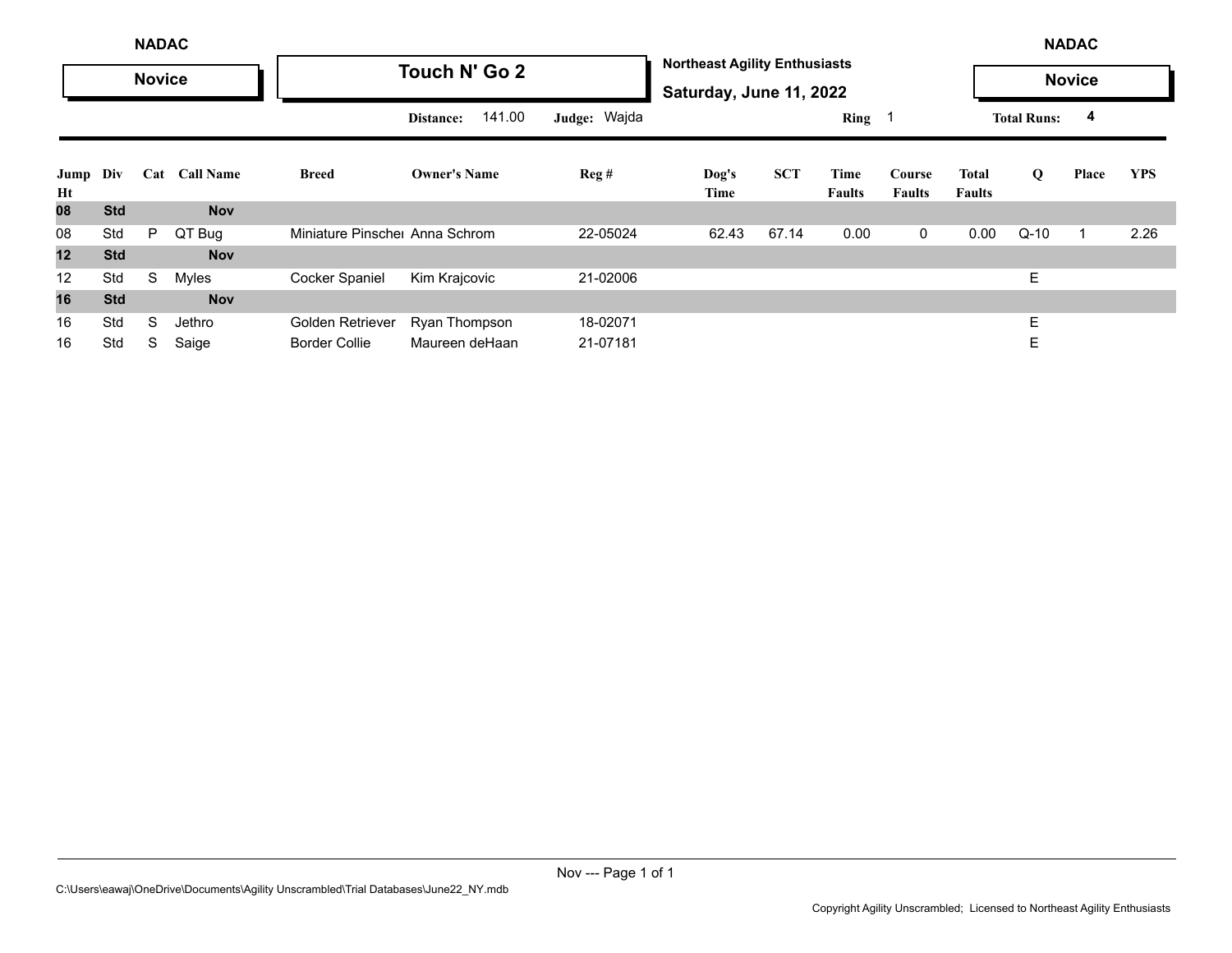|            |            | <b>NADAC</b>  |                  |                               |                     |              |                                                                 |            |                       |                         |                               |                    | <b>NADAC</b>  |            |
|------------|------------|---------------|------------------|-------------------------------|---------------------|--------------|-----------------------------------------------------------------|------------|-----------------------|-------------------------|-------------------------------|--------------------|---------------|------------|
|            |            | <b>Novice</b> |                  |                               | Touch N' Go 2       |              | <b>Northeast Agility Enthusiasts</b><br>Saturday, June 11, 2022 |            |                       |                         |                               |                    | <b>Novice</b> |            |
|            |            |               |                  |                               | 141.00<br>Distance: | Judge: Wajda |                                                                 |            | Ring <sub>1</sub>     |                         |                               | <b>Total Runs:</b> | 4             |            |
| Jump<br>Ht | Div        | Cat           | <b>Call Name</b> | <b>Breed</b>                  | <b>Owner's Name</b> | Reg#         | Dog's<br>Time                                                   | <b>SCT</b> | Time<br><b>Faults</b> | Course<br><b>Faults</b> | <b>Total</b><br><b>Faults</b> | Q                  | Place         | <b>YPS</b> |
| 80         | <b>Std</b> |               | <b>Nov</b>       |                               |                     |              |                                                                 |            |                       |                         |                               |                    |               |            |
| 08         | Std        | P             | QT Bug           | Miniature Pinsche Anna Schrom |                     | 22-05024     | 62.43                                                           | 67.14      | 0.00                  | $\overline{0}$          | 0.00                          | $Q-10$             | 1             | 2.26       |
| 12         | <b>Std</b> |               | <b>Nov</b>       |                               |                     |              |                                                                 |            |                       |                         |                               |                    |               |            |
| 12         | Std        | S             | Myles            | Cocker Spaniel                | Kim Krajcovic       | 21-02006     |                                                                 |            |                       |                         |                               | E                  |               |            |
| 16         | <b>Std</b> |               | <b>Nov</b>       |                               |                     |              |                                                                 |            |                       |                         |                               |                    |               |            |
| 16         | Std        | S             | Jethro           | Golden Retriever              | Ryan Thompson       | 18-02071     |                                                                 |            |                       |                         |                               | E                  |               |            |
| 16         | Std        | S             | Saige            | <b>Border Collie</b>          | Maureen deHaan      | 21-07181     |                                                                 |            |                       |                         |                               | Е                  |               |            |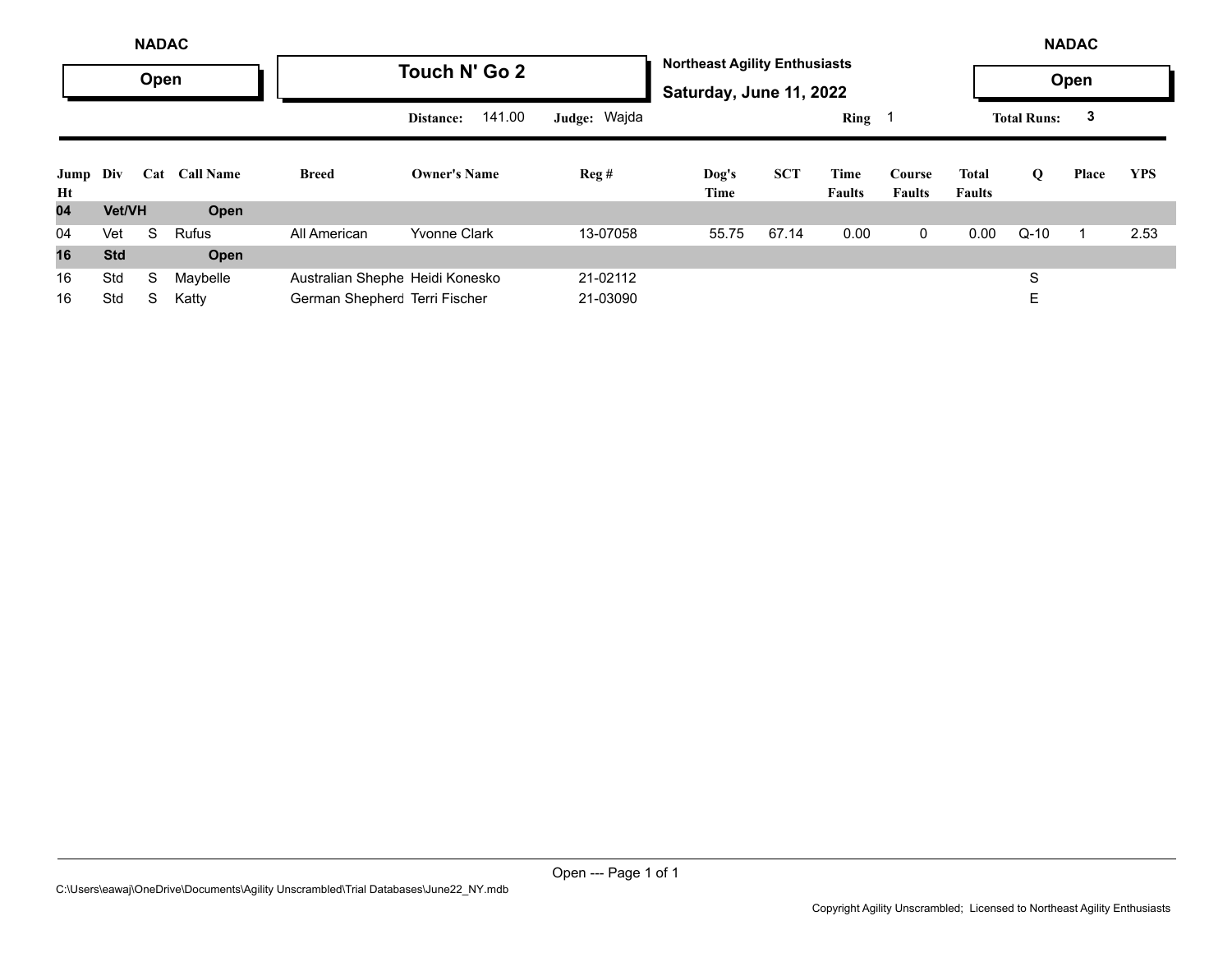|                | <b>NADAC</b> |      |                  |                                 |                     |              |                                                                 |            |                       |                         |                        |                    | <b>NADAC</b> |            |
|----------------|--------------|------|------------------|---------------------------------|---------------------|--------------|-----------------------------------------------------------------|------------|-----------------------|-------------------------|------------------------|--------------------|--------------|------------|
|                |              | Open |                  |                                 | Touch N' Go 2       |              | <b>Northeast Agility Enthusiasts</b><br>Saturday, June 11, 2022 |            |                       |                         |                        |                    | Open         |            |
|                |              |      |                  |                                 | 141.00<br>Distance: | Judge: Wajda |                                                                 |            | Ring 1                |                         |                        | <b>Total Runs:</b> | 3            |            |
| Jump Div<br>Ht |              | Cat  | <b>Call Name</b> | <b>Breed</b>                    | <b>Owner's Name</b> | Reg#         | Dog's<br>Time                                                   | <b>SCT</b> | Time<br><b>Faults</b> | Course<br><b>Faults</b> | Total<br><b>Faults</b> | Q                  | Place        | <b>YPS</b> |
| 04             | Vet/VH       |      | Open             |                                 |                     |              |                                                                 |            |                       |                         |                        |                    |              |            |
| 04             | Vet          | S.   | <b>Rufus</b>     | All American                    | <b>Yvonne Clark</b> | 13-07058     | 55.75                                                           | 67.14      | 0.00                  | $\mathbf{0}$            | 0.00                   | $Q-10$             |              | 2.53       |
| 16             | <b>Std</b>   |      | Open             |                                 |                     |              |                                                                 |            |                       |                         |                        |                    |              |            |
| 16             | Std          | S    | Maybelle         | Australian Shephe Heidi Konesko |                     | 21-02112     |                                                                 |            |                       |                         |                        | S                  |              |            |
| 16             | Std          | S    | Katty            | German Shepherc Terri Fischer   |                     | 21-03090     |                                                                 |            |                       |                         |                        | E                  |              |            |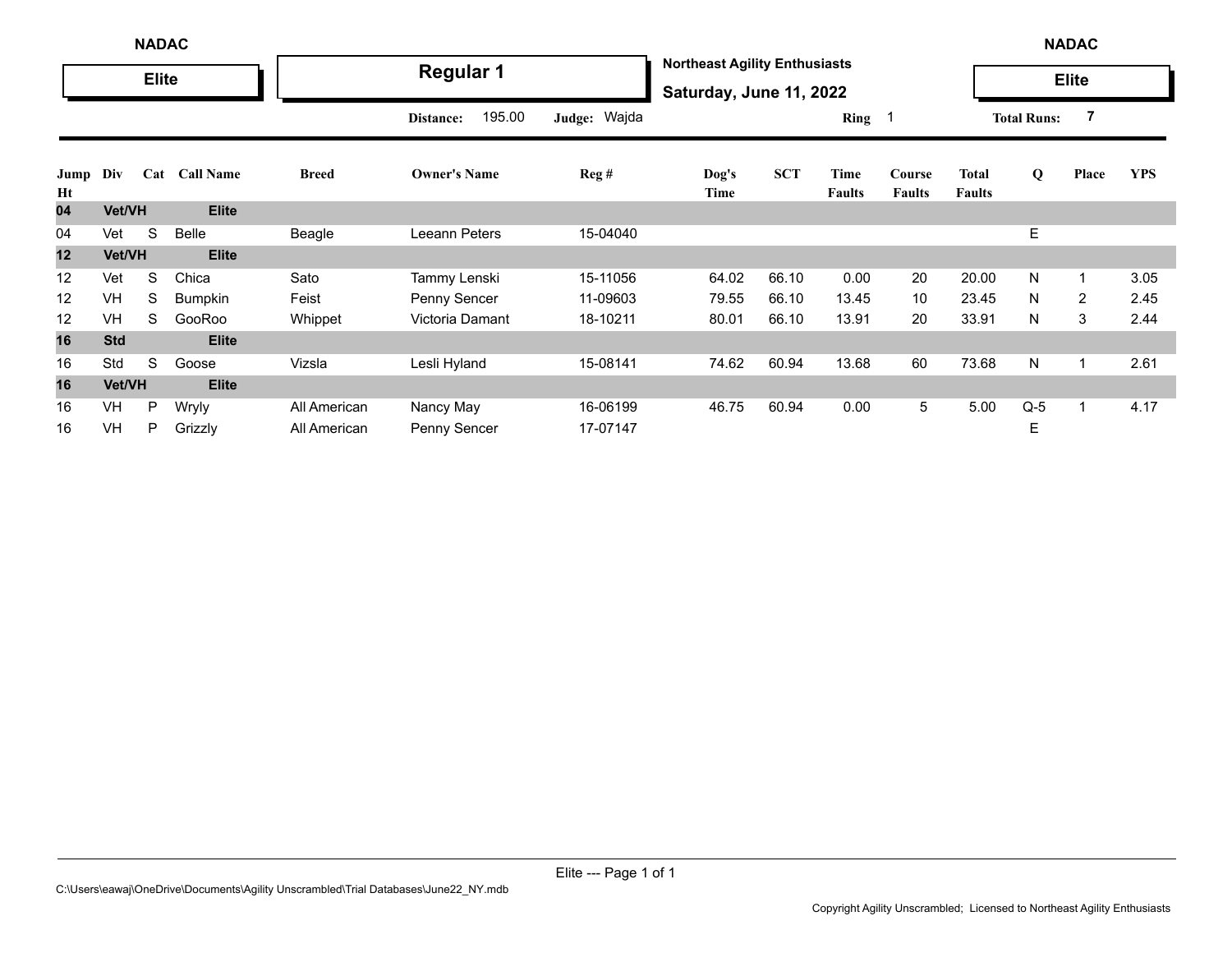|            | <b>NADAC</b> |              |                  |              |                     |              |                                                                 |            |                       |                         |                               | <b>NADAC</b>       |                |            |
|------------|--------------|--------------|------------------|--------------|---------------------|--------------|-----------------------------------------------------------------|------------|-----------------------|-------------------------|-------------------------------|--------------------|----------------|------------|
|            |              | <b>Elite</b> |                  |              | <b>Regular 1</b>    |              | <b>Northeast Agility Enthusiasts</b><br>Saturday, June 11, 2022 |            |                       |                         |                               |                    | <b>Elite</b>   |            |
|            |              |              |                  |              | 195.00<br>Distance: | Judge: Wajda |                                                                 |            | Ring 1                |                         |                               | <b>Total Runs:</b> | $\overline{7}$ |            |
| Jump<br>Ht | Div          | Cat          | <b>Call Name</b> | <b>Breed</b> | <b>Owner's Name</b> | Reg#         | Dog's<br>Time                                                   | <b>SCT</b> | Time<br><b>Faults</b> | Course<br><b>Faults</b> | <b>Total</b><br><b>Faults</b> | Q                  | Place          | <b>YPS</b> |
| 04         | Vet/VH       |              | <b>Elite</b>     |              |                     |              |                                                                 |            |                       |                         |                               |                    |                |            |
| 04         | Vet          | S            | Belle            | Beagle       | Leeann Peters       | 15-04040     |                                                                 |            |                       |                         |                               | E                  |                |            |
| 12         | Vet/VH       |              | <b>Elite</b>     |              |                     |              |                                                                 |            |                       |                         |                               |                    |                |            |
| 12         | Vet          | S            | Chica            | Sato         | Tammy Lenski        | 15-11056     | 64.02                                                           | 66.10      | 0.00                  | 20                      | 20.00                         | N                  | $\mathbf{1}$   | 3.05       |
| 12         | VH           | S            | <b>Bumpkin</b>   | Feist        | Penny Sencer        | 11-09603     | 79.55                                                           | 66.10      | 13.45                 | 10 <sup>°</sup>         | 23.45                         | N                  | 2              | 2.45       |
| 12         | VH           | S            | GooRoo           | Whippet      | Victoria Damant     | 18-10211     | 80.01                                                           | 66.10      | 13.91                 | 20                      | 33.91                         | N                  | 3              | 2.44       |
| 16         | <b>Std</b>   |              | <b>Elite</b>     |              |                     |              |                                                                 |            |                       |                         |                               |                    |                |            |
| 16         | Std          | S            | Goose            | Vizsla       | Lesli Hyland        | 15-08141     | 74.62                                                           | 60.94      | 13.68                 | 60                      | 73.68                         | N                  | $\mathbf{1}$   | 2.61       |
| 16         | Vet/VH       |              | <b>Elite</b>     |              |                     |              |                                                                 |            |                       |                         |                               |                    |                |            |
| 16         | VH           | P            | Wryly            | All American | Nancy May           | 16-06199     | 46.75                                                           | 60.94      | 0.00                  | 5                       | 5.00                          | $Q-5$              | $\mathbf 1$    | 4.17       |
| 16         | VH           | P            | Grizzly          | All American | Penny Sencer        | 17-07147     |                                                                 |            |                       |                         |                               | Е                  |                |            |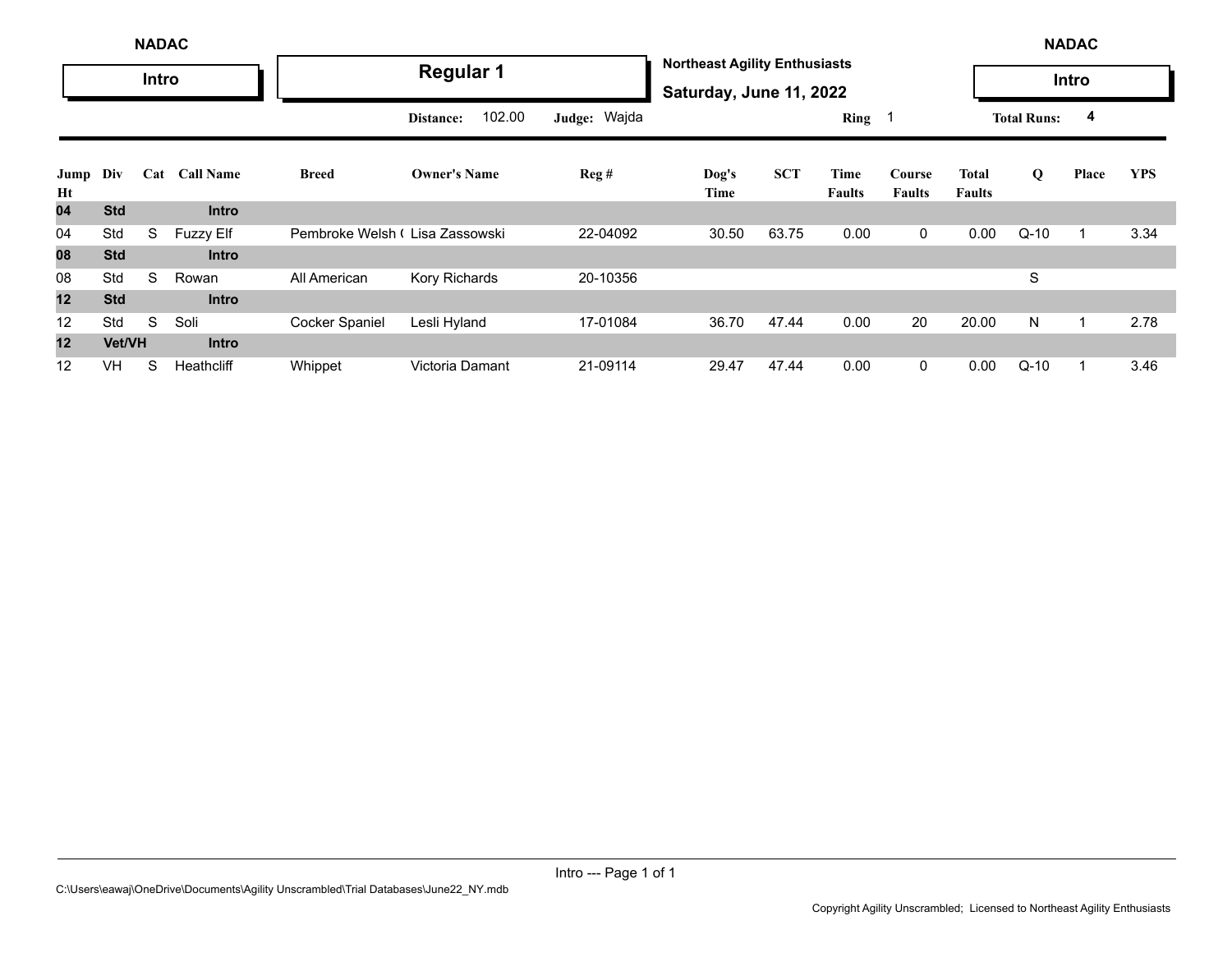|            | <b>NADAC</b>  |       |                  |                                |                     |              |                                                                 |            |                |                         |                               |                    | <b>NADAC</b> |            |
|------------|---------------|-------|------------------|--------------------------------|---------------------|--------------|-----------------------------------------------------------------|------------|----------------|-------------------------|-------------------------------|--------------------|--------------|------------|
|            |               | Intro |                  |                                | <b>Regular 1</b>    |              | <b>Northeast Agility Enthusiasts</b><br>Saturday, June 11, 2022 |            |                |                         |                               |                    | Intro        |            |
|            |               |       |                  |                                | 102.00<br>Distance: | Judge: Wajda |                                                                 |            | Ring 1         |                         |                               | <b>Total Runs:</b> | 4            |            |
| Jump<br>Ht | Div           | Cat   | <b>Call Name</b> | <b>Breed</b>                   | <b>Owner's Name</b> | Reg#         | Dog's<br>Time                                                   | <b>SCT</b> | Time<br>Faults | Course<br><b>Faults</b> | <b>Total</b><br><b>Faults</b> | Q                  | Place        | <b>YPS</b> |
| 04         | <b>Std</b>    |       | <b>Intro</b>     |                                |                     |              |                                                                 |            |                |                         |                               |                    |              |            |
| 04         | Std           | S     | <b>Fuzzy Elf</b> | Pembroke Welsh (Lisa Zassowski |                     | 22-04092     | 30.50                                                           | 63.75      | 0.00           | $\mathbf 0$             | 0.00                          | $Q-10$             |              | 3.34       |
| 08         | <b>Std</b>    |       | <b>Intro</b>     |                                |                     |              |                                                                 |            |                |                         |                               |                    |              |            |
| 08         | Std           | S     | Rowan            | All American                   | Kory Richards       | 20-10356     |                                                                 |            |                |                         |                               | S                  |              |            |
| 12         | <b>Std</b>    |       | <b>Intro</b>     |                                |                     |              |                                                                 |            |                |                         |                               |                    |              |            |
| 12         | Std           | S     | Soli             | Cocker Spaniel                 | Lesli Hyland        | 17-01084     | 36.70                                                           | 47.44      | 0.00           | 20                      | 20.00                         | N                  |              | 2.78       |
| 12         | <b>Vet/VH</b> |       | <b>Intro</b>     |                                |                     |              |                                                                 |            |                |                         |                               |                    |              |            |
| 12         | VH            | S     | Heathcliff       | Whippet                        | Victoria Damant     | 21-09114     | 29.47                                                           | 47.44      | 0.00           | $\mathbf 0$             | 0.00                          | $Q-10$             |              | 3.46       |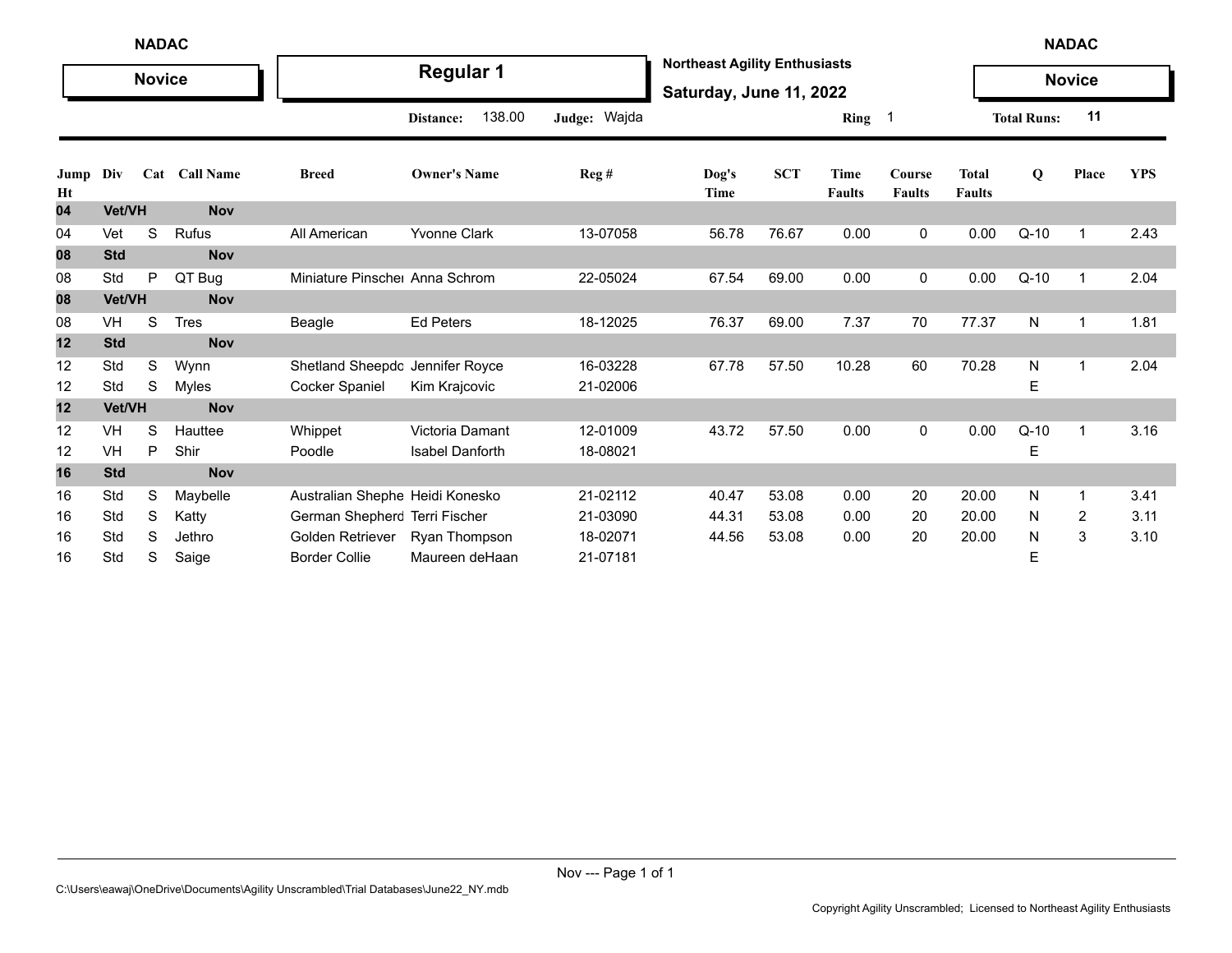|            | <b>NADAC</b><br><b>Novice</b> |   |               |                                 |                        |              |                                                                 |            |                              |                            |                               |                    | <b>NADAC</b>   |            |
|------------|-------------------------------|---|---------------|---------------------------------|------------------------|--------------|-----------------------------------------------------------------|------------|------------------------------|----------------------------|-------------------------------|--------------------|----------------|------------|
|            |                               |   |               |                                 | <b>Regular 1</b>       |              | <b>Northeast Agility Enthusiasts</b><br>Saturday, June 11, 2022 |            |                              |                            |                               |                    | <b>Novice</b>  |            |
|            |                               |   |               |                                 | 138.00<br>Distance:    | Judge: Wajda |                                                                 |            | Ring                         | $\overline{\phantom{0}}$ 1 |                               | <b>Total Runs:</b> | 11             |            |
| Jump<br>Ht | Div                           |   | Cat Call Name | <b>Breed</b>                    | <b>Owner's Name</b>    | Reg #        | Dog's<br>Time                                                   | <b>SCT</b> | <b>Time</b><br><b>Faults</b> | Course<br><b>Faults</b>    | <b>Total</b><br><b>Faults</b> | $\mathbf Q$        | Place          | <b>YPS</b> |
| 04         | Vet/VH                        |   | <b>Nov</b>    |                                 |                        |              |                                                                 |            |                              |                            |                               |                    |                |            |
| 04         | Vet                           | S | Rufus         | All American                    | <b>Yvonne Clark</b>    | 13-07058     | 56.78                                                           | 76.67      | 0.00                         | 0                          | 0.00                          | $Q-10$             | $\mathbf{1}$   | 2.43       |
| 08         | <b>Std</b>                    |   | <b>Nov</b>    |                                 |                        |              |                                                                 |            |                              |                            |                               |                    |                |            |
| 08         | Std                           | P | QT Bug        | Miniature Pinsche Anna Schrom   |                        | 22-05024     | 67.54                                                           | 69.00      | 0.00                         | 0                          | 0.00                          | $Q-10$             | $\mathbf{1}$   | 2.04       |
| 08         | Vet/VH                        |   | <b>Nov</b>    |                                 |                        |              |                                                                 |            |                              |                            |                               |                    |                |            |
| 08         | VH                            | S | <b>Tres</b>   | Beagle                          | <b>Ed Peters</b>       | 18-12025     | 76.37                                                           | 69.00      | 7.37                         | 70                         | 77.37                         | N                  | 1              | 1.81       |
| 12         | <b>Std</b>                    |   | <b>Nov</b>    |                                 |                        |              |                                                                 |            |                              |                            |                               |                    |                |            |
| 12         | Std                           | S | Wynn          | Shetland Sheepdc Jennifer Royce |                        | 16-03228     | 67.78                                                           | 57.50      | 10.28                        | 60                         | 70.28                         | N                  | 1              | 2.04       |
| 12         | Std                           | S | Myles         | Cocker Spaniel                  | Kim Krajcovic          | 21-02006     |                                                                 |            |                              |                            |                               | Е                  |                |            |
| 12         | Vet/VH                        |   | <b>Nov</b>    |                                 |                        |              |                                                                 |            |                              |                            |                               |                    |                |            |
| 12         | VH                            | S | Hauttee       | Whippet                         | Victoria Damant        | 12-01009     | 43.72                                                           | 57.50      | 0.00                         | 0                          | 0.00                          | $Q-10$             | 1              | 3.16       |
| 12         | VH                            | P | Shir          | Poodle                          | <b>Isabel Danforth</b> | 18-08021     |                                                                 |            |                              |                            |                               | Е                  |                |            |
| 16         | <b>Std</b>                    |   | <b>Nov</b>    |                                 |                        |              |                                                                 |            |                              |                            |                               |                    |                |            |
| 16         | Std                           | S | Maybelle      | Australian Shephe Heidi Konesko |                        | 21-02112     | 40.47                                                           | 53.08      | 0.00                         | 20                         | 20.00                         | N                  | 1              | 3.41       |
| 16         | Std                           | S | Katty         | German Shepherc Terri Fischer   |                        | 21-03090     | 44.31                                                           | 53.08      | 0.00                         | 20                         | 20.00                         | N                  | $\overline{2}$ | 3.11       |
| 16         | Std                           | S | Jethro        | Golden Retriever                | Ryan Thompson          | 18-02071     | 44.56                                                           | 53.08      | 0.00                         | 20                         | 20.00                         | N                  | 3              | 3.10       |
| 16         | Std                           | S | Saige         | <b>Border Collie</b>            | Maureen deHaan         | 21-07181     |                                                                 |            |                              |                            |                               | Ε                  |                |            |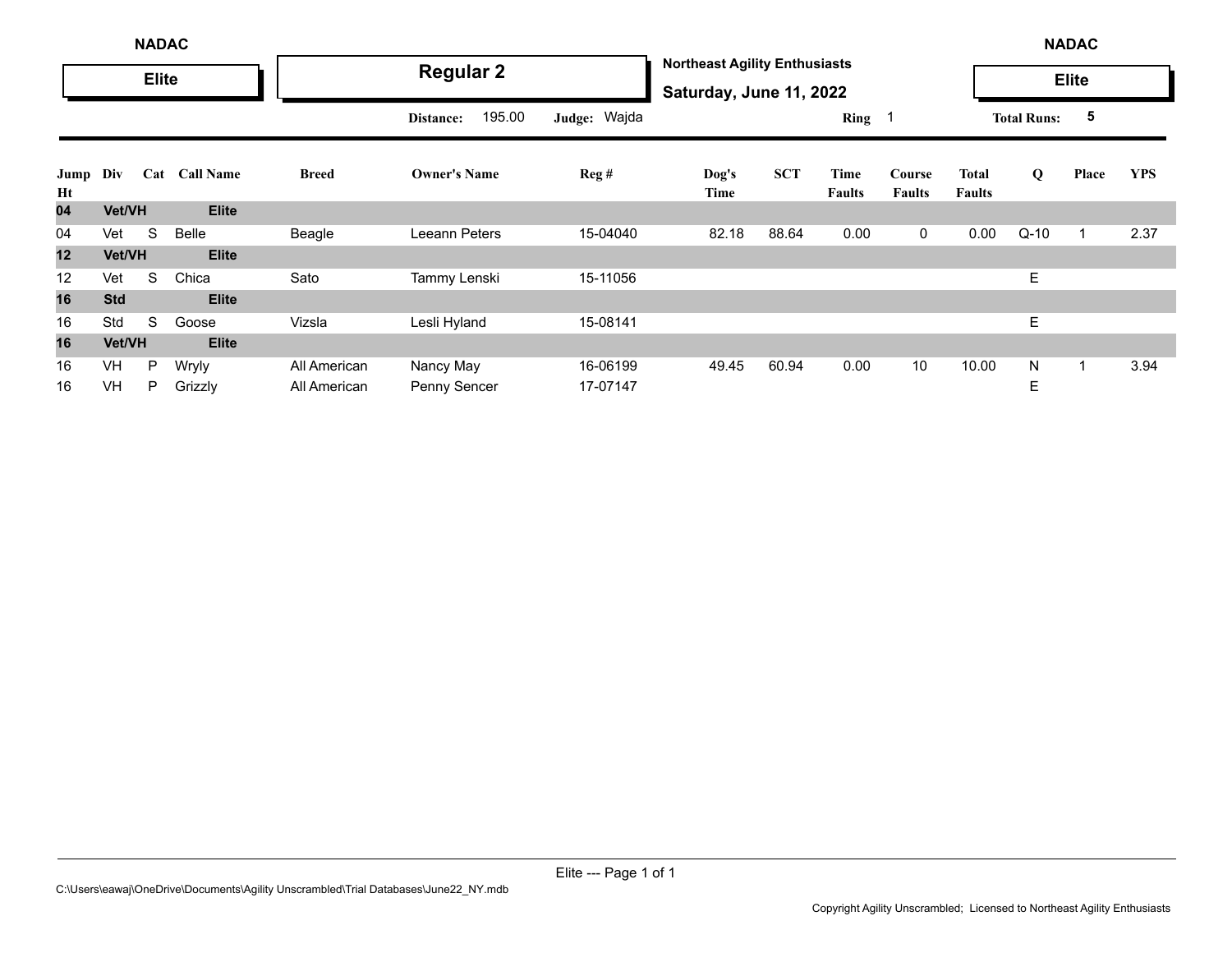|            | <b>NADAC</b> |              |                  |              |                     |              |                                                                 |            |                |                         |                        | <b>NADAC</b>       |              |            |
|------------|--------------|--------------|------------------|--------------|---------------------|--------------|-----------------------------------------------------------------|------------|----------------|-------------------------|------------------------|--------------------|--------------|------------|
|            |              | <b>Elite</b> |                  |              | <b>Regular 2</b>    |              | <b>Northeast Agility Enthusiasts</b><br>Saturday, June 11, 2022 |            |                |                         |                        |                    | <b>Elite</b> |            |
|            |              |              |                  |              | 195.00<br>Distance: | Judge: Wajda |                                                                 |            | Ring           |                         |                        | <b>Total Runs:</b> | 5            |            |
| Jump<br>Ht | Div          | Cat          | <b>Call Name</b> | <b>Breed</b> | <b>Owner's Name</b> | Reg#         | Dog's<br>Time                                                   | <b>SCT</b> | Time<br>Faults | Course<br><b>Faults</b> | Total<br><b>Faults</b> | Q                  | Place        | <b>YPS</b> |
| 04         | Vet/VH       |              | <b>Elite</b>     |              |                     |              |                                                                 |            |                |                         |                        |                    |              |            |
| 04         | Vet          | S            | Belle            | Beagle       | Leeann Peters       | 15-04040     | 82.18                                                           | 88.64      | 0.00           | $\mathbf 0$             | 0.00                   | $Q-10$             |              | 2.37       |
| 12         | Vet/VH       |              | <b>Elite</b>     |              |                     |              |                                                                 |            |                |                         |                        |                    |              |            |
| 12         | Vet          | S            | Chica            | Sato         | Tammy Lenski        | 15-11056     |                                                                 |            |                |                         |                        | E                  |              |            |
| 16         | <b>Std</b>   |              | <b>Elite</b>     |              |                     |              |                                                                 |            |                |                         |                        |                    |              |            |
| 16         | Std          | S            | Goose            | Vizsla       | Lesli Hyland        | 15-08141     |                                                                 |            |                |                         |                        | E.                 |              |            |
| 16         | Vet/VH       |              | <b>Elite</b>     |              |                     |              |                                                                 |            |                |                         |                        |                    |              |            |
| 16         | VH           | P            | Wryly            | All American | Nancy May           | 16-06199     | 49.45                                                           | 60.94      | 0.00           | 10                      | 10.00                  | N                  |              | 3.94       |
| 16         | VH           | P            | Grizzly          | All American | Penny Sencer        | 17-07147     |                                                                 |            |                |                         |                        | Е                  |              |            |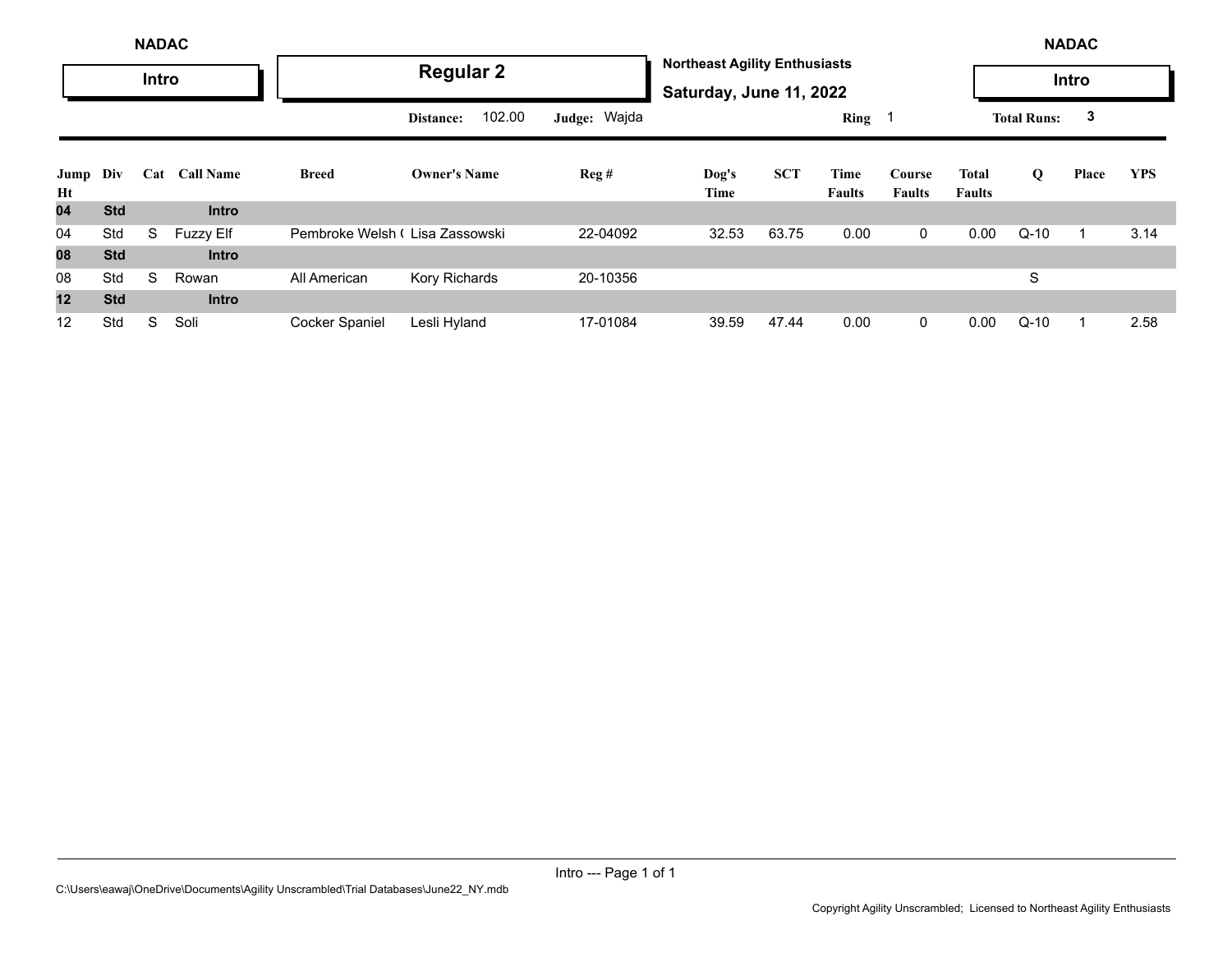|            |            | <b>NADAC</b> |                  |                                |                     |              |                                                                 |            |                       |                         |                        |                    | <b>NADAC</b> |            |
|------------|------------|--------------|------------------|--------------------------------|---------------------|--------------|-----------------------------------------------------------------|------------|-----------------------|-------------------------|------------------------|--------------------|--------------|------------|
|            |            | Intro        |                  |                                | <b>Regular 2</b>    |              | <b>Northeast Agility Enthusiasts</b><br>Saturday, June 11, 2022 |            |                       |                         |                        |                    | Intro        |            |
|            |            |              |                  |                                | 102.00<br>Distance: | Judge: Wajda |                                                                 |            | Ring 1                |                         |                        | <b>Total Runs:</b> | 3            |            |
| Jump<br>Ht | Div        | Cat          | <b>Call Name</b> | <b>Breed</b>                   | <b>Owner's Name</b> | Reg#         | Dog's<br>Time                                                   | <b>SCT</b> | Time<br><b>Faults</b> | Course<br><b>Faults</b> | Total<br><b>Faults</b> | Q                  | Place        | <b>YPS</b> |
| 04         | <b>Std</b> |              | <b>Intro</b>     |                                |                     |              |                                                                 |            |                       |                         |                        |                    |              |            |
| 04         | Std        | S            | <b>Fuzzy Elf</b> | Pembroke Welsh (Lisa Zassowski |                     | 22-04092     | 32.53                                                           | 63.75      | 0.00                  | $\mathbf 0$             | 0.00                   | $Q-10$             |              | 3.14       |
| 08         | <b>Std</b> |              | <b>Intro</b>     |                                |                     |              |                                                                 |            |                       |                         |                        |                    |              |            |
| 08         | Std        | S            | Rowan            | All American                   | Kory Richards       | 20-10356     |                                                                 |            |                       |                         |                        | S                  |              |            |
| 12         | <b>Std</b> |              | <b>Intro</b>     |                                |                     |              |                                                                 |            |                       |                         |                        |                    |              |            |
| 12         | Std        | S            | Soli             | Cocker Spaniel                 | Lesli Hyland        | 17-01084     | 39.59                                                           | 47.44      | 0.00                  | $\mathbf 0$             | 0.00                   | $Q-10$             |              | 2.58       |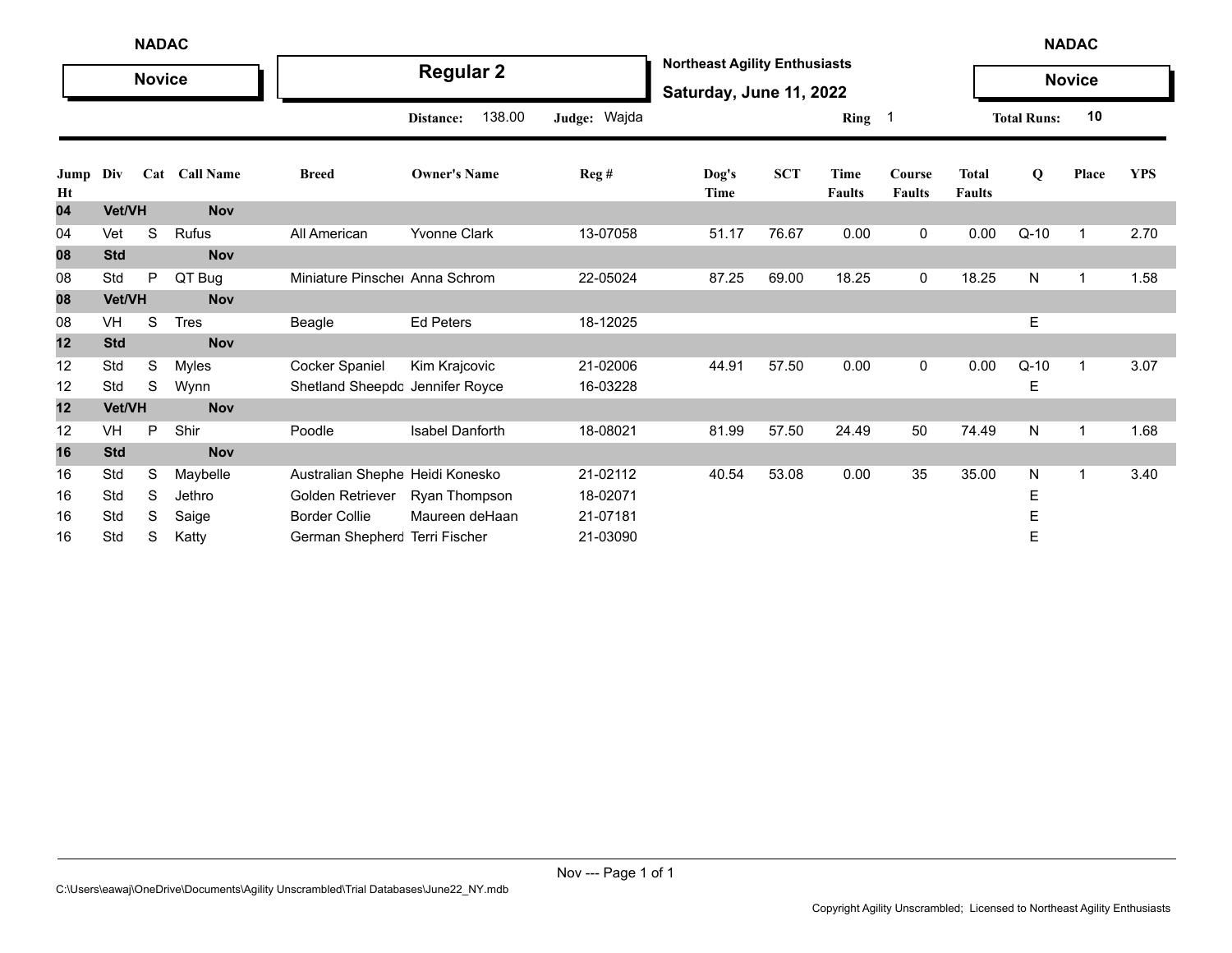|            | <b>NADAC</b> |               |               |                                 |                      |              |                                                                 |            |                       |                            |                               |                    | <b>NADAC</b>  |            |
|------------|--------------|---------------|---------------|---------------------------------|----------------------|--------------|-----------------------------------------------------------------|------------|-----------------------|----------------------------|-------------------------------|--------------------|---------------|------------|
|            |              | <b>Novice</b> |               |                                 | <b>Regular 2</b>     |              | <b>Northeast Agility Enthusiasts</b><br>Saturday, June 11, 2022 |            |                       |                            |                               |                    | <b>Novice</b> |            |
|            |              |               |               |                                 | 138.00<br>Distance:  | Judge: Wajda |                                                                 |            | Ring                  | $\overline{\phantom{0}}$ 1 |                               | <b>Total Runs:</b> | 10            |            |
| Jump<br>Ht | Div          |               | Cat Call Name | <b>Breed</b>                    | <b>Owner's Name</b>  | Reg#         | Dog's<br>Time                                                   | <b>SCT</b> | Time<br><b>Faults</b> | Course<br><b>Faults</b>    | <b>Total</b><br><b>Faults</b> | Q                  | Place         | <b>YPS</b> |
| 04         | Vet/VH       |               | <b>Nov</b>    |                                 |                      |              |                                                                 |            |                       |                            |                               |                    |               |            |
| 04         | Vet          | S             | Rufus         | All American                    | <b>Yvonne Clark</b>  | 13-07058     | 51.17                                                           | 76.67      | 0.00                  | 0                          | 0.00                          | $Q-10$             | $\mathbf 1$   | 2.70       |
| 08         | <b>Std</b>   |               | <b>Nov</b>    |                                 |                      |              |                                                                 |            |                       |                            |                               |                    |               |            |
| 08         | Std          | P             | QT Bug        | Miniature Pinsche Anna Schrom   |                      | 22-05024     | 87.25                                                           | 69.00      | 18.25                 | 0                          | 18.25                         | N                  | 1             | 1.58       |
| 08         | Vet/VH       |               | <b>Nov</b>    |                                 |                      |              |                                                                 |            |                       |                            |                               |                    |               |            |
| 08         | VH           | S             | <b>Tres</b>   | Beagle                          | <b>Ed Peters</b>     | 18-12025     |                                                                 |            |                       |                            |                               | Е                  |               |            |
| 12         | <b>Std</b>   |               | <b>Nov</b>    |                                 |                      |              |                                                                 |            |                       |                            |                               |                    |               |            |
| 12         | Std          | S             | <b>Myles</b>  | <b>Cocker Spaniel</b>           | Kim Krajcovic        | 21-02006     | 44.91                                                           | 57.50      | 0.00                  | 0                          | 0.00                          | $Q-10$             | $\mathbf{1}$  | 3.07       |
| 12         | Std          | S             | Wynn          | Shetland Sheepdc Jennifer Royce |                      | 16-03228     |                                                                 |            |                       |                            |                               | Е                  |               |            |
| 12         | Vet/VH       |               | <b>Nov</b>    |                                 |                      |              |                                                                 |            |                       |                            |                               |                    |               |            |
| 12         | VH           | P             | Shir          | Poodle                          | Isabel Danforth      | 18-08021     | 81.99                                                           | 57.50      | 24.49                 | 50                         | 74.49                         | N                  | $\mathbf 1$   | 1.68       |
| 16         | <b>Std</b>   |               | <b>Nov</b>    |                                 |                      |              |                                                                 |            |                       |                            |                               |                    |               |            |
| 16         | Std          | S             | Maybelle      | Australian Shephe Heidi Konesko |                      | 21-02112     | 40.54                                                           | 53.08      | 0.00                  | 35                         | 35.00                         | N                  | $\mathbf{1}$  | 3.40       |
| 16         | Std          | S             | Jethro        | Golden Retriever                | <b>Ryan Thompson</b> | 18-02071     |                                                                 |            |                       |                            |                               | E                  |               |            |
| 16         | Std          | S             | Saige         | <b>Border Collie</b>            | Maureen deHaan       | 21-07181     |                                                                 |            |                       |                            |                               | Е                  |               |            |
| 16         | Std          | S             | Katty         | German Shepherc Terri Fischer   |                      | 21-03090     |                                                                 |            |                       |                            |                               | E                  |               |            |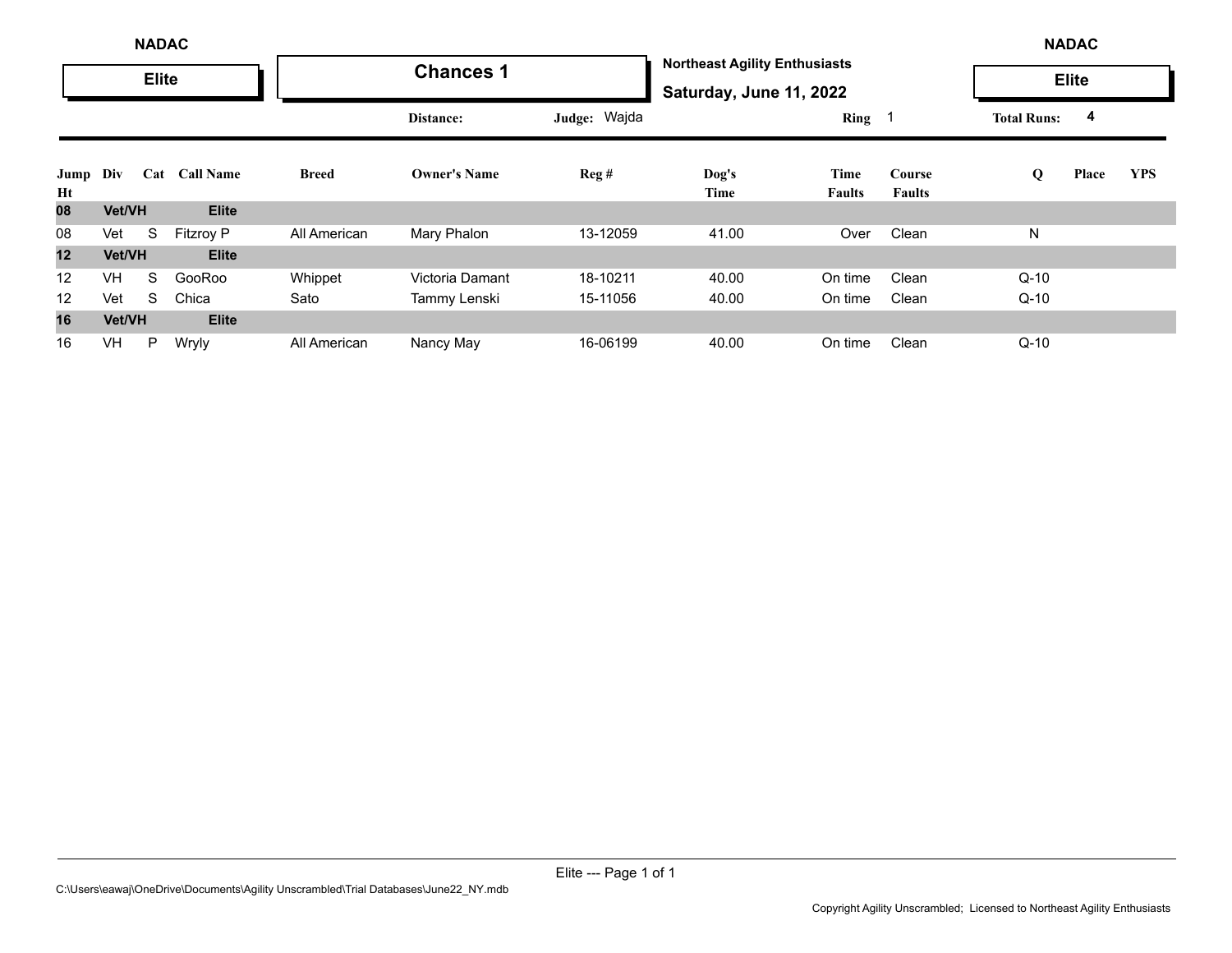|            |           | <b>NADAC</b> |                  |              |                     |              |                                                                 |                       |                                |                    | <b>NADAC</b> |            |
|------------|-----------|--------------|------------------|--------------|---------------------|--------------|-----------------------------------------------------------------|-----------------------|--------------------------------|--------------------|--------------|------------|
|            |           | <b>Elite</b> |                  |              | <b>Chances 1</b>    |              | <b>Northeast Agility Enthusiasts</b><br>Saturday, June 11, 2022 |                       |                                |                    | <b>Elite</b> |            |
|            |           |              |                  |              | Distance:           | Judge: Wajda |                                                                 | $Ring \t1$            |                                | <b>Total Runs:</b> | 4            |            |
| Jump<br>Ht | Div       | Cat          | <b>Call Name</b> | <b>Breed</b> | <b>Owner's Name</b> | Reg#         | Dog's<br>Time                                                   | Time<br><b>Faults</b> | <b>Course</b><br><b>Faults</b> | Q                  | Place        | <b>YPS</b> |
| 08         | Vet/VH    |              | <b>Elite</b>     |              |                     |              |                                                                 |                       |                                |                    |              |            |
| 08         | Vet       | S            | <b>Fitzroy P</b> | All American | Mary Phalon         | 13-12059     | 41.00                                                           | Over                  | Clean                          | N                  |              |            |
| 12         | Vet/VH    |              | <b>Elite</b>     |              |                     |              |                                                                 |                       |                                |                    |              |            |
| 12         | <b>VH</b> | S            | GooRoo           | Whippet      | Victoria Damant     | 18-10211     | 40.00                                                           | On time               | Clean                          | $Q-10$             |              |            |
| 12         | Vet       | S            | Chica            | Sato         | Tammy Lenski        | 15-11056     | 40.00                                                           | On time               | Clean                          | $Q-10$             |              |            |
| 16         | Vet/VH    |              | <b>Elite</b>     |              |                     |              |                                                                 |                       |                                |                    |              |            |
| 16         | VH        | P            | Wryly            | All American | Nancy May           | 16-06199     | 40.00                                                           | On time               | Clean                          | $Q-10$             |              |            |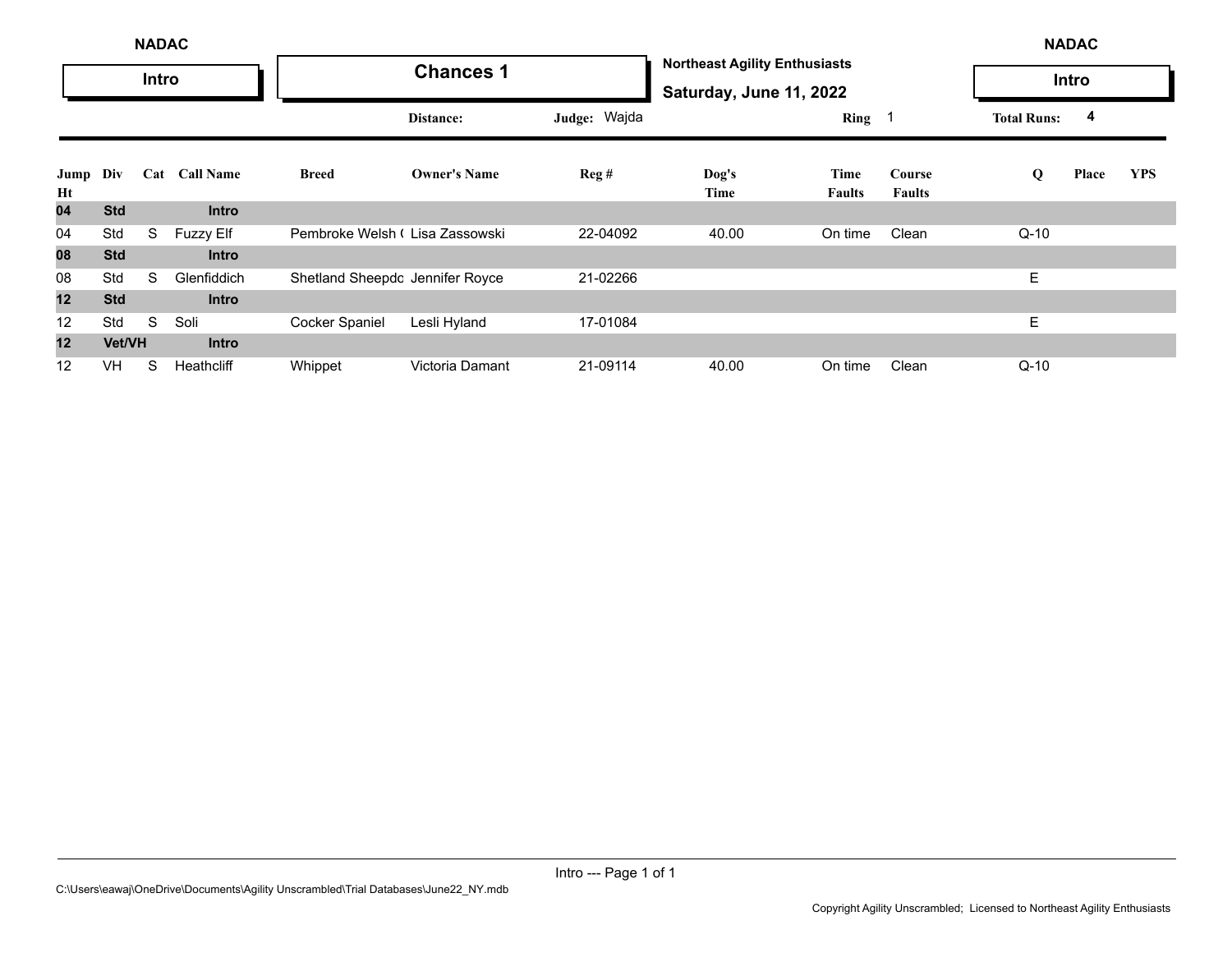|                 | <b>NADAC</b><br>Intro |   |                  |                                 |                     |              |                                                                 |                       |                         |                    | <b>NADAC</b> |            |
|-----------------|-----------------------|---|------------------|---------------------------------|---------------------|--------------|-----------------------------------------------------------------|-----------------------|-------------------------|--------------------|--------------|------------|
|                 |                       |   |                  |                                 | <b>Chances 1</b>    |              | <b>Northeast Agility Enthusiasts</b><br>Saturday, June 11, 2022 |                       |                         |                    | Intro        |            |
|                 |                       |   |                  |                                 | Distance:           | Judge: Wajda |                                                                 | Ring 1                |                         | <b>Total Runs:</b> | 4            |            |
| Jump<br>Ht      | Div                   |   | Cat Call Name    | <b>Breed</b>                    | <b>Owner's Name</b> | Reg#         | Dog's<br>Time                                                   | Time<br><b>Faults</b> | Course<br><b>Faults</b> | Q                  | Place        | <b>YPS</b> |
| 04              | <b>Std</b>            |   | <b>Intro</b>     |                                 |                     |              |                                                                 |                       |                         |                    |              |            |
| 04              | Std                   | S | <b>Fuzzy Elf</b> | Pembroke Welsh I Lisa Zassowski |                     | 22-04092     | 40.00                                                           | On time               | Clean                   | $Q-10$             |              |            |
| 08              | <b>Std</b>            |   | <b>Intro</b>     |                                 |                     |              |                                                                 |                       |                         |                    |              |            |
| 08              | Std                   | S | Glenfiddich      | Shetland Sheepdc Jennifer Royce |                     | 21-02266     |                                                                 |                       |                         | Е                  |              |            |
| 12              | <b>Std</b>            |   | <b>Intro</b>     |                                 |                     |              |                                                                 |                       |                         |                    |              |            |
| 12              | Std                   | S | Soli             | <b>Cocker Spaniel</b>           | Lesli Hyland        | 17-01084     |                                                                 |                       |                         | Ε                  |              |            |
| 12 <sub>2</sub> | Vet/VH                |   | <b>Intro</b>     |                                 |                     |              |                                                                 |                       |                         |                    |              |            |
| 12              | <b>VH</b>             | S | Heathcliff       | Whippet                         | Victoria Damant     | 21-09114     | 40.00                                                           | On time               | Clean                   | $Q-10$             |              |            |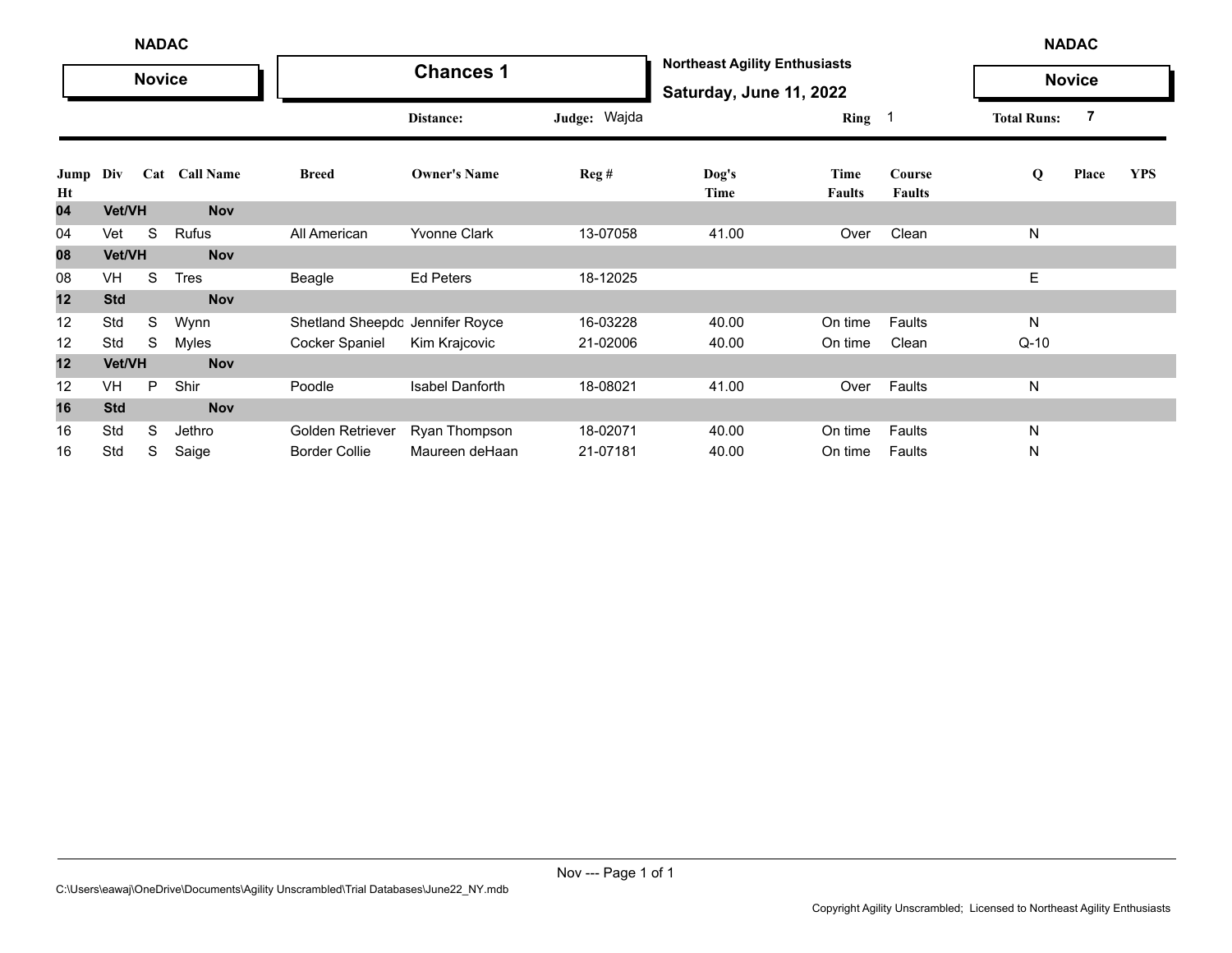|            | <b>NADAC</b><br><b>Novice</b> |   |               |                                 |                        |              |                                                                 |                       | <b>NADAC</b>            |                    |               |            |
|------------|-------------------------------|---|---------------|---------------------------------|------------------------|--------------|-----------------------------------------------------------------|-----------------------|-------------------------|--------------------|---------------|------------|
|            |                               |   |               |                                 | <b>Chances 1</b>       |              | <b>Northeast Agility Enthusiasts</b><br>Saturday, June 11, 2022 |                       |                         |                    | <b>Novice</b> |            |
|            |                               |   |               |                                 | Distance:              | Judge: Wajda |                                                                 | Ring 1                |                         | <b>Total Runs:</b> | 7             |            |
| Jump<br>Ht | Div                           |   | Cat Call Name | <b>Breed</b>                    | <b>Owner's Name</b>    | Reg#         | Dog's<br>Time                                                   | Time<br><b>Faults</b> | Course<br><b>Faults</b> | Q                  | Place         | <b>YPS</b> |
| 04         | Vet/VH                        |   | <b>Nov</b>    |                                 |                        |              |                                                                 |                       |                         |                    |               |            |
| 04         | Vet                           | S | Rufus         | All American                    | <b>Yvonne Clark</b>    | 13-07058     | 41.00                                                           | Over                  | Clean                   | N                  |               |            |
| 08         | Vet/VH                        |   | <b>Nov</b>    |                                 |                        |              |                                                                 |                       |                         |                    |               |            |
| 08         | VH                            | S | <b>Tres</b>   | Beagle                          | Ed Peters              | 18-12025     |                                                                 |                       |                         | Е                  |               |            |
| 12         | <b>Std</b>                    |   | <b>Nov</b>    |                                 |                        |              |                                                                 |                       |                         |                    |               |            |
| 12         | Std                           | S | Wynn          | Shetland Sheepdc Jennifer Royce |                        | 16-03228     | 40.00                                                           | On time               | Faults                  | N                  |               |            |
| 12         | Std                           | S | Myles         | Cocker Spaniel                  | Kim Krajcovic          | 21-02006     | 40.00                                                           | On time               | Clean                   | $Q-10$             |               |            |
| 12         | Vet/VH                        |   | <b>Nov</b>    |                                 |                        |              |                                                                 |                       |                         |                    |               |            |
| 12         | VH                            | P | Shir          | Poodle                          | <b>Isabel Danforth</b> | 18-08021     | 41.00                                                           | Over                  | Faults                  | N                  |               |            |
| 16         | <b>Std</b>                    |   | <b>Nov</b>    |                                 |                        |              |                                                                 |                       |                         |                    |               |            |
| 16         | Std                           | S | Jethro        | Golden Retriever                | Ryan Thompson          | 18-02071     | 40.00                                                           | On time               | Faults                  | N                  |               |            |
| 16         | Std                           | S | Saige         | <b>Border Collie</b>            | Maureen deHaan         | 21-07181     | 40.00                                                           | On time               | Faults                  | N                  |               |            |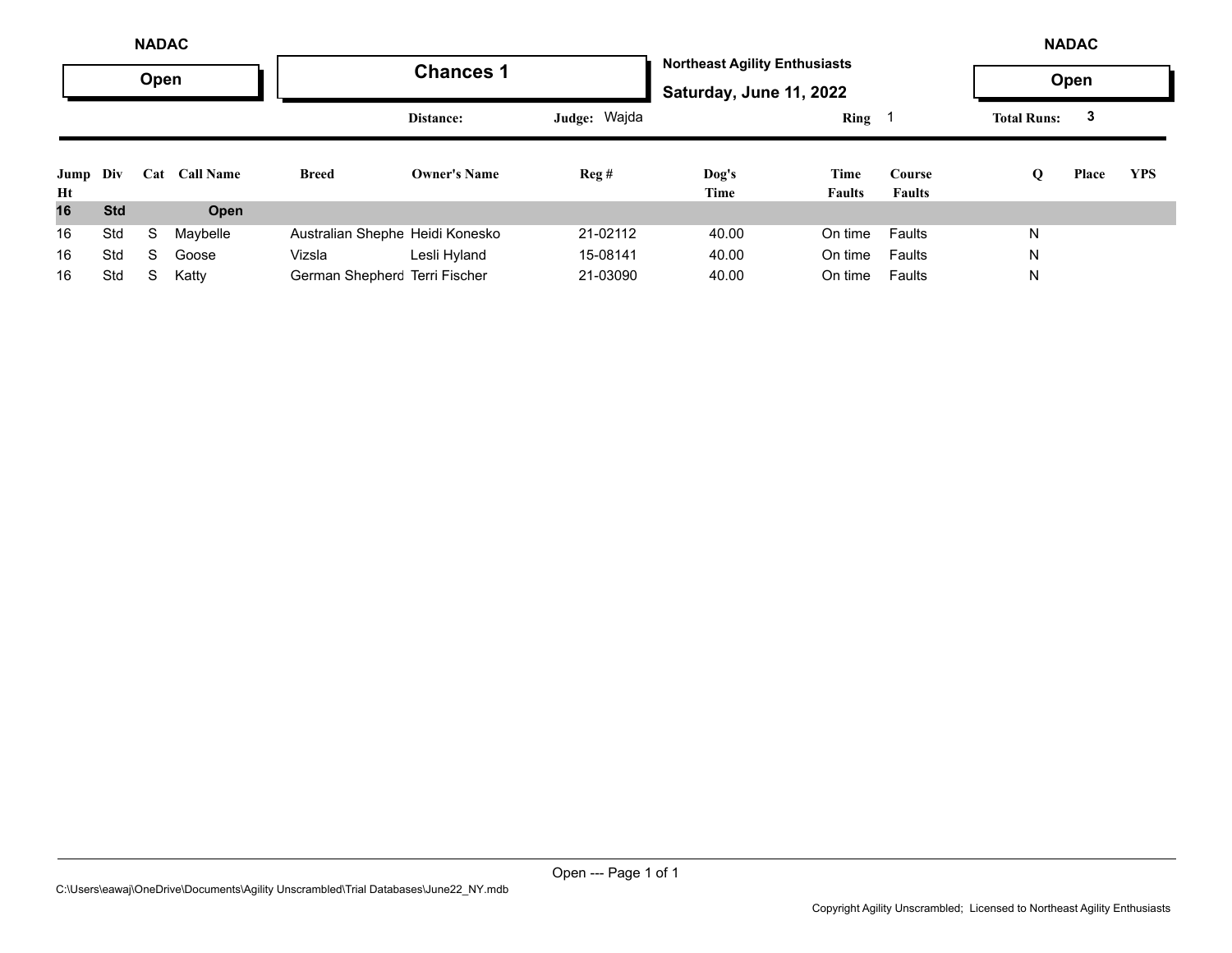|                | <b>NADAC</b> |      |                  |                                 |                     |              |                                                                 |                       |                         |                    | <b>NADAC</b> |            |
|----------------|--------------|------|------------------|---------------------------------|---------------------|--------------|-----------------------------------------------------------------|-----------------------|-------------------------|--------------------|--------------|------------|
|                |              | Open |                  |                                 | <b>Chances 1</b>    |              | <b>Northeast Agility Enthusiasts</b><br>Saturday, June 11, 2022 |                       |                         |                    | Open         |            |
|                |              |      |                  |                                 | Distance:           | Judge: Wajda |                                                                 | $Ring \t1$            |                         | <b>Total Runs:</b> | 3            |            |
| Jump Div<br>Ht |              | Cat  | <b>Call Name</b> | <b>Breed</b>                    | <b>Owner's Name</b> | Reg#         | Dog's<br>Time                                                   | Time<br><b>Faults</b> | Course<br><b>Faults</b> | Q                  | Place        | <b>YPS</b> |
| 16             | <b>Std</b>   |      | Open             |                                 |                     |              |                                                                 |                       |                         |                    |              |            |
| 16             | Std          | S    | Maybelle         | Australian Shephe Heidi Konesko |                     | 21-02112     | 40.00                                                           | On time               | Faults                  | N                  |              |            |
| 16             | Std          | S    | Goose            | Vizsla                          | Lesli Hyland        | 15-08141     | 40.00                                                           | On time               | Faults                  | N                  |              |            |
| 16             | Std          | S    | Katty            | German Shepherc Terri Fischer   |                     | 21-03090     | 40.00                                                           | On time               | Faults                  | N                  |              |            |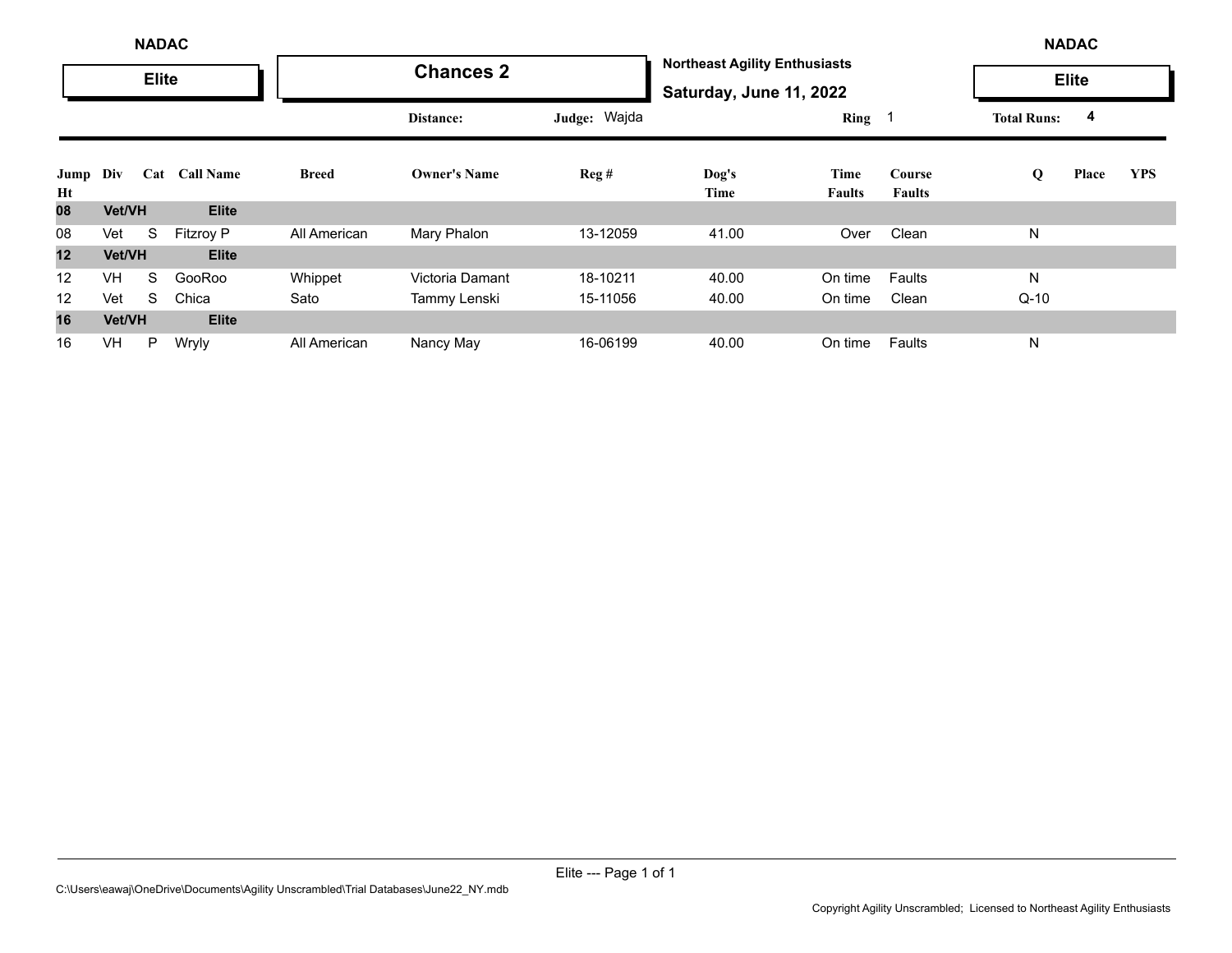|            |                         | <b>NADAC</b> |              |              |                     |          |                                                                 |                       |                         |        | <b>NADAC</b> |            |
|------------|-------------------------|--------------|--------------|--------------|---------------------|----------|-----------------------------------------------------------------|-----------------------|-------------------------|--------|--------------|------------|
|            |                         | <b>Elite</b> |              |              | <b>Chances 2</b>    |          | <b>Northeast Agility Enthusiasts</b><br>Saturday, June 11, 2022 |                       |                         |        | <b>Elite</b> |            |
|            | Cat<br><b>Call Name</b> |              |              | Distance:    | Judge: Wajda        |          | $Ring \t1$                                                      |                       | <b>Total Runs:</b>      | 4      |              |            |
| Jump<br>Ht | Div                     |              |              | <b>Breed</b> | <b>Owner's Name</b> | Reg#     | Dog's<br>Time                                                   | Time<br><b>Faults</b> | Course<br><b>Faults</b> | Q      | Place        | <b>YPS</b> |
| 80         | Vet/VH                  |              | <b>Elite</b> |              |                     |          |                                                                 |                       |                         |        |              |            |
| 08         | Vet                     | S            | Fitzroy P    | All American | Mary Phalon         | 13-12059 | 41.00                                                           | Over                  | Clean                   | N      |              |            |
| 12         | Vet/VH                  |              | <b>Elite</b> |              |                     |          |                                                                 |                       |                         |        |              |            |
| 12         | <b>VH</b>               | S            | GooRoo       | Whippet      | Victoria Damant     | 18-10211 | 40.00                                                           | On time               | Faults                  | N      |              |            |
| 12         | Vet                     | S            | Chica        | Sato         | Tammy Lenski        | 15-11056 | 40.00                                                           | On time               | Clean                   | $Q-10$ |              |            |
| 16         | Vet/VH                  |              | <b>Elite</b> |              |                     |          |                                                                 |                       |                         |        |              |            |
| 16         | VH                      | P            | Wryly        | All American | Nancy May           | 16-06199 | 40.00                                                           | On time               | Faults                  | N      |              |            |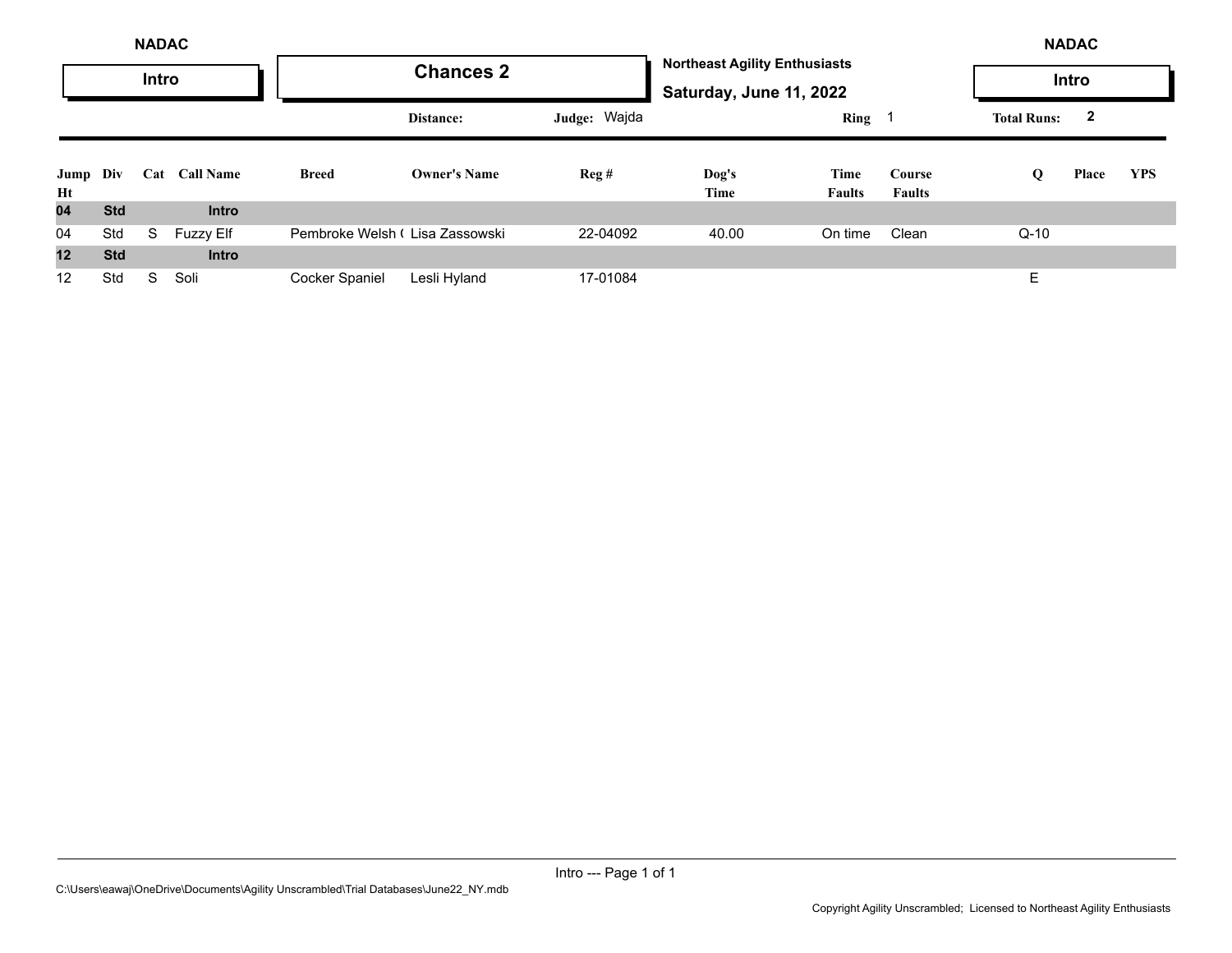|                | <b>NADAC</b> |       |                  |                                |                     |                          |                                                                 |                       |                         |                         | <b>NADAC</b> |            |
|----------------|--------------|-------|------------------|--------------------------------|---------------------|--------------------------|-----------------------------------------------------------------|-----------------------|-------------------------|-------------------------|--------------|------------|
|                |              | Intro |                  |                                | <b>Chances 2</b>    |                          | <b>Northeast Agility Enthusiasts</b><br>Saturday, June 11, 2022 |                       |                         |                         | Intro        |            |
|                |              |       |                  | Distance:                      | Judge: Wajda        |                          | Ring 1                                                          |                       | <b>Total Runs:</b>      | $\overline{\mathbf{2}}$ |              |            |
| Jump Div<br>Ht |              |       | Cat Call Name    | <b>Breed</b>                   | <b>Owner's Name</b> | $\text{Re} \mathbf{g}$ # | Dog's<br>Time                                                   | Time<br><b>Faults</b> | Course<br><b>Faults</b> | Q                       | Place        | <b>YPS</b> |
| 04             | <b>Std</b>   |       | <b>Intro</b>     |                                |                     |                          |                                                                 |                       |                         |                         |              |            |
| 04             | Std          | S     | <b>Fuzzy Elf</b> | Pembroke Welsh (Lisa Zassowski |                     | 22-04092                 | 40.00                                                           | On time               | Clean                   | $Q-10$                  |              |            |
| 12             | <b>Std</b>   |       | <b>Intro</b>     |                                |                     |                          |                                                                 |                       |                         |                         |              |            |
| 12             | Std          | S.    | Soli             | Cocker Spaniel                 | Lesli Hyland        | 17-01084                 |                                                                 |                       |                         | E                       |              |            |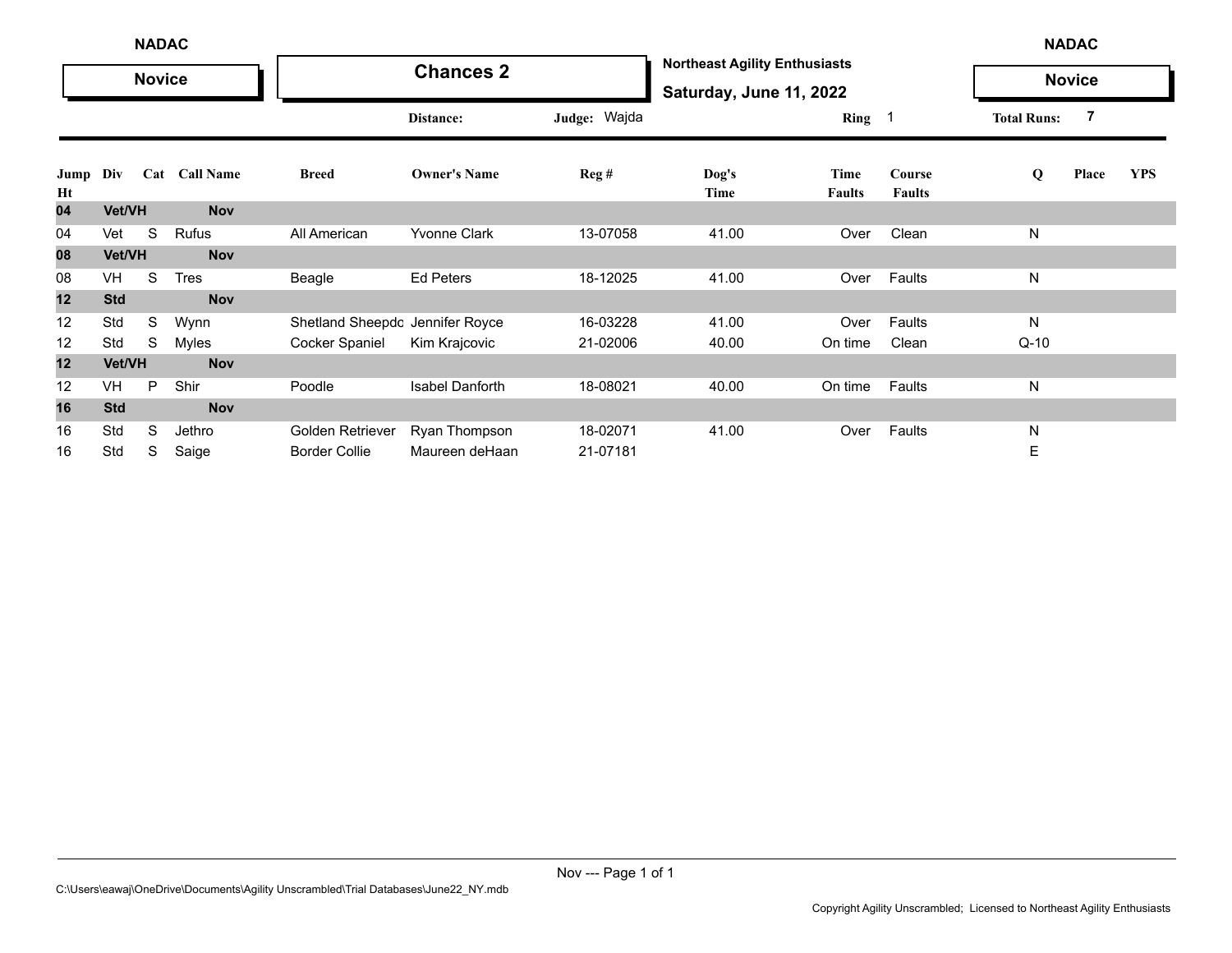|            | <b>NADAC</b><br><b>Novice</b> |   |               |                                 |                        |              |                                                                 |                       | <b>NADAC</b>            |                    |               |            |
|------------|-------------------------------|---|---------------|---------------------------------|------------------------|--------------|-----------------------------------------------------------------|-----------------------|-------------------------|--------------------|---------------|------------|
|            |                               |   |               |                                 | <b>Chances 2</b>       |              | <b>Northeast Agility Enthusiasts</b><br>Saturday, June 11, 2022 |                       |                         |                    | <b>Novice</b> |            |
|            |                               |   |               |                                 | Distance:              | Judge: Wajda |                                                                 | Ring 1                |                         | <b>Total Runs:</b> | 7             |            |
| Jump<br>Ht | Div                           |   | Cat Call Name | <b>Breed</b>                    | <b>Owner's Name</b>    | Reg#         | $\log's$<br>Time                                                | Time<br><b>Faults</b> | Course<br><b>Faults</b> | Q                  | Place         | <b>YPS</b> |
| 04         | Vet/VH                        |   | <b>Nov</b>    |                                 |                        |              |                                                                 |                       |                         |                    |               |            |
| 04         | Vet                           | S | Rufus         | All American                    | <b>Yvonne Clark</b>    | 13-07058     | 41.00                                                           | Over                  | Clean                   | N                  |               |            |
| 08         | Vet/VH                        |   | <b>Nov</b>    |                                 |                        |              |                                                                 |                       |                         |                    |               |            |
| 08         | VH                            | S | <b>Tres</b>   | Beagle                          | Ed Peters              | 18-12025     | 41.00                                                           | Over                  | Faults                  | N                  |               |            |
| 12         | <b>Std</b>                    |   | <b>Nov</b>    |                                 |                        |              |                                                                 |                       |                         |                    |               |            |
| 12         | Std                           | S | Wynn          | Shetland Sheepdc Jennifer Royce |                        | 16-03228     | 41.00                                                           | Over                  | Faults                  | N                  |               |            |
| 12         | Std                           | S | Myles         | Cocker Spaniel                  | Kim Krajcovic          | 21-02006     | 40.00                                                           | On time               | Clean                   | $Q-10$             |               |            |
| 12         | Vet/VH                        |   | <b>Nov</b>    |                                 |                        |              |                                                                 |                       |                         |                    |               |            |
| 12         | VH                            | P | Shir          | Poodle                          | <b>Isabel Danforth</b> | 18-08021     | 40.00                                                           | On time               | Faults                  | N                  |               |            |
| 16         | <b>Std</b>                    |   | <b>Nov</b>    |                                 |                        |              |                                                                 |                       |                         |                    |               |            |
| 16         | Std                           | S | Jethro        | Golden Retriever                | Ryan Thompson          | 18-02071     | 41.00                                                           | Over                  | Faults                  | N                  |               |            |
| 16         | Std                           | S | Saige         | <b>Border Collie</b>            | Maureen deHaan         | 21-07181     |                                                                 |                       |                         | Е                  |               |            |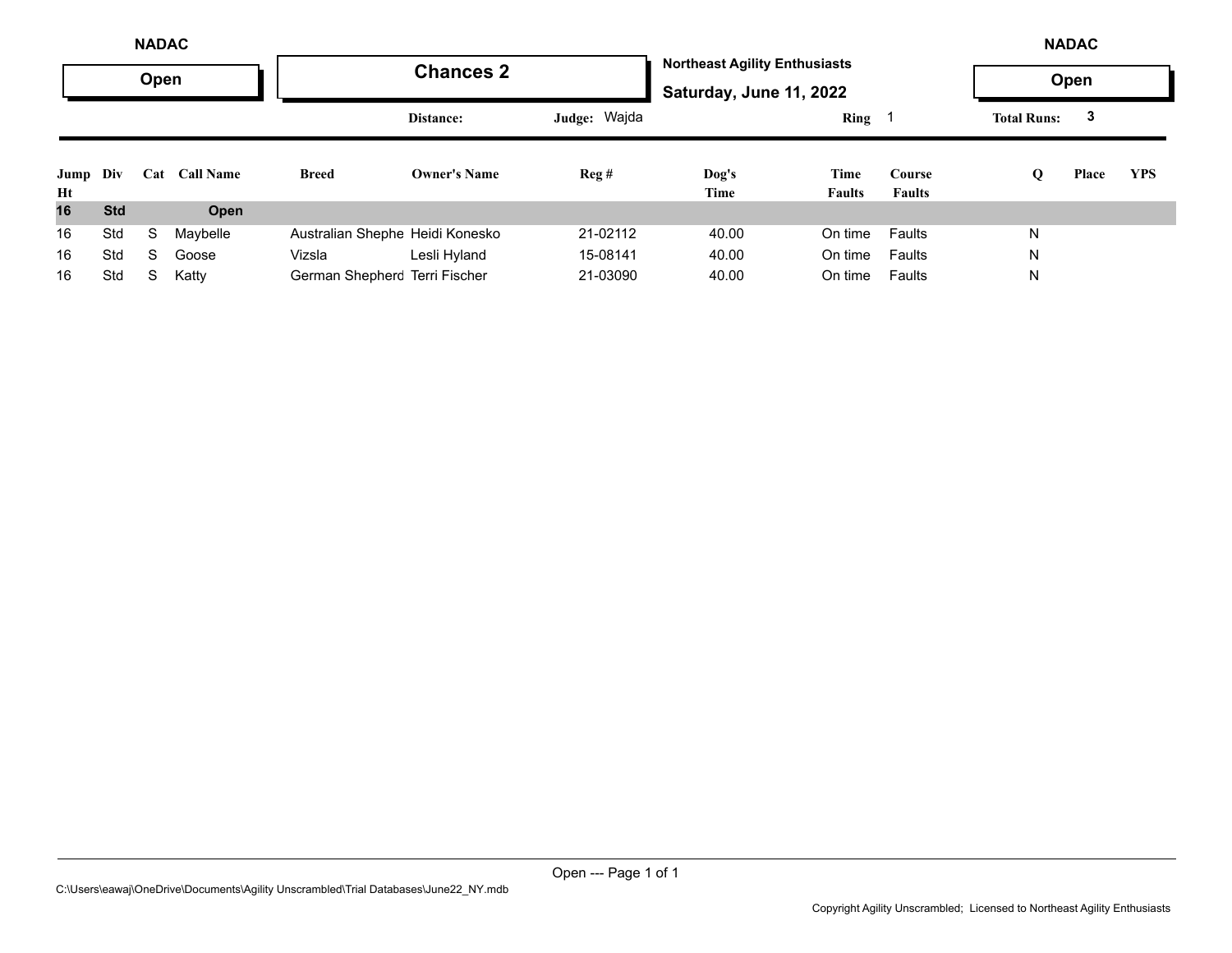|                | <b>NADAC</b> |      |                  |                                 |                     |              |                                                                 |                       |                         |                    | <b>NADAC</b> |            |
|----------------|--------------|------|------------------|---------------------------------|---------------------|--------------|-----------------------------------------------------------------|-----------------------|-------------------------|--------------------|--------------|------------|
|                |              | Open |                  |                                 | <b>Chances 2</b>    |              | <b>Northeast Agility Enthusiasts</b><br>Saturday, June 11, 2022 |                       |                         |                    | Open         |            |
|                |              |      |                  |                                 | Distance:           | Judge: Wajda |                                                                 | $Ring \t1$            |                         | <b>Total Runs:</b> | 3            |            |
| Jump Div<br>Ht |              | Cat  | <b>Call Name</b> | <b>Breed</b>                    | <b>Owner's Name</b> | Reg#         | Dog's<br>Time                                                   | Time<br><b>Faults</b> | Course<br><b>Faults</b> | Q                  | Place        | <b>YPS</b> |
| 16             | <b>Std</b>   |      | Open             |                                 |                     |              |                                                                 |                       |                         |                    |              |            |
| 16             | Std          | S    | Maybelle         | Australian Shephe Heidi Konesko |                     | 21-02112     | 40.00                                                           | On time               | Faults                  | N                  |              |            |
| 16             | Std          | S    | Goose            | Vizsla                          | Lesli Hyland        | 15-08141     | 40.00                                                           | On time               | Faults                  | N                  |              |            |
| 16             | Std          | S    | Katty            | German Shepherc Terri Fischer   |                     | 21-03090     | 40.00                                                           | On time               | Faults                  | N                  |              |            |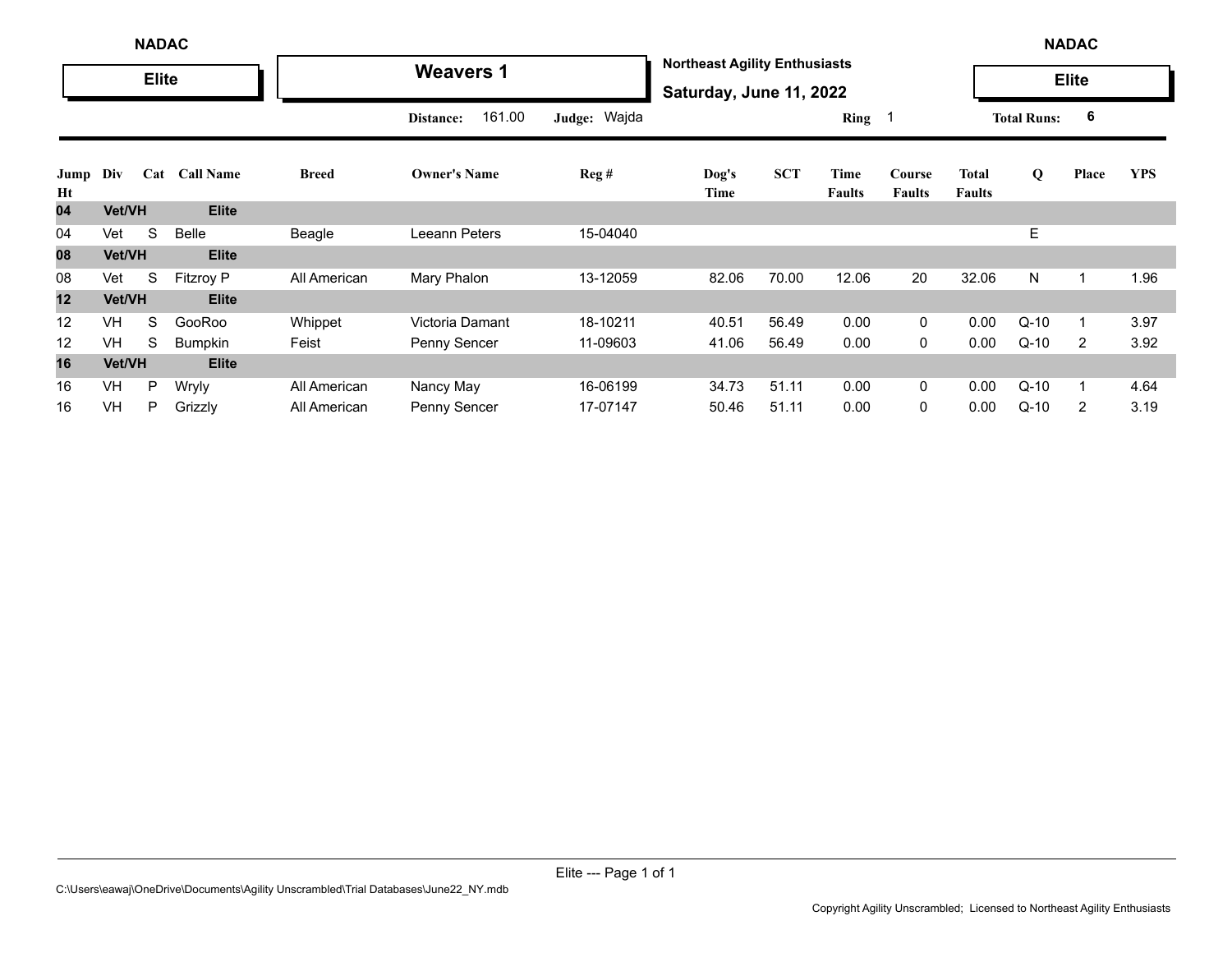|            |               | <b>NADAC</b> |                  |              |                     |              |                                                                 |            |                       |                         |                               |                    | <b>NADAC</b> |            |
|------------|---------------|--------------|------------------|--------------|---------------------|--------------|-----------------------------------------------------------------|------------|-----------------------|-------------------------|-------------------------------|--------------------|--------------|------------|
|            |               | <b>Elite</b> |                  |              | <b>Weavers 1</b>    |              | <b>Northeast Agility Enthusiasts</b><br>Saturday, June 11, 2022 |            |                       |                         |                               |                    | <b>Elite</b> |            |
|            |               |              |                  |              | 161.00<br>Distance: | Judge: Wajda |                                                                 |            | Ring 1                |                         |                               | <b>Total Runs:</b> | 6            |            |
| Jump<br>Ht | Div           | Cat          | <b>Call Name</b> | <b>Breed</b> | <b>Owner's Name</b> | Reg#         | Dog's<br>Time                                                   | <b>SCT</b> | Time<br><b>Faults</b> | Course<br><b>Faults</b> | <b>Total</b><br><b>Faults</b> | Q                  | Place        | <b>YPS</b> |
| 04         | Vet/VH        |              | <b>Elite</b>     |              |                     |              |                                                                 |            |                       |                         |                               |                    |              |            |
| 04         | Vet           | S            | Belle            | Beagle       | Leeann Peters       | 15-04040     |                                                                 |            |                       |                         |                               | E                  |              |            |
| 08         | Vet/VH        |              | <b>Elite</b>     |              |                     |              |                                                                 |            |                       |                         |                               |                    |              |            |
| 08         | Vet           | S            | <b>Fitzroy P</b> | All American | Mary Phalon         | 13-12059     | 82.06                                                           | 70.00      | 12.06                 | 20                      | 32.06                         | N                  |              | 1.96       |
| 12         | <b>Vet/VH</b> |              | <b>Elite</b>     |              |                     |              |                                                                 |            |                       |                         |                               |                    |              |            |
| 12         | <b>VH</b>     | S            | GooRoo           | Whippet      | Victoria Damant     | 18-10211     | 40.51                                                           | 56.49      | 0.00                  | 0                       | 0.00                          | $Q-10$             |              | 3.97       |
| 12         | <b>VH</b>     | S            | Bumpkin          | Feist        | Penny Sencer        | 11-09603     | 41.06                                                           | 56.49      | 0.00                  | 0                       | 0.00                          | $Q-10$             | 2            | 3.92       |
| 16         | <b>Vet/VH</b> |              | <b>Elite</b>     |              |                     |              |                                                                 |            |                       |                         |                               |                    |              |            |
| 16         | VH            | P            | Wryly            | All American | Nancy May           | 16-06199     | 34.73                                                           | 51.11      | 0.00                  | 0                       | 0.00                          | $Q-10$             |              | 4.64       |
| 16         | VH            | P            | Grizzly          | All American | Penny Sencer        | 17-07147     | 50.46                                                           | 51.11      | 0.00                  | 0                       | 0.00                          | $Q-10$             | 2            | 3.19       |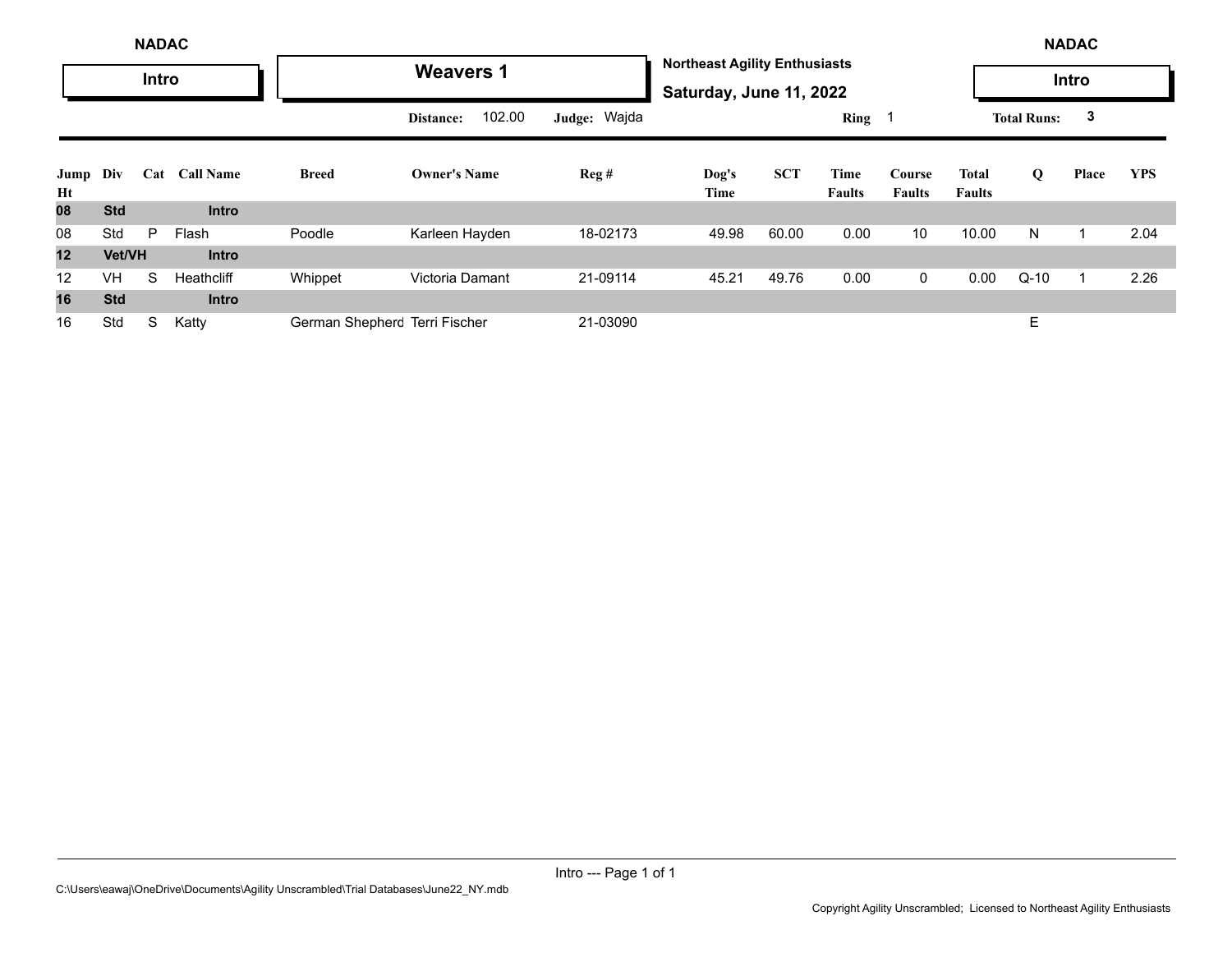|                   |               | <b>NADAC</b> |                  |                               |                     |              |                                                                 |            |                       |                         |                        |                    | <b>NADAC</b> |            |
|-------------------|---------------|--------------|------------------|-------------------------------|---------------------|--------------|-----------------------------------------------------------------|------------|-----------------------|-------------------------|------------------------|--------------------|--------------|------------|
|                   |               | Intro        |                  |                               | <b>Weavers 1</b>    |              | <b>Northeast Agility Enthusiasts</b><br>Saturday, June 11, 2022 |            |                       |                         |                        |                    | Intro        |            |
|                   |               |              |                  |                               | 102.00<br>Distance: | Judge: Wajda |                                                                 |            | Ring                  |                         |                        | <b>Total Runs:</b> | 3            |            |
| Jump<br>Ht        | Div           | Cat          | <b>Call Name</b> | <b>Breed</b>                  | <b>Owner's Name</b> | Reg#         | Dog's<br>Time                                                   | <b>SCT</b> | Time<br><b>Faults</b> | Course<br><b>Faults</b> | Total<br><b>Faults</b> | Q                  | Place        | <b>YPS</b> |
| 08                | <b>Std</b>    |              | <b>Intro</b>     |                               |                     |              |                                                                 |            |                       |                         |                        |                    |              |            |
| 08                | Std           | P            | Flash            | Poodle                        | Karleen Hayden      | 18-02173     | 49.98                                                           | 60.00      | 0.00                  | 10                      | 10.00                  | N                  |              | 2.04       |
| 12                | <b>Vet/VH</b> |              | <b>Intro</b>     |                               |                     |              |                                                                 |            |                       |                         |                        |                    |              |            |
| $12 \overline{ }$ | VH            | S            | Heathcliff       | Whippet                       | Victoria Damant     | 21-09114     | 45.21                                                           | 49.76      | 0.00                  | $\mathbf 0$             | 0.00                   | $Q-10$             |              | 2.26       |
| 16                | <b>Std</b>    |              | <b>Intro</b>     |                               |                     |              |                                                                 |            |                       |                         |                        |                    |              |            |
| 16                | Std           | S            | Katty            | German Shepherc Terri Fischer |                     | 21-03090     |                                                                 |            |                       |                         |                        | E                  |              |            |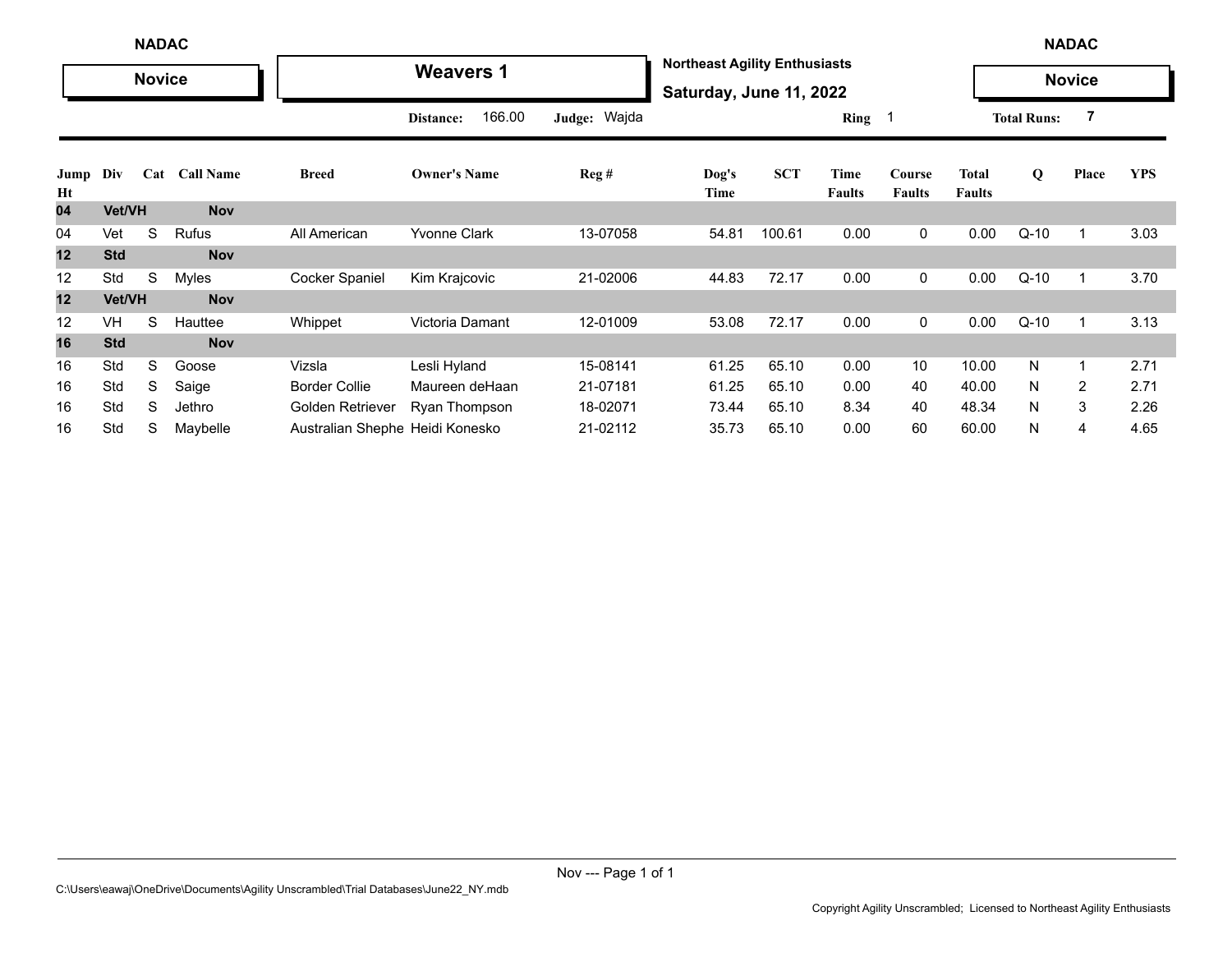|            |               | <b>NADAC</b>  |                  |                                 |                     |                  |                                                                 |            |                       |                         |                        |                    | <b>NADAC</b>   |            |
|------------|---------------|---------------|------------------|---------------------------------|---------------------|------------------|-----------------------------------------------------------------|------------|-----------------------|-------------------------|------------------------|--------------------|----------------|------------|
|            |               | <b>Novice</b> |                  |                                 | <b>Weavers 1</b>    |                  | <b>Northeast Agility Enthusiasts</b><br>Saturday, June 11, 2022 |            |                       |                         |                        |                    | <b>Novice</b>  |            |
|            |               |               |                  |                                 | 166.00<br>Distance: | Judge: Wajda     |                                                                 |            | Ring                  |                         |                        | <b>Total Runs:</b> | 7              |            |
| Jump<br>Ht | Div           | Cat           | <b>Call Name</b> | <b>Breed</b>                    | <b>Owner's Name</b> | $\text{Reg } \#$ | Dog's<br>Time                                                   | <b>SCT</b> | Time<br><b>Faults</b> | Course<br><b>Faults</b> | Total<br><b>Faults</b> | Q                  | Place          | <b>YPS</b> |
| 04         | Vet/VH        |               | <b>Nov</b>       |                                 |                     |                  |                                                                 |            |                       |                         |                        |                    |                |            |
| 04         | Vet           | S             | Rufus            | All American                    | <b>Yvonne Clark</b> | 13-07058         | 54.81                                                           | 100.61     | 0.00                  | 0                       | 0.00                   | $Q-10$             | 1              | 3.03       |
| 12         | <b>Std</b>    |               | <b>Nov</b>       |                                 |                     |                  |                                                                 |            |                       |                         |                        |                    |                |            |
| 12         | Std           | S             | Myles            | <b>Cocker Spaniel</b>           | Kim Krajcovic       | 21-02006         | 44.83                                                           | 72.17      | 0.00                  | 0                       | 0.00                   | $Q-10$             | $\mathbf{1}$   | 3.70       |
| 12         | <b>Vet/VH</b> |               | <b>Nov</b>       |                                 |                     |                  |                                                                 |            |                       |                         |                        |                    |                |            |
| 12         | <b>VH</b>     | S             | Hauttee          | Whippet                         | Victoria Damant     | 12-01009         | 53.08                                                           | 72.17      | 0.00                  | 0                       | 0.00                   | $Q-10$             | $\mathbf{1}$   | 3.13       |
| 16         | <b>Std</b>    |               | <b>Nov</b>       |                                 |                     |                  |                                                                 |            |                       |                         |                        |                    |                |            |
| 16         | Std           | S             | Goose            | Vizsla                          | Lesli Hyland        | 15-08141         | 61.25                                                           | 65.10      | 0.00                  | 10                      | 10.00                  | N                  | $\mathbf{1}$   | 2.71       |
| 16         | Std           | S             | Saige            | <b>Border Collie</b>            | Maureen deHaan      | 21-07181         | 61.25                                                           | 65.10      | 0.00                  | 40                      | 40.00                  | N                  | $\overline{2}$ | 2.71       |
| 16         | Std           | S             | Jethro           | Golden Retriever                | Ryan Thompson       | 18-02071         | 73.44                                                           | 65.10      | 8.34                  | 40                      | 48.34                  | N                  | 3              | 2.26       |
| 16         | Std           | S             | Maybelle         | Australian Shephe Heidi Konesko |                     | 21-02112         | 35.73                                                           | 65.10      | 0.00                  | 60                      | 60.00                  | N                  | 4              | 4.65       |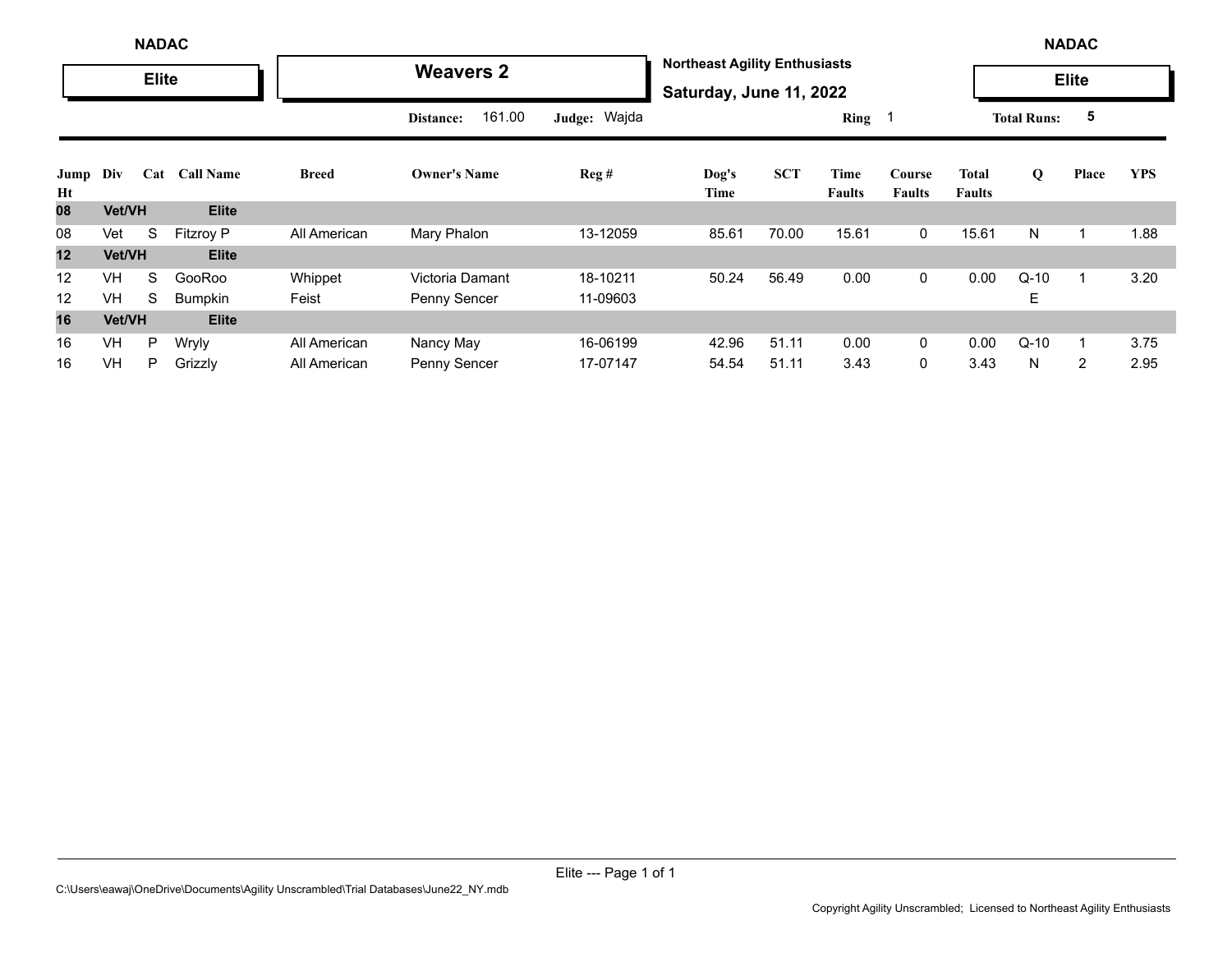|            |               | <b>NADAC</b> |                  |              |                     |              |                                                                 |            |                |                         |                        |                    | <b>NADAC</b>   |            |
|------------|---------------|--------------|------------------|--------------|---------------------|--------------|-----------------------------------------------------------------|------------|----------------|-------------------------|------------------------|--------------------|----------------|------------|
|            |               | <b>Elite</b> |                  |              | <b>Weavers 2</b>    |              | <b>Northeast Agility Enthusiasts</b><br>Saturday, June 11, 2022 |            |                |                         |                        |                    | <b>Elite</b>   |            |
|            |               |              |                  |              | 161.00<br>Distance: | Judge: Wajda |                                                                 |            | Ring 1         |                         |                        | <b>Total Runs:</b> | 5              |            |
| Jump<br>Ht | Div           | Cat          | <b>Call Name</b> | <b>Breed</b> | <b>Owner's Name</b> | Reg#         | Dog's<br>Time                                                   | <b>SCT</b> | Time<br>Faults | Course<br><b>Faults</b> | Total<br><b>Faults</b> | $\mathbf 0$        | Place          | <b>YPS</b> |
| 80         | <b>Vet/VH</b> |              | <b>Elite</b>     |              |                     |              |                                                                 |            |                |                         |                        |                    |                |            |
| 08         | Vet           | S            | <b>Fitzroy P</b> | All American | Mary Phalon         | 13-12059     | 85.61                                                           | 70.00      | 15.61          | $\mathbf 0$             | 15.61                  | N                  |                | 1.88       |
| 12         | <b>Vet/VH</b> |              | <b>Elite</b>     |              |                     |              |                                                                 |            |                |                         |                        |                    |                |            |
| 12         | <b>VH</b>     | S            | GooRoo           | Whippet      | Victoria Damant     | 18-10211     | 50.24                                                           | 56.49      | 0.00           | $\mathbf 0$             | 0.00                   | $Q-10$             |                | 3.20       |
| 12         | VH            | S            | Bumpkin          | Feist        | Penny Sencer        | 11-09603     |                                                                 |            |                |                         |                        | Е                  |                |            |
| 16         | Vet/VH        |              | <b>Elite</b>     |              |                     |              |                                                                 |            |                |                         |                        |                    |                |            |
| 16         | VH            | P            | Wryly            | All American | Nancy May           | 16-06199     | 42.96                                                           | 51.11      | 0.00           | $\mathbf{0}$            | 0.00                   | $Q-10$             |                | 3.75       |
| 16         | VH            | P            | Grizzly          | All American | Penny Sencer        | 17-07147     | 54.54                                                           | 51.11      | 3.43           | 0                       | 3.43                   | N                  | $\overline{2}$ | 2.95       |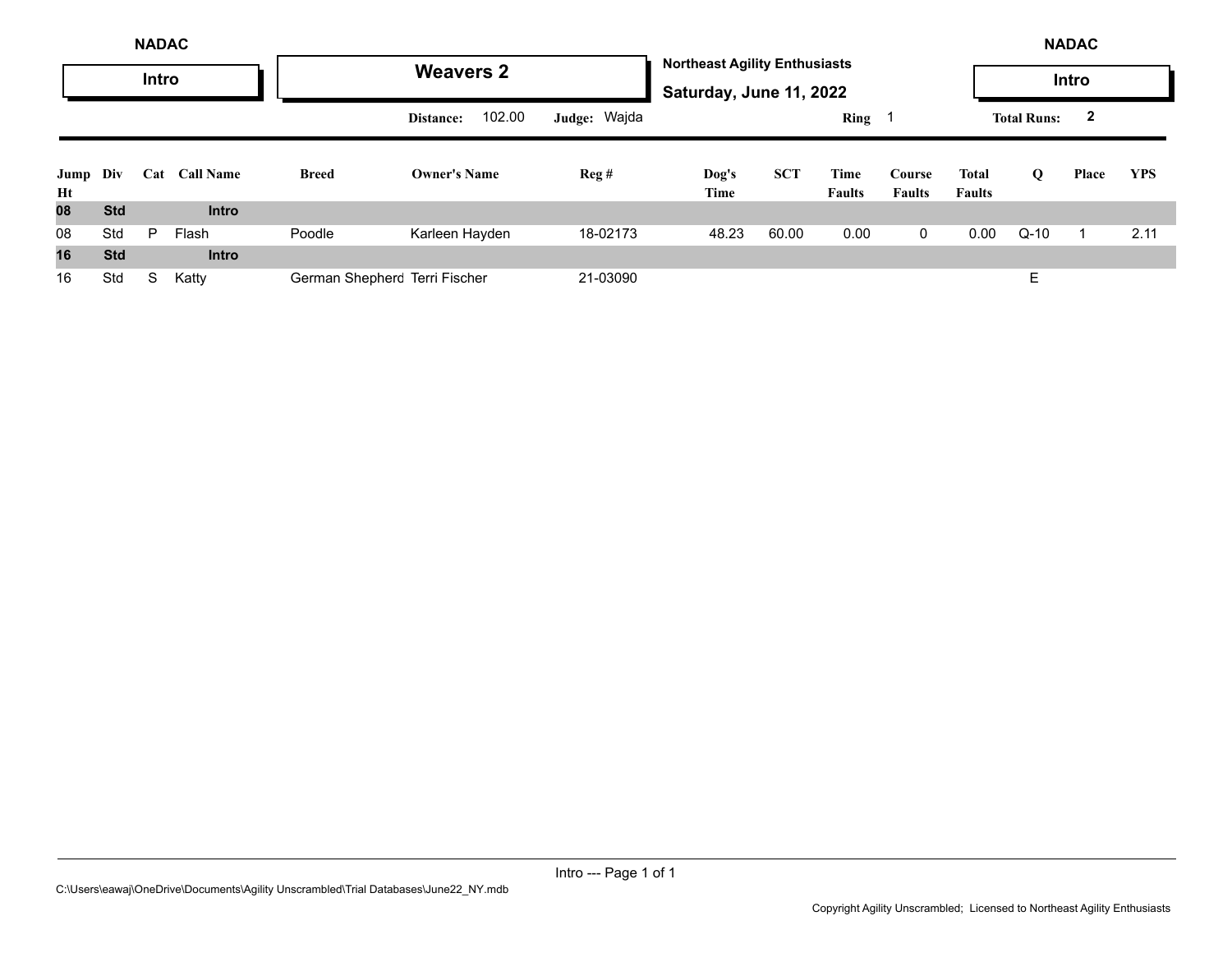|                | <b>NADAC</b> |       |                  |                               |                     |              |                                                                 |            |                       |                         |                        |                    | <b>NADAC</b>            |            |
|----------------|--------------|-------|------------------|-------------------------------|---------------------|--------------|-----------------------------------------------------------------|------------|-----------------------|-------------------------|------------------------|--------------------|-------------------------|------------|
|                |              | Intro |                  |                               | <b>Weavers 2</b>    |              | <b>Northeast Agility Enthusiasts</b><br>Saturday, June 11, 2022 |            |                       |                         |                        |                    | Intro                   |            |
|                |              |       |                  |                               | 102.00<br>Distance: | Judge: Wajda |                                                                 |            | <b>Ring</b>           |                         |                        | <b>Total Runs:</b> | $\overline{\mathbf{2}}$ |            |
| Jump Div<br>Ht |              | Cat   | <b>Call Name</b> | <b>Breed</b>                  | <b>Owner's Name</b> | Reg#         | Dog's<br>Time                                                   | <b>SCT</b> | Time<br><b>Faults</b> | Course<br><b>Faults</b> | Total<br><b>Faults</b> | Q                  | Place                   | <b>YPS</b> |
| 08             | <b>Std</b>   |       | <b>Intro</b>     |                               |                     |              |                                                                 |            |                       |                         |                        |                    |                         |            |
| 08             | Std          | P     | Flash            | Poodle                        | Karleen Hayden      | 18-02173     | 48.23                                                           | 60.00      | 0.00                  | $\mathbf 0$             | 0.00                   | $Q-10$             |                         | 2.11       |
| 16             | <b>Std</b>   |       | <b>Intro</b>     |                               |                     |              |                                                                 |            |                       |                         |                        |                    |                         |            |
| 16             | Std          | S     | Katty            | German Shepherc Terri Fischer |                     | 21-03090     |                                                                 |            |                       |                         |                        | E                  |                         |            |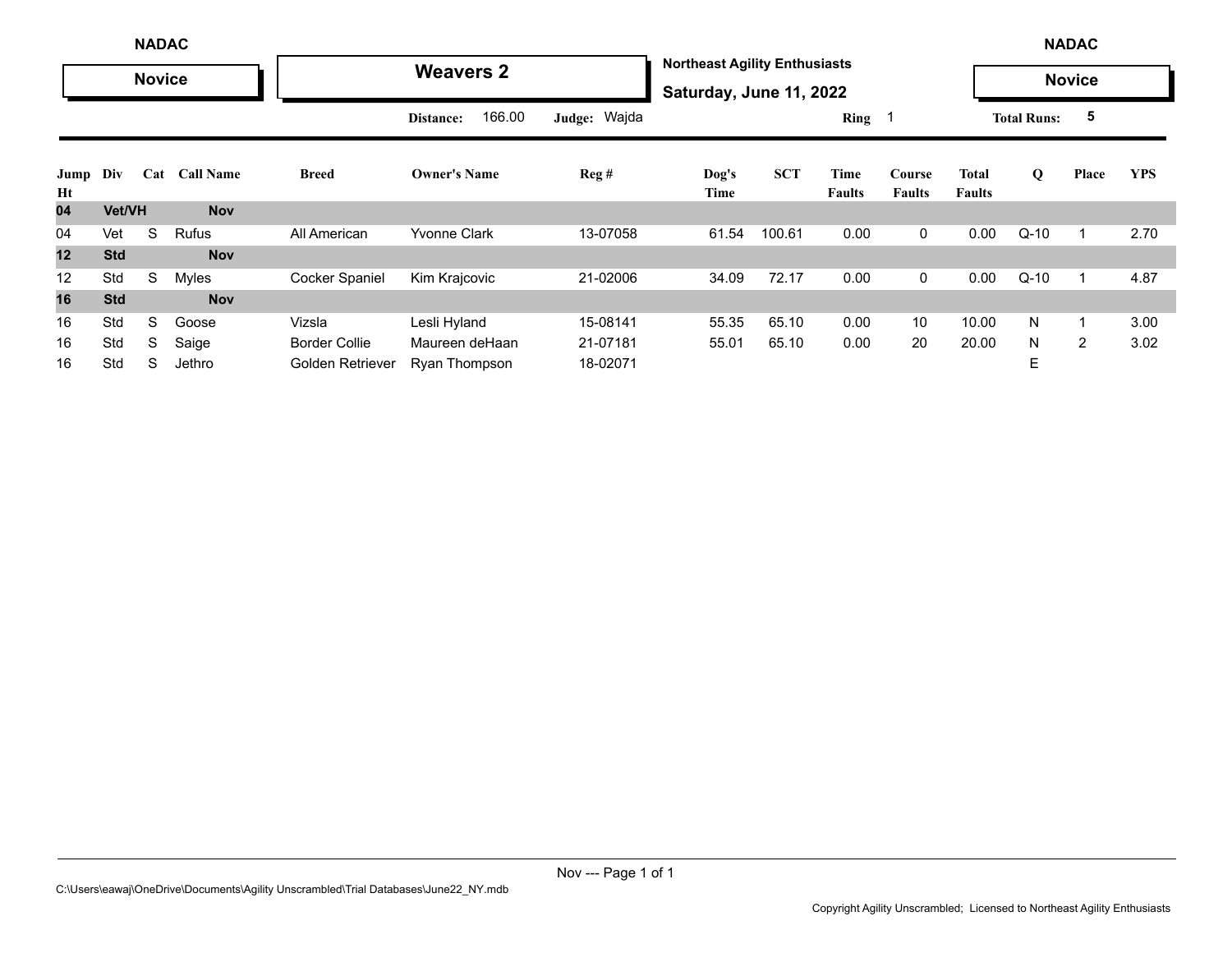|            | <b>NADAC</b><br><b>Novice</b>  |   |              |                       |                      |              |                                                                 |            |                       |                         | <b>NADAC</b>           |                    |                |            |
|------------|--------------------------------|---|--------------|-----------------------|----------------------|--------------|-----------------------------------------------------------------|------------|-----------------------|-------------------------|------------------------|--------------------|----------------|------------|
|            |                                |   |              |                       | <b>Weavers 2</b>     |              | <b>Northeast Agility Enthusiasts</b><br>Saturday, June 11, 2022 |            |                       |                         |                        |                    | <b>Novice</b>  |            |
|            | <b>Call Name</b><br>Div<br>Cat |   |              |                       | 166.00<br>Distance:  | Judge: Wajda |                                                                 |            | Ring 1                |                         |                        | <b>Total Runs:</b> | 5              |            |
| Jump<br>Ht |                                |   |              | <b>Breed</b>          | <b>Owner's Name</b>  | Reg#         | Dog's<br>Time                                                   | <b>SCT</b> | Time<br><b>Faults</b> | Course<br><b>Faults</b> | Total<br><b>Faults</b> | Q                  | Place          | <b>YPS</b> |
| 04         | Vet/VH                         |   | <b>Nov</b>   |                       |                      |              |                                                                 |            |                       |                         |                        |                    |                |            |
| 04         | Vet                            | S | <b>Rufus</b> | All American          | <b>Yvonne Clark</b>  | 13-07058     | 61.54                                                           | 100.61     | 0.00                  | 0                       | 0.00                   | $Q-10$             | $\mathbf{1}$   | 2.70       |
| 12         | <b>Std</b>                     |   | <b>Nov</b>   |                       |                      |              |                                                                 |            |                       |                         |                        |                    |                |            |
| 12         | Std                            | S | <b>Myles</b> | <b>Cocker Spaniel</b> | Kim Krajcovic        | 21-02006     | 34.09                                                           | 72.17      | 0.00                  | 0                       | 0.00                   | $Q-10$             | $\mathbf{1}$   | 4.87       |
| 16         | <b>Std</b>                     |   | <b>Nov</b>   |                       |                      |              |                                                                 |            |                       |                         |                        |                    |                |            |
| 16         | Std                            | S | Goose        | Vizsla                | Lesli Hyland         | 15-08141     | 55.35                                                           | 65.10      | 0.00                  | 10                      | 10.00                  | N                  | $\mathbf{1}$   | 3.00       |
| 16         | Std                            | S | Saige        | <b>Border Collie</b>  | Maureen deHaan       | 21-07181     | 55.01                                                           | 65.10      | 0.00                  | 20                      | 20.00                  | N                  | $\overline{2}$ | 3.02       |
| 16         | Std                            | S | Jethro       | Golden Retriever      | <b>Ryan Thompson</b> | 18-02071     |                                                                 |            |                       |                         |                        | E                  |                |            |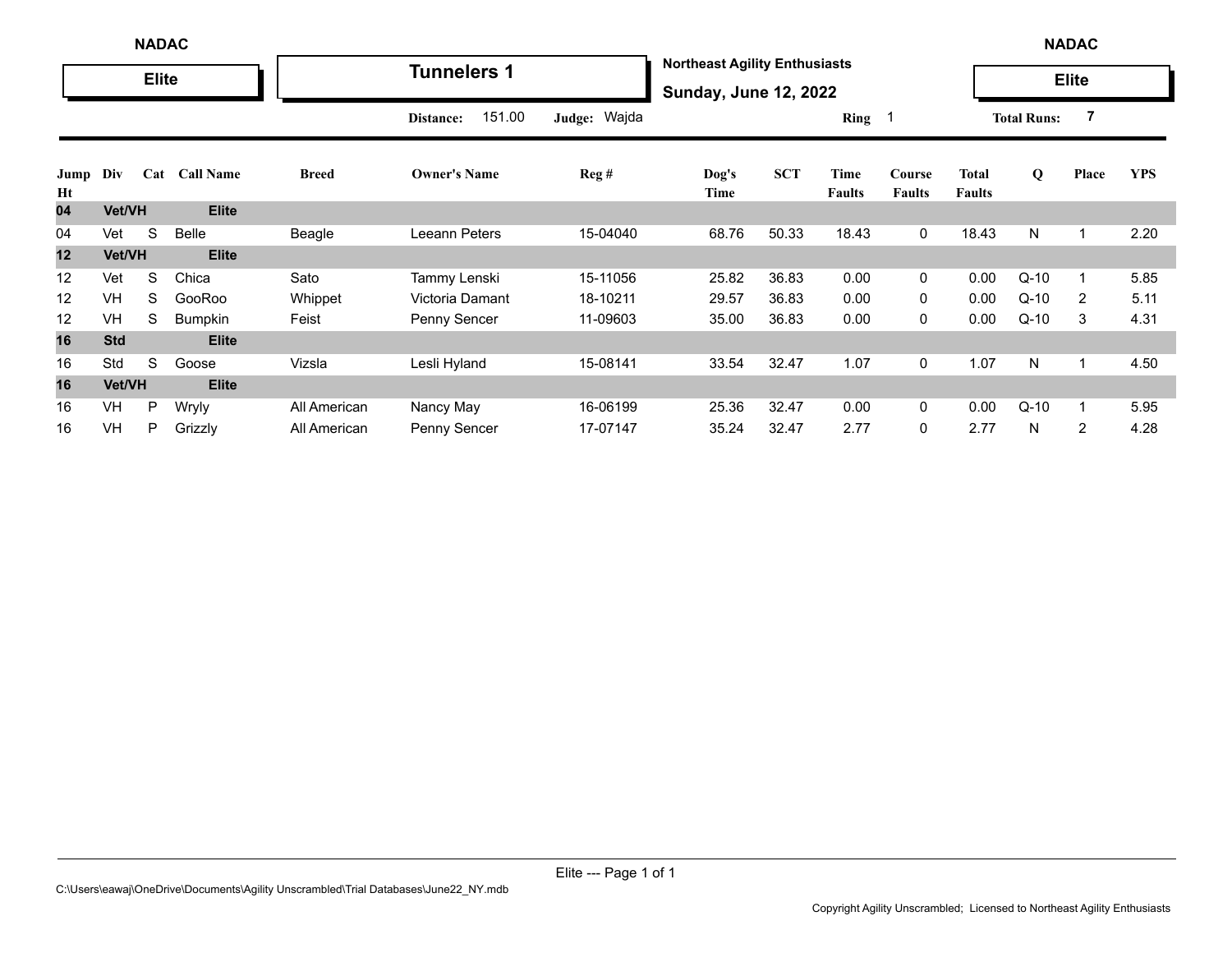|            |               | <b>NADAC</b> |                  |              |                     |              |                                                                      |            |                       |                         |                               |                    | <b>NADAC</b>   |            |
|------------|---------------|--------------|------------------|--------------|---------------------|--------------|----------------------------------------------------------------------|------------|-----------------------|-------------------------|-------------------------------|--------------------|----------------|------------|
|            |               | <b>Elite</b> |                  |              | <b>Tunnelers 1</b>  |              | <b>Northeast Agility Enthusiasts</b><br><b>Sunday, June 12, 2022</b> |            |                       |                         |                               |                    | <b>Elite</b>   |            |
|            |               |              |                  |              | 151.00<br>Distance: | Judge: Wajda |                                                                      |            | Ring 1                |                         |                               | <b>Total Runs:</b> | 7              |            |
| Jump<br>Ht | Div           | Cat          | <b>Call Name</b> | <b>Breed</b> | <b>Owner's Name</b> | Reg#         | Dog's<br>Time                                                        | <b>SCT</b> | Time<br><b>Faults</b> | Course<br><b>Faults</b> | <b>Total</b><br><b>Faults</b> | Q                  | Place          | <b>YPS</b> |
| 04         | <b>Vet/VH</b> |              | <b>Elite</b>     |              |                     |              |                                                                      |            |                       |                         |                               |                    |                |            |
| 04         | Vet           | S            | Belle            | Beagle       | Leeann Peters       | 15-04040     | 68.76                                                                | 50.33      | 18.43                 | 0                       | 18.43                         | N                  |                | 2.20       |
| 12         | Vet/VH        |              | <b>Elite</b>     |              |                     |              |                                                                      |            |                       |                         |                               |                    |                |            |
| 12         | Vet           | S            | Chica            | Sato         | Tammy Lenski        | 15-11056     | 25.82                                                                | 36.83      | 0.00                  | 0                       | 0.00                          | $Q-10$             |                | 5.85       |
| 12         | <b>VH</b>     | S            | GooRoo           | Whippet      | Victoria Damant     | 18-10211     | 29.57                                                                | 36.83      | 0.00                  | 0                       | 0.00                          | $Q-10$             | 2              | 5.11       |
| 12         | VH            | S            | <b>Bumpkin</b>   | Feist        | Penny Sencer        | 11-09603     | 35.00                                                                | 36.83      | 0.00                  | 0                       | 0.00                          | $Q-10$             | 3              | 4.31       |
| 16         | <b>Std</b>    |              | <b>Elite</b>     |              |                     |              |                                                                      |            |                       |                         |                               |                    |                |            |
| 16         | Std           | S            | Goose            | Vizsla       | Lesli Hyland        | 15-08141     | 33.54                                                                | 32.47      | 1.07                  | 0                       | 1.07                          | N                  |                | 4.50       |
| 16         | Vet/VH        |              | <b>Elite</b>     |              |                     |              |                                                                      |            |                       |                         |                               |                    |                |            |
| 16         | VH            | P            | Wryly            | All American | Nancy May           | 16-06199     | 25.36                                                                | 32.47      | 0.00                  | 0                       | 0.00                          | $Q-10$             |                | 5.95       |
| 16         | VH            | P            | Grizzly          | All American | Penny Sencer        | 17-07147     | 35.24                                                                | 32.47      | 2.77                  | 0                       | 2.77                          | N                  | $\overline{2}$ | 4.28       |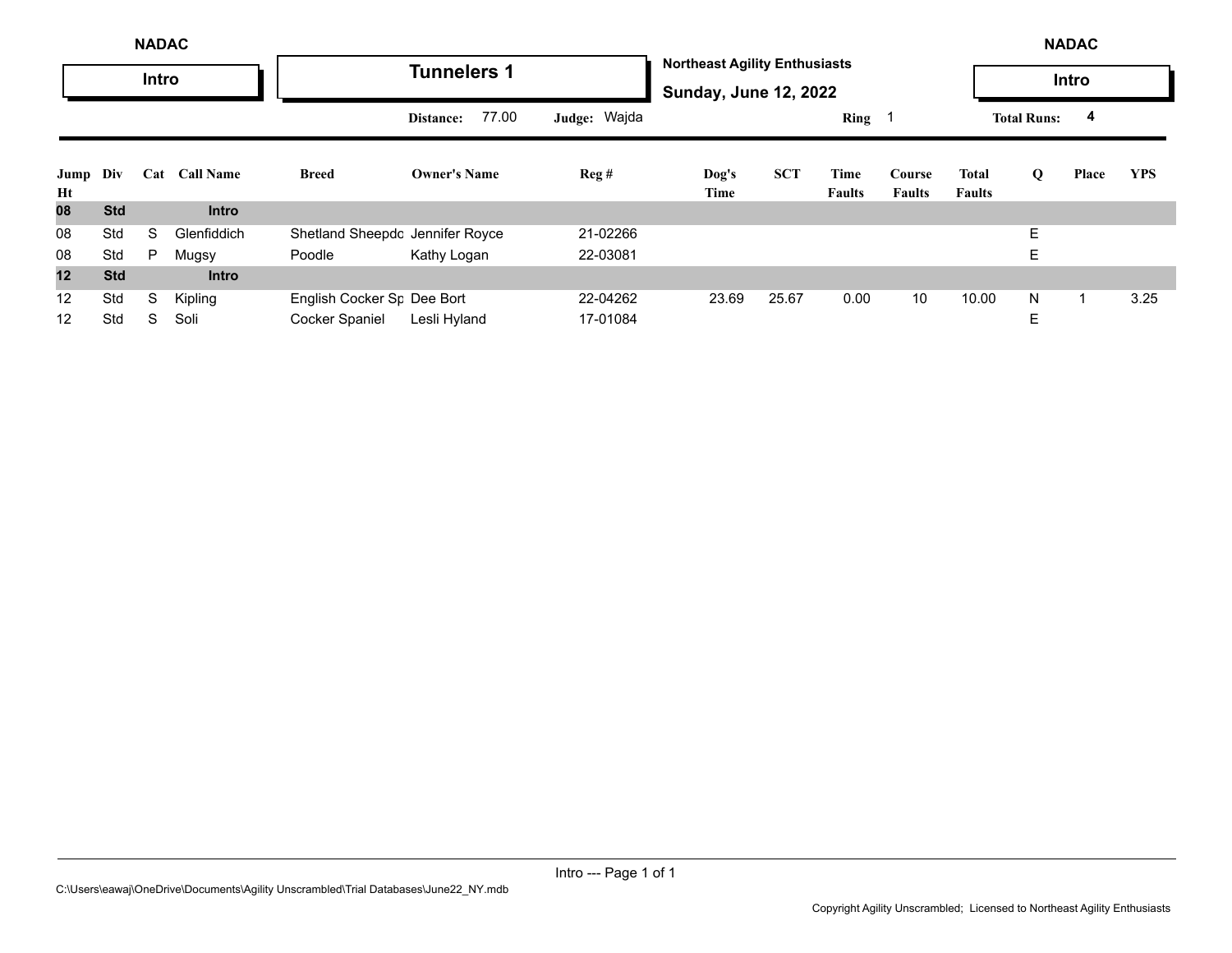|            | <b>NADAC</b><br><b>Intro</b> |   |                  |                                 |                     |              |                                                                      |            |                       |                         |                        |                    | <b>NADAC</b> |            |
|------------|------------------------------|---|------------------|---------------------------------|---------------------|--------------|----------------------------------------------------------------------|------------|-----------------------|-------------------------|------------------------|--------------------|--------------|------------|
|            |                              |   |                  |                                 | <b>Tunnelers 1</b>  |              | <b>Northeast Agility Enthusiasts</b><br><b>Sunday, June 12, 2022</b> |            |                       |                         |                        |                    | Intro        |            |
|            | Cat                          |   |                  |                                 | 77.00<br>Distance:  | Judge: Wajda |                                                                      |            | Ring                  |                         |                        | <b>Total Runs:</b> | 4            |            |
| Jump<br>Ht | Div                          |   | <b>Call Name</b> | <b>Breed</b>                    | <b>Owner's Name</b> | Reg#         | Dog's<br>Time                                                        | <b>SCT</b> | Time<br><b>Faults</b> | Course<br><b>Faults</b> | Total<br><b>Faults</b> | Q                  | Place        | <b>YPS</b> |
| 08         | <b>Std</b>                   |   | <b>Intro</b>     |                                 |                     |              |                                                                      |            |                       |                         |                        |                    |              |            |
| 08         | Std                          | S | Glenfiddich      | Shetland Sheepdc Jennifer Royce |                     | 21-02266     |                                                                      |            |                       |                         |                        | E.                 |              |            |
| 08         | Std                          | P | Mugsy            | Poodle                          | Kathy Logan         | 22-03081     |                                                                      |            |                       |                         |                        | E.                 |              |            |
| 12         | <b>Std</b>                   |   | <b>Intro</b>     |                                 |                     |              |                                                                      |            |                       |                         |                        |                    |              |            |
| 12         | Std                          | S | Kipling          | English Cocker Sr Dee Bort      |                     | 22-04262     | 23.69                                                                | 25.67      | 0.00                  | 10                      | 10.00                  | N                  |              | 3.25       |
| 12         | Std                          | S | Soli             | <b>Cocker Spaniel</b>           | Lesli Hyland        | 17-01084     |                                                                      |            |                       |                         |                        | Е                  |              |            |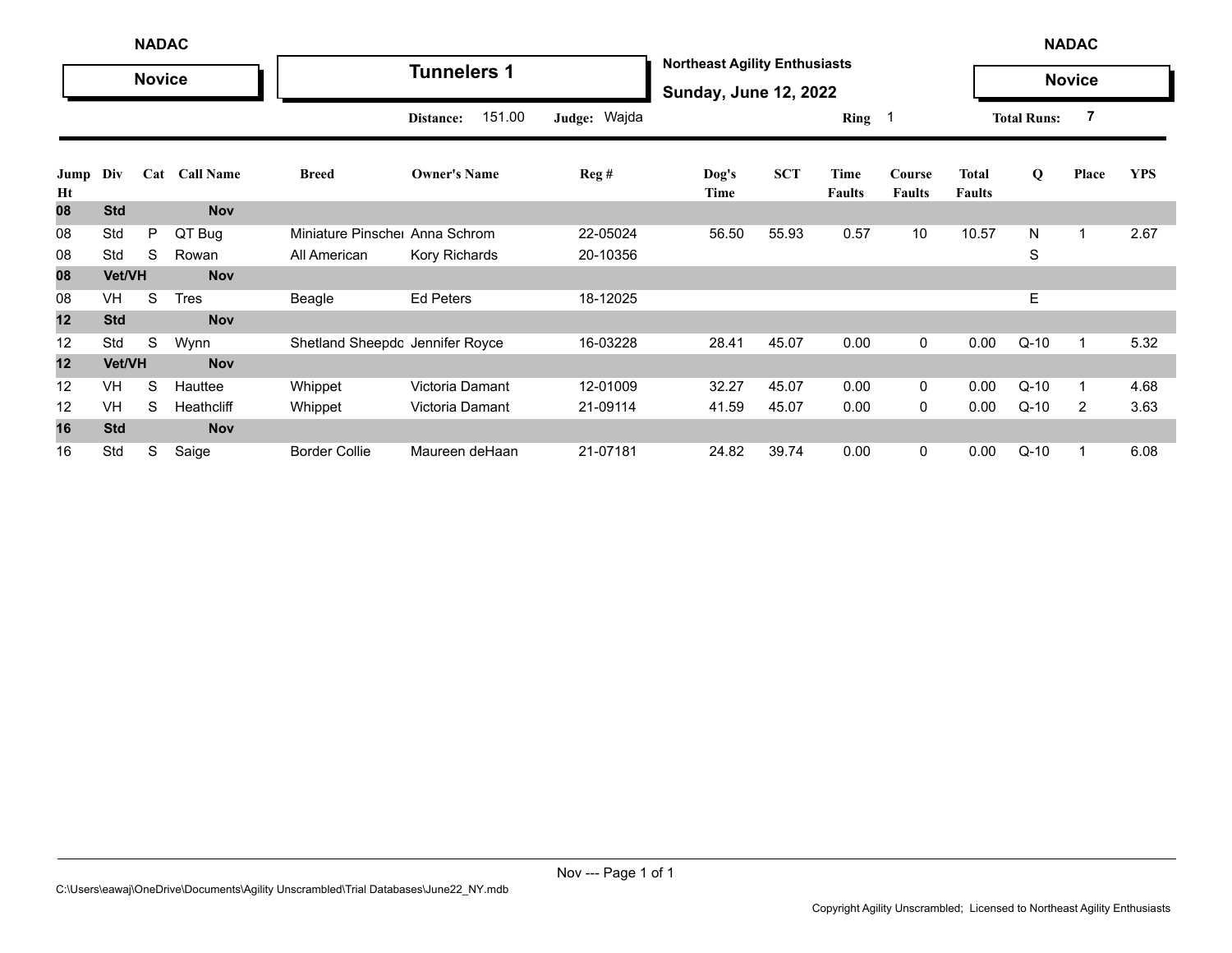|            | <b>NADAC</b> |               |               |                                 |                     |              |                                                                      |            |                       |                         | <b>NADAC</b>                  |                    |                |            |
|------------|--------------|---------------|---------------|---------------------------------|---------------------|--------------|----------------------------------------------------------------------|------------|-----------------------|-------------------------|-------------------------------|--------------------|----------------|------------|
|            |              | <b>Novice</b> |               |                                 | <b>Tunnelers 1</b>  |              | <b>Northeast Agility Enthusiasts</b><br><b>Sunday, June 12, 2022</b> |            |                       |                         |                               |                    | <b>Novice</b>  |            |
|            |              |               |               |                                 | 151.00<br>Distance: | Judge: Wajda |                                                                      |            | Ring 1                |                         |                               | <b>Total Runs:</b> | 7              |            |
| Jump<br>Ht | Div          |               | Cat Call Name | <b>Breed</b>                    | <b>Owner's Name</b> | Reg#         | Dog's<br>Time                                                        | <b>SCT</b> | Time<br><b>Faults</b> | Course<br><b>Faults</b> | <b>Total</b><br><b>Faults</b> | Q                  | Place          | <b>YPS</b> |
| 80         | <b>Std</b>   |               | <b>Nov</b>    |                                 |                     |              |                                                                      |            |                       |                         |                               |                    |                |            |
| 08         | Std          | P             | QT Bug        | Miniature Pinsche               | Anna Schrom         | 22-05024     | 56.50                                                                | 55.93      | 0.57                  | 10                      | 10.57                         | N                  | $\mathbf 1$    | 2.67       |
| 08         | Std          | S             | Rowan         | All American                    | Kory Richards       | 20-10356     |                                                                      |            |                       |                         |                               | S                  |                |            |
| 08         | Vet/VH       |               | <b>Nov</b>    |                                 |                     |              |                                                                      |            |                       |                         |                               |                    |                |            |
| 08         | <b>VH</b>    | S             | <b>Tres</b>   | Beagle                          | <b>Ed Peters</b>    | 18-12025     |                                                                      |            |                       |                         |                               | Е                  |                |            |
| 12         | <b>Std</b>   |               | <b>Nov</b>    |                                 |                     |              |                                                                      |            |                       |                         |                               |                    |                |            |
| 12         | Std          | S             | Wynn          | Shetland Sheepdc Jennifer Royce |                     | 16-03228     | 28.41                                                                | 45.07      | 0.00                  | 0                       | 0.00                          | $Q-10$             | 1              | 5.32       |
| 12         | Vet/VH       |               | <b>Nov</b>    |                                 |                     |              |                                                                      |            |                       |                         |                               |                    |                |            |
| 12         | VH           | S             | Hauttee       | Whippet                         | Victoria Damant     | 12-01009     | 32.27                                                                | 45.07      | 0.00                  | 0                       | 0.00                          | $Q-10$             | 1              | 4.68       |
| 12         | VH           | S             | Heathcliff    | Whippet                         | Victoria Damant     | 21-09114     | 41.59                                                                | 45.07      | 0.00                  | 0                       | 0.00                          | $Q-10$             | $\overline{2}$ | 3.63       |
| 16         | <b>Std</b>   |               | <b>Nov</b>    |                                 |                     |              |                                                                      |            |                       |                         |                               |                    |                |            |
| 16         | Std          | S             | Saige         | <b>Border Collie</b>            | Maureen deHaan      | 21-07181     | 24.82                                                                | 39.74      | 0.00                  | $\mathbf 0$             | 0.00                          | $Q-10$             | 1              | 6.08       |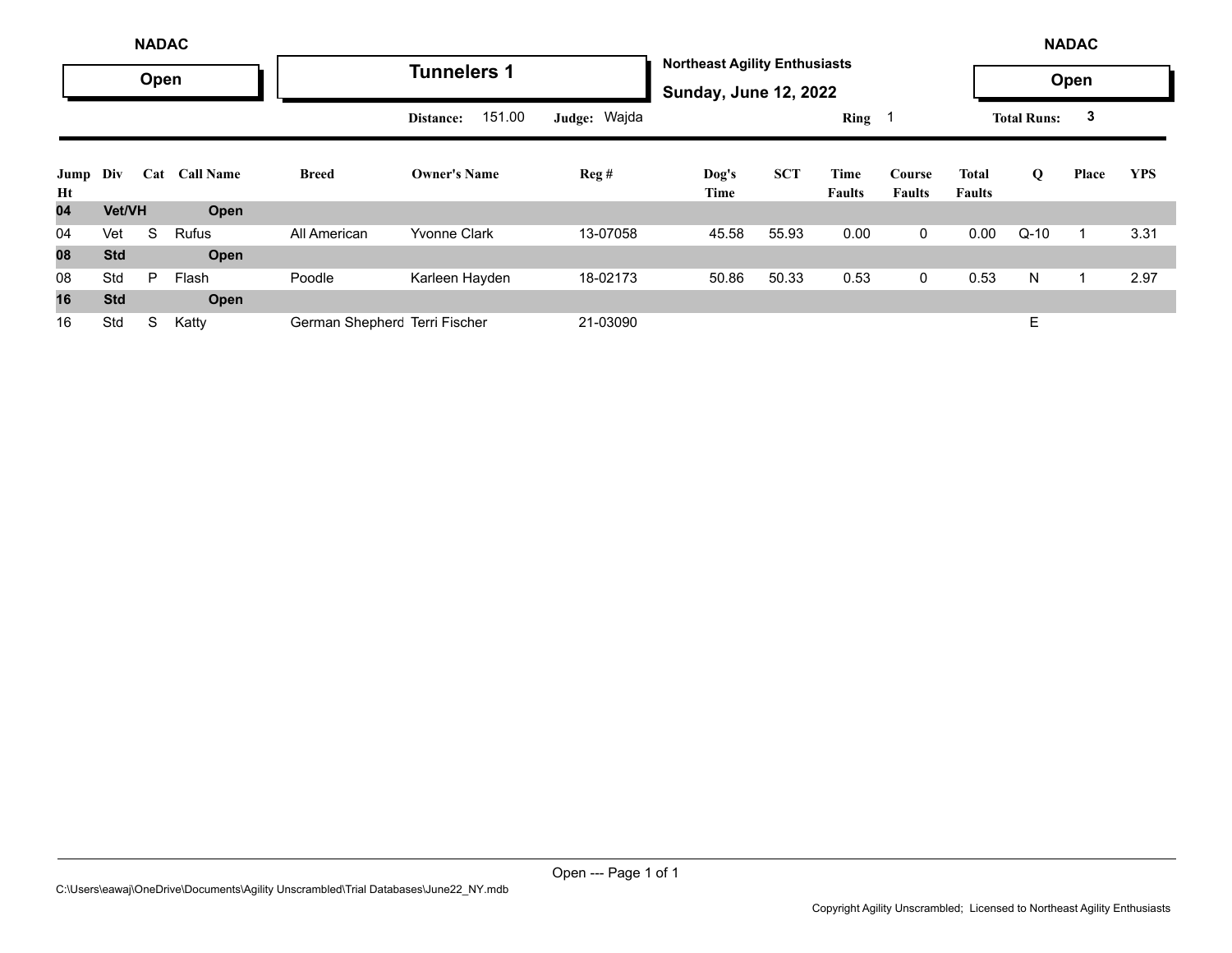|            |            | <b>NADAC</b> |                  |                               |                     |              |                                                                      |            |                       |                         |                        |                    | <b>NADAC</b> |            |
|------------|------------|--------------|------------------|-------------------------------|---------------------|--------------|----------------------------------------------------------------------|------------|-----------------------|-------------------------|------------------------|--------------------|--------------|------------|
|            |            | Open         |                  |                               | <b>Tunnelers 1</b>  |              | <b>Northeast Agility Enthusiasts</b><br><b>Sunday, June 12, 2022</b> |            |                       |                         |                        |                    | Open         |            |
|            |            |              |                  |                               | 151.00<br>Distance: | Judge: Wajda |                                                                      |            | Ring 1                |                         |                        | <b>Total Runs:</b> | 3            |            |
| Jump<br>Ht | Div        | Cat          | <b>Call Name</b> | <b>Breed</b>                  | <b>Owner's Name</b> | Reg#         | Dog's<br>Time                                                        | <b>SCT</b> | Time<br><b>Faults</b> | Course<br><b>Faults</b> | Total<br><b>Faults</b> | Q                  | Place        | <b>YPS</b> |
| 04         | Vet/VH     |              | Open             |                               |                     |              |                                                                      |            |                       |                         |                        |                    |              |            |
| 04         | Vet        | S            | <b>Rufus</b>     | All American                  | <b>Yvonne Clark</b> | 13-07058     | 45.58                                                                | 55.93      | 0.00                  | $\mathbf 0$             | 0.00                   | $Q-10$             |              | 3.31       |
| 08         | <b>Std</b> |              | Open             |                               |                     |              |                                                                      |            |                       |                         |                        |                    |              |            |
| 08         | Std        | P            | Flash            | Poodle                        | Karleen Hayden      | 18-02173     | 50.86                                                                | 50.33      | 0.53                  | 0                       | 0.53                   | N                  |              | 2.97       |
| 16         | <b>Std</b> |              | Open             |                               |                     |              |                                                                      |            |                       |                         |                        |                    |              |            |
| 16         | Std        | S            | Katty            | German Shepherc Terri Fischer |                     | 21-03090     |                                                                      |            |                       |                         |                        | E                  |              |            |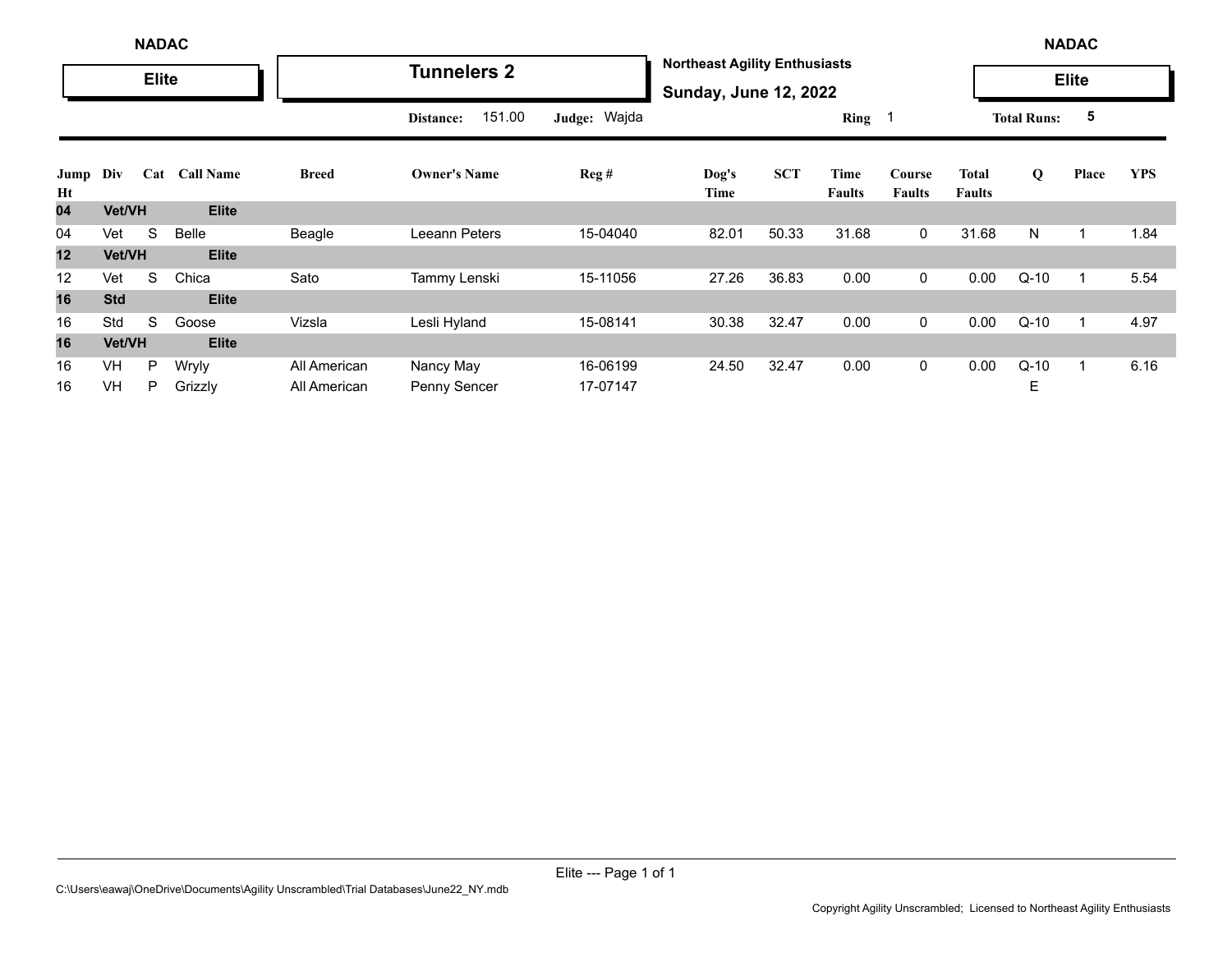|            | <b>NADAC</b> |              |                  |              |                     |              |                                                                      |            |                       |                         |                               | <b>NADAC</b>       |              |            |
|------------|--------------|--------------|------------------|--------------|---------------------|--------------|----------------------------------------------------------------------|------------|-----------------------|-------------------------|-------------------------------|--------------------|--------------|------------|
|            |              | <b>Elite</b> |                  |              | <b>Tunnelers 2</b>  |              | <b>Northeast Agility Enthusiasts</b><br><b>Sunday, June 12, 2022</b> |            |                       |                         |                               |                    | <b>Elite</b> |            |
|            |              |              |                  |              | 151.00<br>Distance: | Judge: Wajda |                                                                      |            | Ring $1$              |                         |                               | <b>Total Runs:</b> | 5            |            |
| Jump<br>Ht | Div          | Cat          | <b>Call Name</b> | <b>Breed</b> | <b>Owner's Name</b> | Reg#         | Dog's<br>Time                                                        | <b>SCT</b> | Time<br><b>Faults</b> | Course<br><b>Faults</b> | <b>Total</b><br><b>Faults</b> | Q                  | Place        | <b>YPS</b> |
| 04         | Vet/VH       |              | <b>Elite</b>     |              |                     |              |                                                                      |            |                       |                         |                               |                    |              |            |
| 04         | Vet          | S            | Belle            | Beagle       | Leeann Peters       | 15-04040     | 82.01                                                                | 50.33      | 31.68                 | $\mathbf 0$             | 31.68                         | N                  | 1            | 1.84       |
| 12         | Vet/VH       |              | <b>Elite</b>     |              |                     |              |                                                                      |            |                       |                         |                               |                    |              |            |
| 12         | Vet          | S            | Chica            | Sato         | Tammy Lenski        | 15-11056     | 27.26                                                                | 36.83      | 0.00                  | $\mathbf{0}$            | 0.00                          | $Q-10$             | 1            | 5.54       |
| 16         | <b>Std</b>   |              | <b>Elite</b>     |              |                     |              |                                                                      |            |                       |                         |                               |                    |              |            |
| 16         | Std          | S            | Goose            | Vizsla       | Lesli Hyland        | 15-08141     | 30.38                                                                | 32.47      | 0.00                  | $\mathbf{0}$            | 0.00                          | $Q-10$             | 1            | 4.97       |
| 16         | Vet/VH       |              | <b>Elite</b>     |              |                     |              |                                                                      |            |                       |                         |                               |                    |              |            |
| 16         | <b>VH</b>    | P            | Wryly            | All American | Nancy May           | 16-06199     | 24.50                                                                | 32.47      | 0.00                  | $\mathbf 0$             | 0.00                          | $Q-10$             | 1            | 6.16       |
| 16         | <b>VH</b>    | P            | Grizzly          | All American | Penny Sencer        | 17-07147     |                                                                      |            |                       |                         |                               | Ε                  |              |            |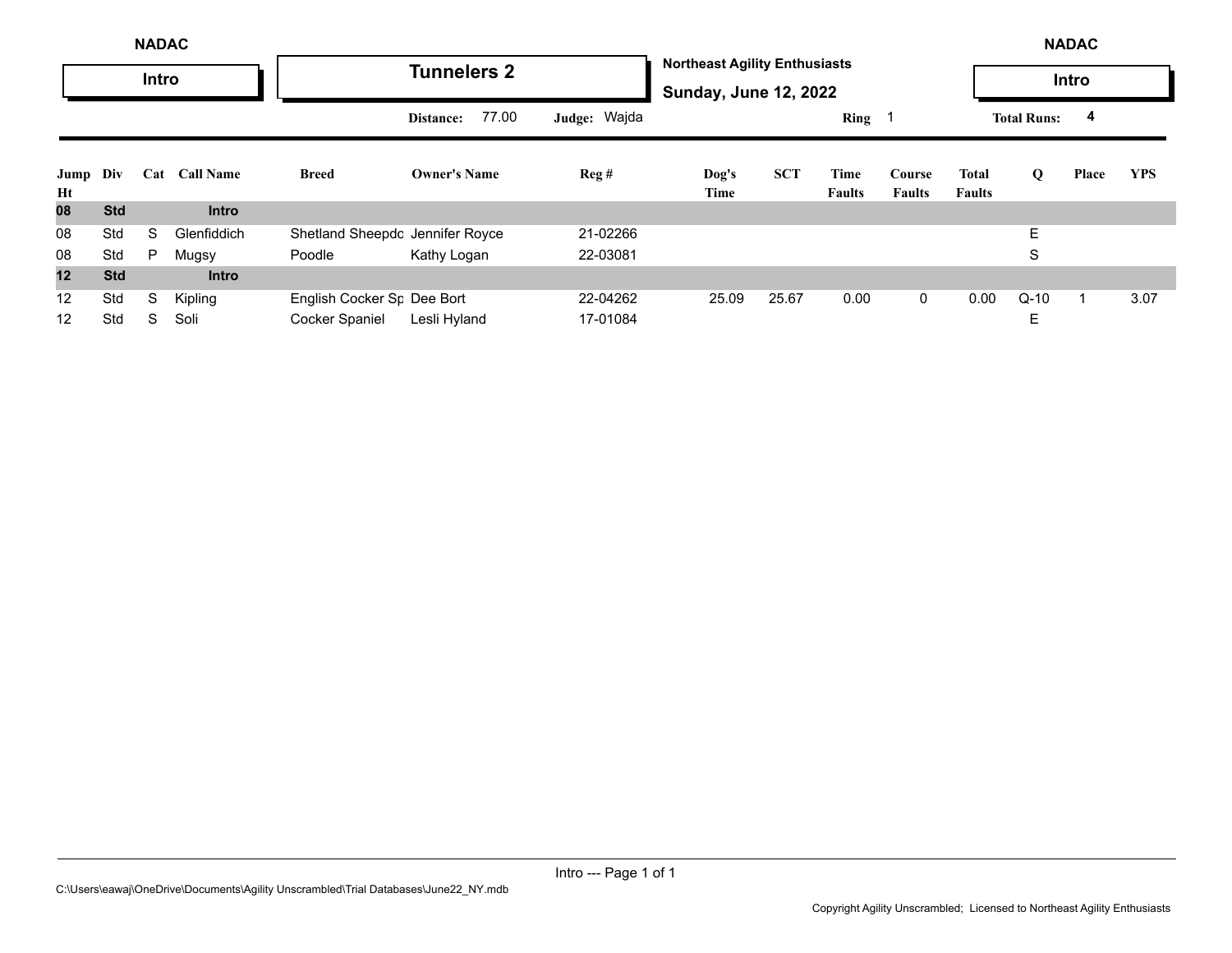|            | <b>NADAC</b>                   |              |              |                                 |                     |              |                                                                      |            |                       |                         |                        |                    | <b>NADAC</b> |            |
|------------|--------------------------------|--------------|--------------|---------------------------------|---------------------|--------------|----------------------------------------------------------------------|------------|-----------------------|-------------------------|------------------------|--------------------|--------------|------------|
|            |                                | <b>Intro</b> |              |                                 | <b>Tunnelers 2</b>  |              | <b>Northeast Agility Enthusiasts</b><br><b>Sunday, June 12, 2022</b> |            |                       |                         |                        |                    | Intro        |            |
|            | Div<br><b>Call Name</b><br>Cat |              |              |                                 | 77.00<br>Distance:  | Judge: Wajda |                                                                      |            | Ring                  |                         |                        | <b>Total Runs:</b> | 4            |            |
| Jump<br>Ht |                                |              |              | <b>Breed</b>                    | <b>Owner's Name</b> | Reg#         | Dog's<br>Time                                                        | <b>SCT</b> | Time<br><b>Faults</b> | Course<br><b>Faults</b> | Total<br><b>Faults</b> | Q                  | Place        | <b>YPS</b> |
| 08         | <b>Std</b>                     |              | <b>Intro</b> |                                 |                     |              |                                                                      |            |                       |                         |                        |                    |              |            |
| 08         | Std                            | S            | Glenfiddich  | Shetland Sheepdc Jennifer Royce |                     | 21-02266     |                                                                      |            |                       |                         |                        | E.                 |              |            |
| 08         | Std                            | P            | Mugsy        | Poodle                          | Kathy Logan         | 22-03081     |                                                                      |            |                       |                         |                        | S                  |              |            |
| 12         | <b>Std</b>                     |              | <b>Intro</b> |                                 |                     |              |                                                                      |            |                       |                         |                        |                    |              |            |
| 12         | Std                            | S            | Kipling      | English Cocker Sr Dee Bort      |                     | 22-04262     | 25.09                                                                | 25.67      | 0.00                  | 0                       | 0.00                   | $Q-10$             |              | 3.07       |
| 12         | Std                            | S            | Soli         | <b>Cocker Spaniel</b>           | Lesli Hyland        | 17-01084     |                                                                      |            |                       |                         |                        | Е                  |              |            |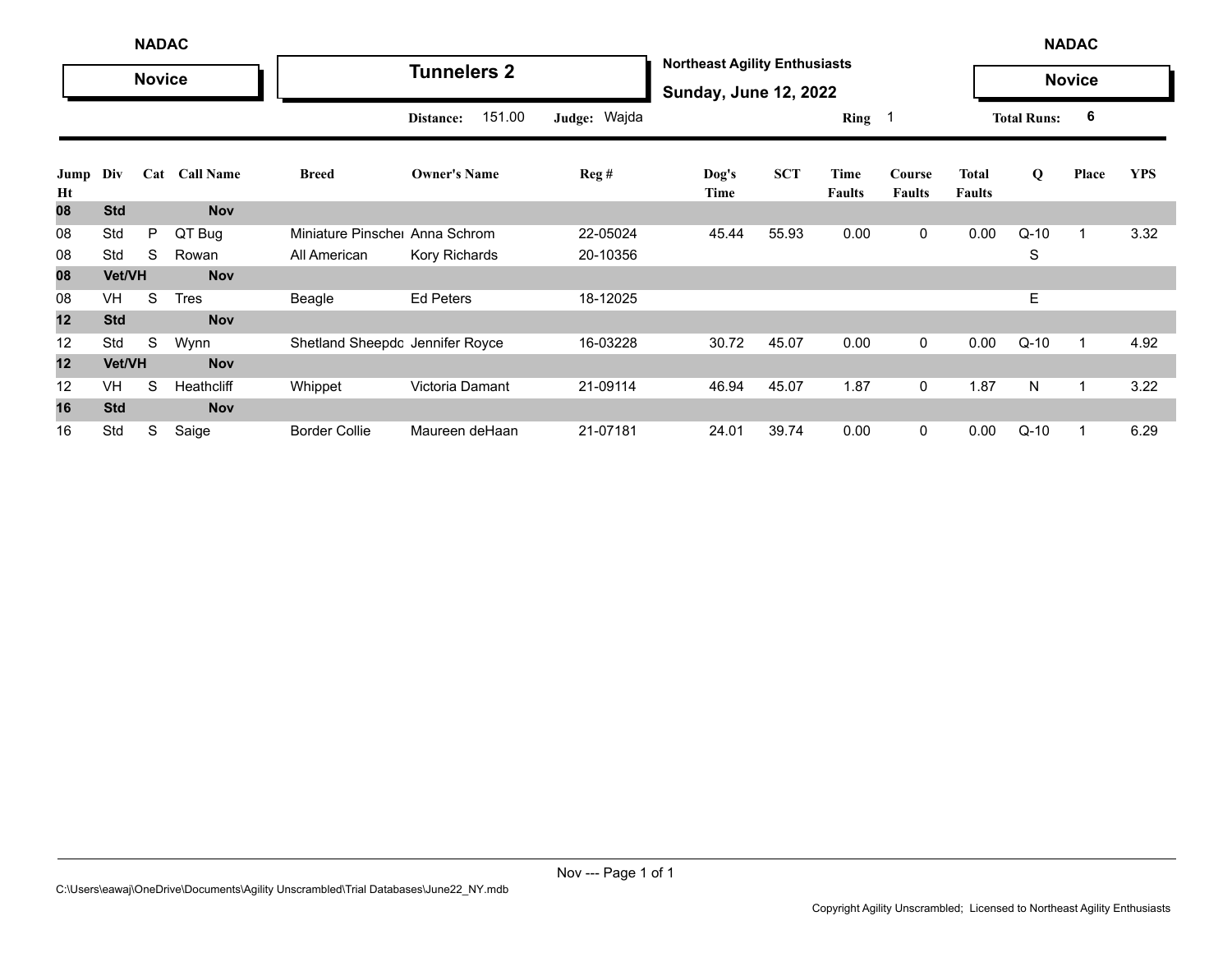|            |            | <b>NADAC</b>  |               |                                 |                     |              |                                                                      |            |                       |                         |                               |                    | <b>NADAC</b>  |            |
|------------|------------|---------------|---------------|---------------------------------|---------------------|--------------|----------------------------------------------------------------------|------------|-----------------------|-------------------------|-------------------------------|--------------------|---------------|------------|
|            |            | <b>Novice</b> |               |                                 | <b>Tunnelers 2</b>  |              | <b>Northeast Agility Enthusiasts</b><br><b>Sunday, June 12, 2022</b> |            |                       |                         |                               |                    | <b>Novice</b> |            |
|            |            |               |               |                                 | 151.00<br>Distance: | Judge: Wajda |                                                                      |            | Ring 1                |                         |                               | <b>Total Runs:</b> | 6             |            |
| Jump<br>Ht | Div        |               | Cat Call Name | <b>Breed</b>                    | <b>Owner's Name</b> | Reg#         | Dog's<br>Time                                                        | <b>SCT</b> | Time<br><b>Faults</b> | Course<br><b>Faults</b> | <b>Total</b><br><b>Faults</b> | Q                  | Place         | <b>YPS</b> |
| 80         | <b>Std</b> |               | <b>Nov</b>    |                                 |                     |              |                                                                      |            |                       |                         |                               |                    |               |            |
| 08         | Std        | P             | QT Bug        | Miniature Pinsche               | Anna Schrom         | 22-05024     | 45.44                                                                | 55.93      | 0.00                  | $\mathbf 0$             | 0.00                          | $Q-10$             |               | 3.32       |
| 08         | Std        | S             | Rowan         | All American                    | Kory Richards       | 20-10356     |                                                                      |            |                       |                         |                               | S                  |               |            |
| 08         | Vet/VH     |               | <b>Nov</b>    |                                 |                     |              |                                                                      |            |                       |                         |                               |                    |               |            |
| 08         | <b>VH</b>  | S             | <b>Tres</b>   | Beagle                          | <b>Ed Peters</b>    | 18-12025     |                                                                      |            |                       |                         |                               | E.                 |               |            |
| 12         | <b>Std</b> |               | <b>Nov</b>    |                                 |                     |              |                                                                      |            |                       |                         |                               |                    |               |            |
| 12         | Std        | S             | Wynn          | Shetland Sheepdc Jennifer Royce |                     | 16-03228     | 30.72                                                                | 45.07      | 0.00                  | 0                       | 0.00                          | $Q-10$             | 1             | 4.92       |
| 12         | Vet/VH     |               | <b>Nov</b>    |                                 |                     |              |                                                                      |            |                       |                         |                               |                    |               |            |
| 12         | VH         | S             | Heathcliff    | Whippet                         | Victoria Damant     | 21-09114     | 46.94                                                                | 45.07      | 1.87                  | $\mathbf 0$             | 1.87                          | N                  | 1             | 3.22       |
| 16         | <b>Std</b> |               | <b>Nov</b>    |                                 |                     |              |                                                                      |            |                       |                         |                               |                    |               |            |
| 16         | Std        | S             | Saige         | <b>Border Collie</b>            | Maureen deHaan      | 21-07181     | 24.01                                                                | 39.74      | 0.00                  | $\mathbf 0$             | 0.00                          | $Q-10$             | 1             | 6.29       |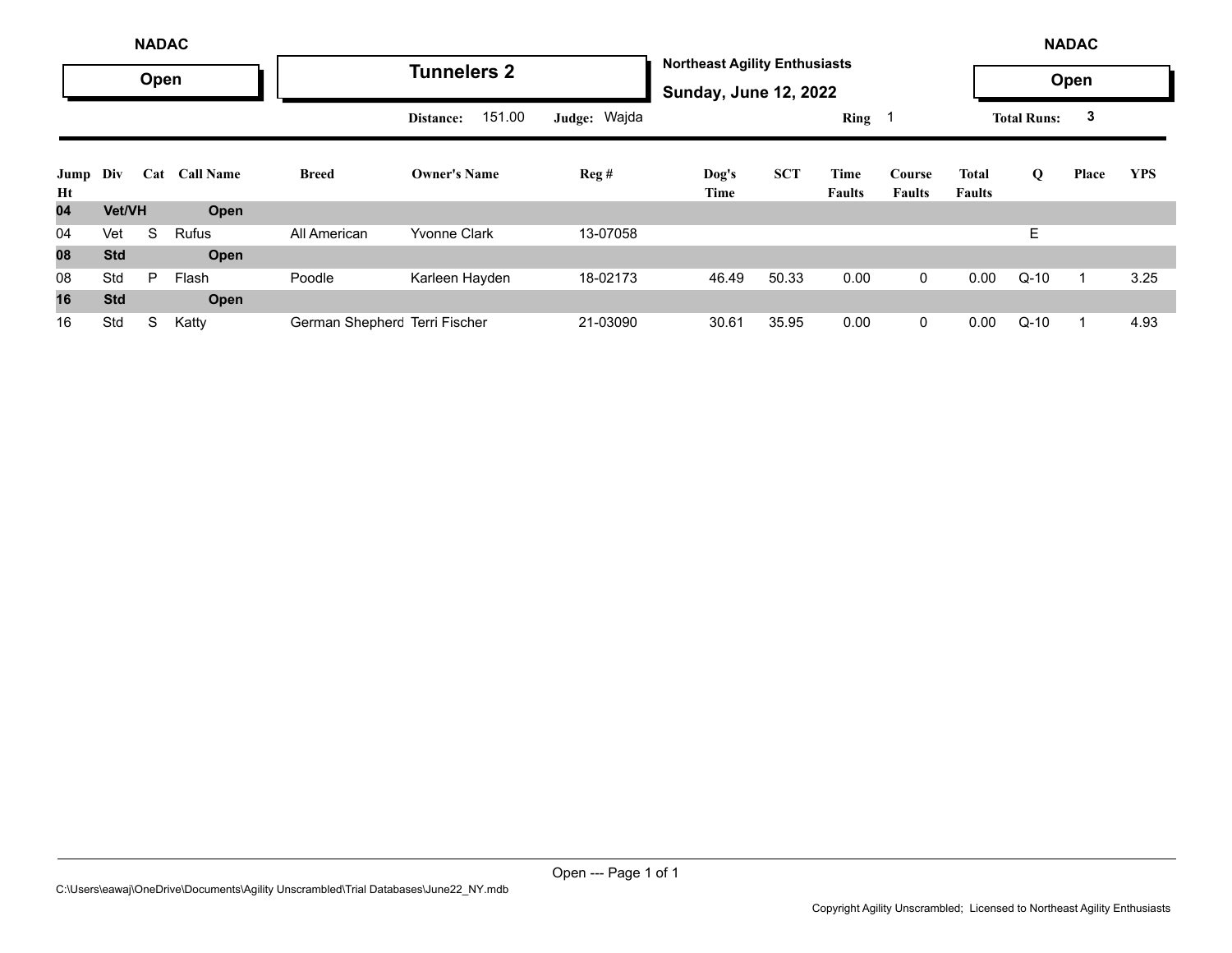|            | <b>NADAC</b> |      |                  |                               |                     |                |                                                                      |            |                       |                         |                        |                    | <b>NADAC</b> |            |
|------------|--------------|------|------------------|-------------------------------|---------------------|----------------|----------------------------------------------------------------------|------------|-----------------------|-------------------------|------------------------|--------------------|--------------|------------|
|            |              | Open |                  |                               | <b>Tunnelers 2</b>  |                | <b>Northeast Agility Enthusiasts</b><br><b>Sunday, June 12, 2022</b> |            |                       |                         |                        |                    | Open         |            |
|            |              |      |                  |                               | 151.00<br>Distance: | Judge: Wajda   |                                                                      |            | $Ring \t1$            |                         |                        | <b>Total Runs:</b> | 3            |            |
| Jump<br>Ht | Div          | Cat  | <b>Call Name</b> | <b>Breed</b>                  | <b>Owner's Name</b> | $\text{Reg }#$ | Dog's<br>Time                                                        | <b>SCT</b> | Time<br><b>Faults</b> | Course<br><b>Faults</b> | Total<br><b>Faults</b> | Q                  | Place        | <b>YPS</b> |
| 04         | Vet/VH       |      | Open             |                               |                     |                |                                                                      |            |                       |                         |                        |                    |              |            |
| 04         | Vet          | S    | Rufus            | All American                  | <b>Yvonne Clark</b> | 13-07058       |                                                                      |            |                       |                         |                        | E.                 |              |            |
| 08         | <b>Std</b>   |      | Open             |                               |                     |                |                                                                      |            |                       |                         |                        |                    |              |            |
| 08         | Std          | P    | Flash            | Poodle                        | Karleen Hayden      | 18-02173       | 46.49                                                                | 50.33      | 0.00                  | $\mathbf 0$             | 0.00                   | $Q-10$             |              | 3.25       |
| 16         | <b>Std</b>   |      | Open             |                               |                     |                |                                                                      |            |                       |                         |                        |                    |              |            |
| 16         | Std          | S    | Katty            | German Shepherc Terri Fischer |                     | 21-03090       | 30.61                                                                | 35.95      | 0.00                  | $\mathbf{0}$            | 0.00                   | $Q-10$             |              | 4.93       |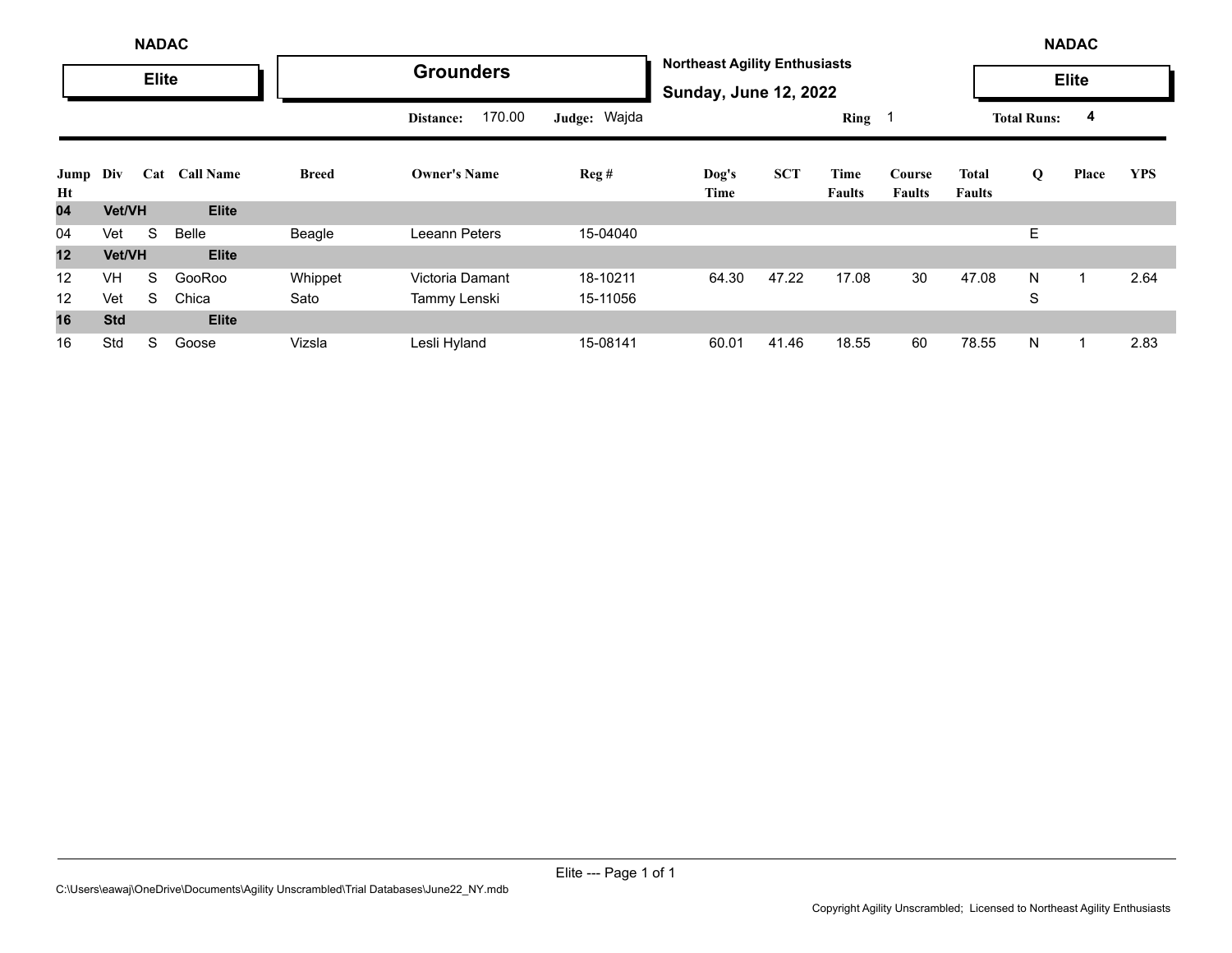|            | <b>NADAC</b><br><b>Elite</b> |     |                  |              |                     |              |                                                                      |            |                       |                         |                               |                    | <b>NADAC</b> |            |
|------------|------------------------------|-----|------------------|--------------|---------------------|--------------|----------------------------------------------------------------------|------------|-----------------------|-------------------------|-------------------------------|--------------------|--------------|------------|
|            |                              |     |                  |              | <b>Grounders</b>    |              | <b>Northeast Agility Enthusiasts</b><br><b>Sunday, June 12, 2022</b> |            |                       |                         |                               |                    | <b>Elite</b> |            |
|            |                              |     |                  |              | 170.00<br>Distance: | Judge: Wajda |                                                                      |            | Ring 1                |                         |                               | <b>Total Runs:</b> | 4            |            |
| Jump<br>Ht | Div                          | Cat | <b>Call Name</b> | <b>Breed</b> | <b>Owner's Name</b> | Reg#         | Dog's<br>Time                                                        | <b>SCT</b> | Time<br><b>Faults</b> | Course<br><b>Faults</b> | <b>Total</b><br><b>Faults</b> | Q                  | Place        | <b>YPS</b> |
| 04         | <b>Vet/VH</b>                |     | <b>Elite</b>     |              |                     |              |                                                                      |            |                       |                         |                               |                    |              |            |
| 04         | Vet                          | S   | Belle            | Beagle       | Leeann Peters       | 15-04040     |                                                                      |            |                       |                         |                               | Ε                  |              |            |
| 12         | Vet/VH                       |     | <b>Elite</b>     |              |                     |              |                                                                      |            |                       |                         |                               |                    |              |            |
| 12         | <b>VH</b>                    | S   | GooRoo           | Whippet      | Victoria Damant     | 18-10211     | 64.30                                                                | 47.22      | 17.08                 | 30                      | 47.08                         | N                  |              | 2.64       |
| 12         | Vet                          | S   | Chica            | Sato         | Tammy Lenski        | 15-11056     |                                                                      |            |                       |                         |                               | S                  |              |            |
| 16         | <b>Std</b>                   |     | <b>Elite</b>     |              |                     |              |                                                                      |            |                       |                         |                               |                    |              |            |
| 16         | Std                          | S   | Goose            | Vizsla       | Lesli Hyland        | 15-08141     | 60.01                                                                | 41.46      | 18.55                 | 60                      | 78.55                         | N                  |              | 2.83       |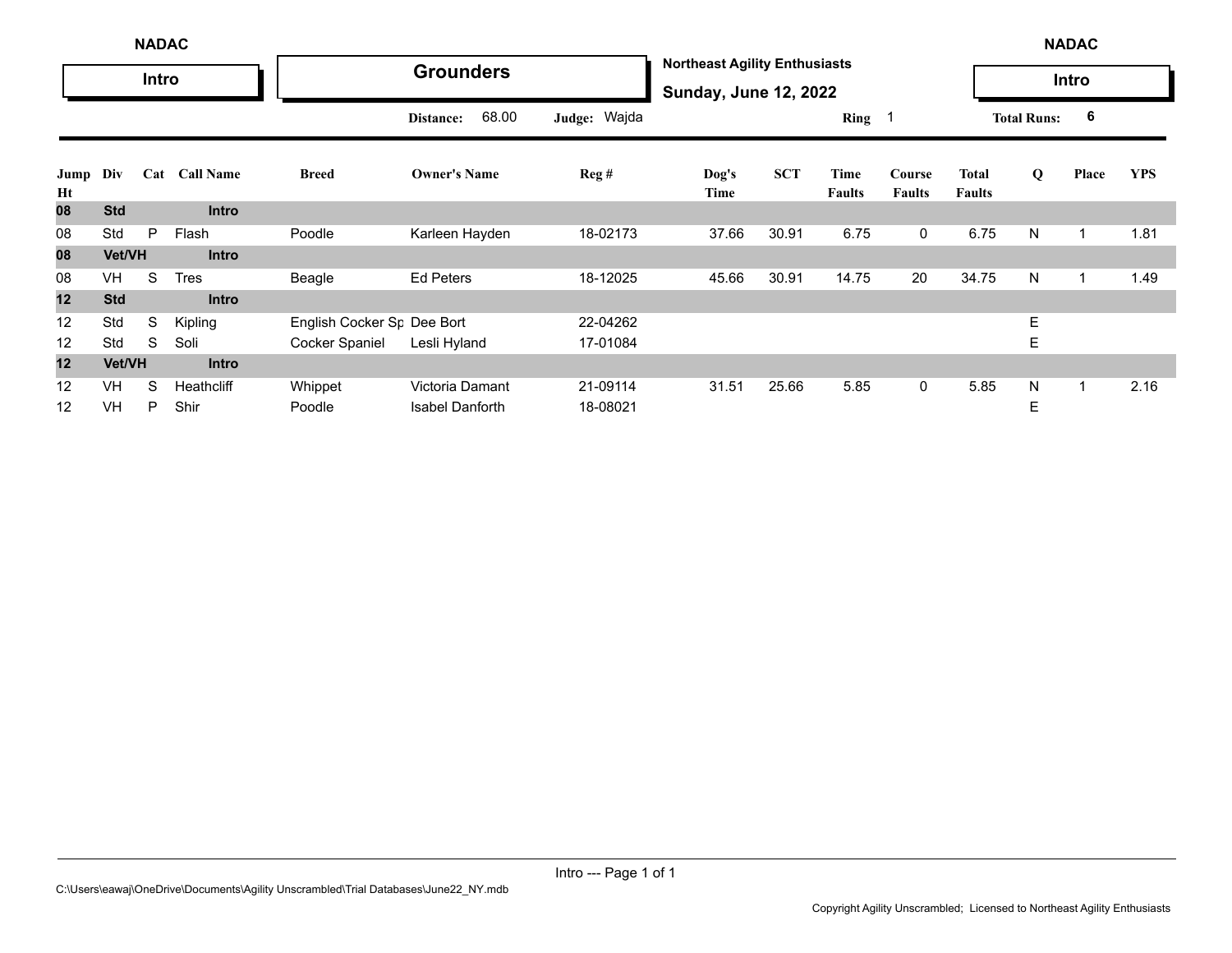|                   | <b>NADAC</b><br>Intro |   |               |                                        |                        |              |                                                                      |            |                       |                         |                               |                    | <b>NADAC</b> |            |
|-------------------|-----------------------|---|---------------|----------------------------------------|------------------------|--------------|----------------------------------------------------------------------|------------|-----------------------|-------------------------|-------------------------------|--------------------|--------------|------------|
|                   |                       |   |               |                                        | <b>Grounders</b>       |              | <b>Northeast Agility Enthusiasts</b><br><b>Sunday, June 12, 2022</b> |            |                       |                         |                               |                    | Intro        |            |
|                   |                       |   |               |                                        | 68.00<br>Distance:     | Judge: Wajda |                                                                      |            | Ring $1$              |                         |                               | <b>Total Runs:</b> | 6            |            |
| Jump<br>Ht        | Div                   |   | Cat Call Name | <b>Breed</b>                           | <b>Owner's Name</b>    | Reg#         | Dog's<br>Time                                                        | <b>SCT</b> | Time<br><b>Faults</b> | Course<br><b>Faults</b> | <b>Total</b><br><b>Faults</b> | Q                  | Place        | <b>YPS</b> |
| 80                | <b>Std</b>            |   | <b>Intro</b>  |                                        |                        |              |                                                                      |            |                       |                         |                               |                    |              |            |
| 08                | Std                   | P | Flash         | Poodle                                 | Karleen Hayden         | 18-02173     | 37.66                                                                | 30.91      | 6.75                  | $\mathbf{0}$            | 6.75                          | N                  | 1            | 1.81       |
| 08                | Vet/VH                |   | <b>Intro</b>  |                                        |                        |              |                                                                      |            |                       |                         |                               |                    |              |            |
| 08                | VH                    | S | <b>Tres</b>   | Beagle                                 | <b>Ed Peters</b>       | 18-12025     | 45.66                                                                | 30.91      | 14.75                 | 20                      | 34.75                         | N                  | 1            | 1.49       |
| 12                | <b>Std</b>            |   | <b>Intro</b>  |                                        |                        |              |                                                                      |            |                       |                         |                               |                    |              |            |
| 12                | Std                   | S | Kipling       | English Cocker S <sub>F</sub> Dee Bort |                        | 22-04262     |                                                                      |            |                       |                         |                               | E.                 |              |            |
| 12                | Std                   | S | Soli          | Cocker Spaniel                         | Lesli Hyland           | 17-01084     |                                                                      |            |                       |                         |                               | Ε                  |              |            |
| 12                | Vet/VH                |   | <b>Intro</b>  |                                        |                        |              |                                                                      |            |                       |                         |                               |                    |              |            |
| 12                | VH                    | S | Heathcliff    | Whippet                                | Victoria Damant        | 21-09114     | 31.51                                                                | 25.66      | 5.85                  | $\mathbf 0$             | 5.85                          | N                  | 1            | 2.16       |
| $12 \overline{ }$ | VH                    | P | Shir          | Poodle                                 | <b>Isabel Danforth</b> | 18-08021     |                                                                      |            |                       |                         |                               | Е                  |              |            |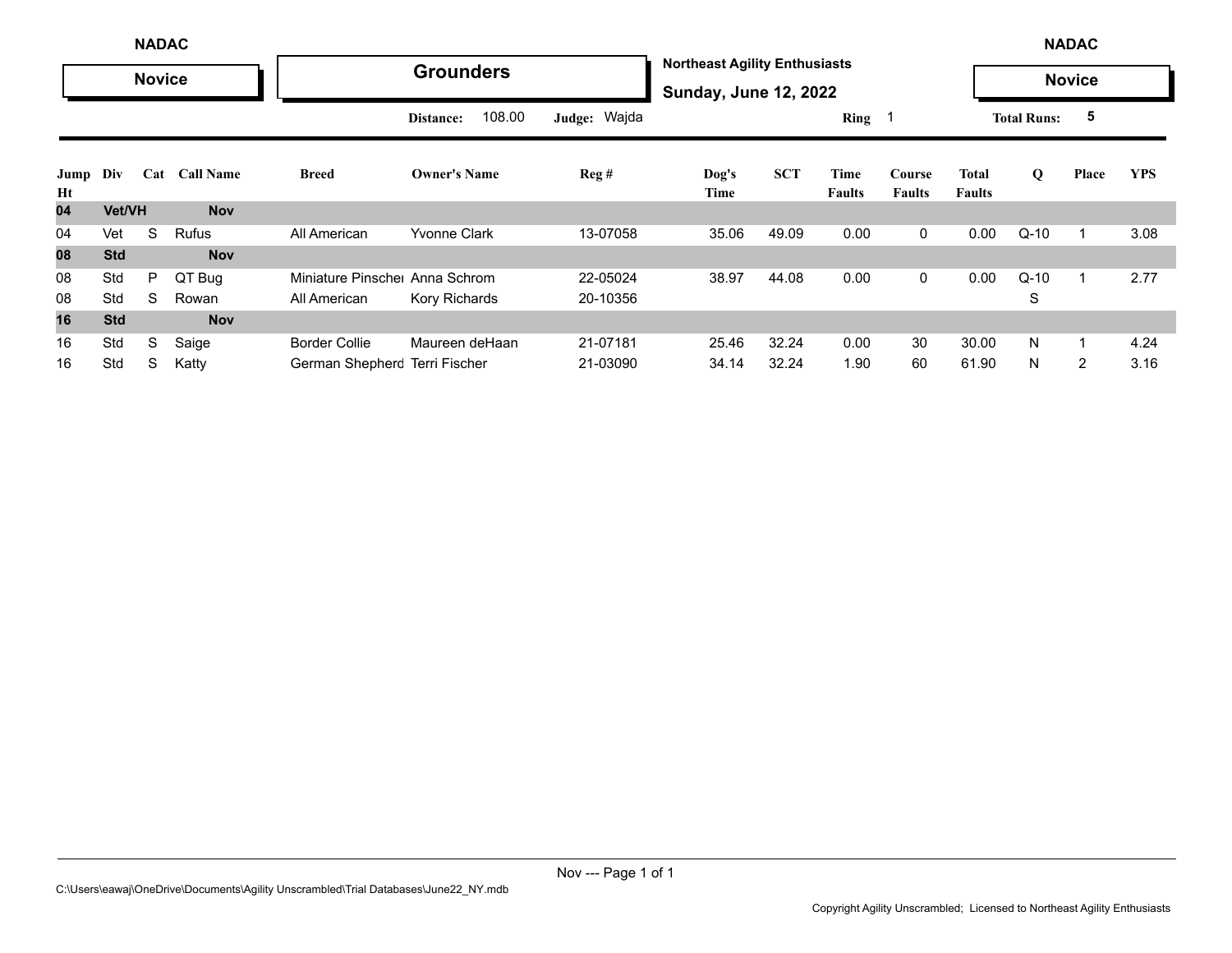|            | <b>NADAC</b> |               |               |                               |                     |                |                                                                      |            |                |                         |                        | <b>NADAC</b>       |                |            |
|------------|--------------|---------------|---------------|-------------------------------|---------------------|----------------|----------------------------------------------------------------------|------------|----------------|-------------------------|------------------------|--------------------|----------------|------------|
|            |              | <b>Novice</b> |               |                               | <b>Grounders</b>    |                | <b>Northeast Agility Enthusiasts</b><br><b>Sunday, June 12, 2022</b> |            |                |                         |                        |                    | <b>Novice</b>  |            |
|            |              |               |               |                               | 108.00<br>Distance: | Judge: Wajda   |                                                                      |            | Ring 1         |                         |                        | <b>Total Runs:</b> | 5              |            |
| Jump<br>Ht | Div          |               | Cat Call Name | <b>Breed</b>                  | <b>Owner's Name</b> | $\text{Reg }#$ | Dog's<br>Time                                                        | <b>SCT</b> | Time<br>Faults | Course<br><b>Faults</b> | Total<br><b>Faults</b> | Q                  | Place          | <b>YPS</b> |
| 04         | Vet/VH       |               | <b>Nov</b>    |                               |                     |                |                                                                      |            |                |                         |                        |                    |                |            |
| 04         | Vet          | S             | <b>Rufus</b>  | All American                  | <b>Yvonne Clark</b> | 13-07058       | 35.06                                                                | 49.09      | 0.00           | 0                       | 0.00                   | $Q-10$             | $\mathbf{1}$   | 3.08       |
| 08         | <b>Std</b>   |               | <b>Nov</b>    |                               |                     |                |                                                                      |            |                |                         |                        |                    |                |            |
| 08         | Std          | P             | QT Bug        | Miniature Pinsche Anna Schrom |                     | 22-05024       | 38.97                                                                | 44.08      | 0.00           | 0                       | 0.00                   | $Q-10$             | $\mathbf{1}$   | 2.77       |
| 08         | Std          | S             | Rowan         | All American                  | Kory Richards       | 20-10356       |                                                                      |            |                |                         |                        | S                  |                |            |
| 16         | <b>Std</b>   |               | <b>Nov</b>    |                               |                     |                |                                                                      |            |                |                         |                        |                    |                |            |
| 16         | Std          | S             | Saige         | <b>Border Collie</b>          | Maureen deHaan      | 21-07181       | 25.46                                                                | 32.24      | 0.00           | 30                      | 30.00                  | N                  | $\mathbf{1}$   | 4.24       |
| 16         | Std          | S             | Katty         | German Shepherc Terri Fischer |                     | 21-03090       | 34.14                                                                | 32.24      | 1.90           | 60                      | 61.90                  | N                  | $\overline{2}$ | 3.16       |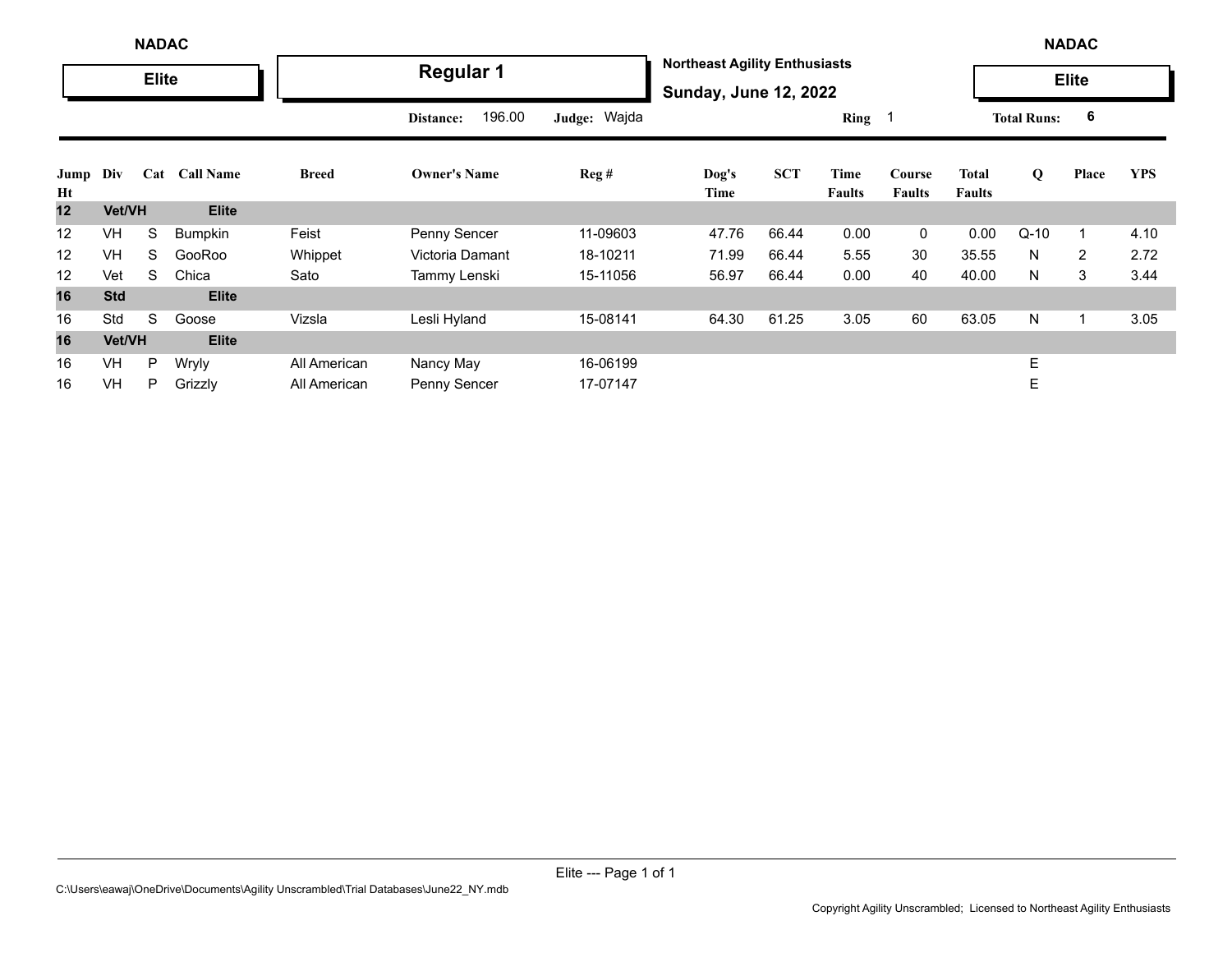|            | <b>NADAC</b> |              |                  |              |                     |              |                                                                      |            |                       |                         |                               | <b>NADAC</b>       |              |            |
|------------|--------------|--------------|------------------|--------------|---------------------|--------------|----------------------------------------------------------------------|------------|-----------------------|-------------------------|-------------------------------|--------------------|--------------|------------|
|            |              | <b>Elite</b> |                  |              | <b>Regular 1</b>    |              | <b>Northeast Agility Enthusiasts</b><br><b>Sunday, June 12, 2022</b> |            |                       |                         |                               |                    | <b>Elite</b> |            |
|            |              |              |                  |              | 196.00<br>Distance: | Judge: Wajda |                                                                      |            | Ring 1                |                         |                               | <b>Total Runs:</b> | 6            |            |
| Jump<br>Ht | Div          | Cat          | <b>Call Name</b> | <b>Breed</b> | <b>Owner's Name</b> | Reg#         | Dog's<br>Time                                                        | <b>SCT</b> | Time<br><b>Faults</b> | Course<br><b>Faults</b> | <b>Total</b><br><b>Faults</b> | Q                  | Place        | <b>YPS</b> |
| 12         | Vet/VH       |              | <b>Elite</b>     |              |                     |              |                                                                      |            |                       |                         |                               |                    |              |            |
| 12         | <b>VH</b>    | S            | Bumpkin          | Feist        | Penny Sencer        | 11-09603     | 47.76                                                                | 66.44      | 0.00                  | $\mathbf 0$             | 0.00                          | $Q-10$             |              | 4.10       |
| 12         | VH           | S            | GooRoo           | Whippet      | Victoria Damant     | 18-10211     | 71.99                                                                | 66.44      | 5.55                  | 30                      | 35.55                         | N                  | 2            | 2.72       |
| 12         | Vet          | S            | Chica            | Sato         | Tammy Lenski        | 15-11056     | 56.97                                                                | 66.44      | 0.00                  | 40                      | 40.00                         | N.                 | 3            | 3.44       |
| 16         | <b>Std</b>   |              | <b>Elite</b>     |              |                     |              |                                                                      |            |                       |                         |                               |                    |              |            |
| 16         | Std          | S            | Goose            | Vizsla       | Lesli Hyland        | 15-08141     | 64.30                                                                | 61.25      | 3.05                  | 60                      | 63.05                         | N                  |              | 3.05       |
| 16         | Vet/VH       |              | <b>Elite</b>     |              |                     |              |                                                                      |            |                       |                         |                               |                    |              |            |
| 16         | VH           | P            | Wryly            | All American | Nancy May           | 16-06199     |                                                                      |            |                       |                         |                               | E                  |              |            |
| 16         | <b>VH</b>    | P            | Grizzly          | All American | Penny Sencer        | 17-07147     |                                                                      |            |                       |                         |                               | E                  |              |            |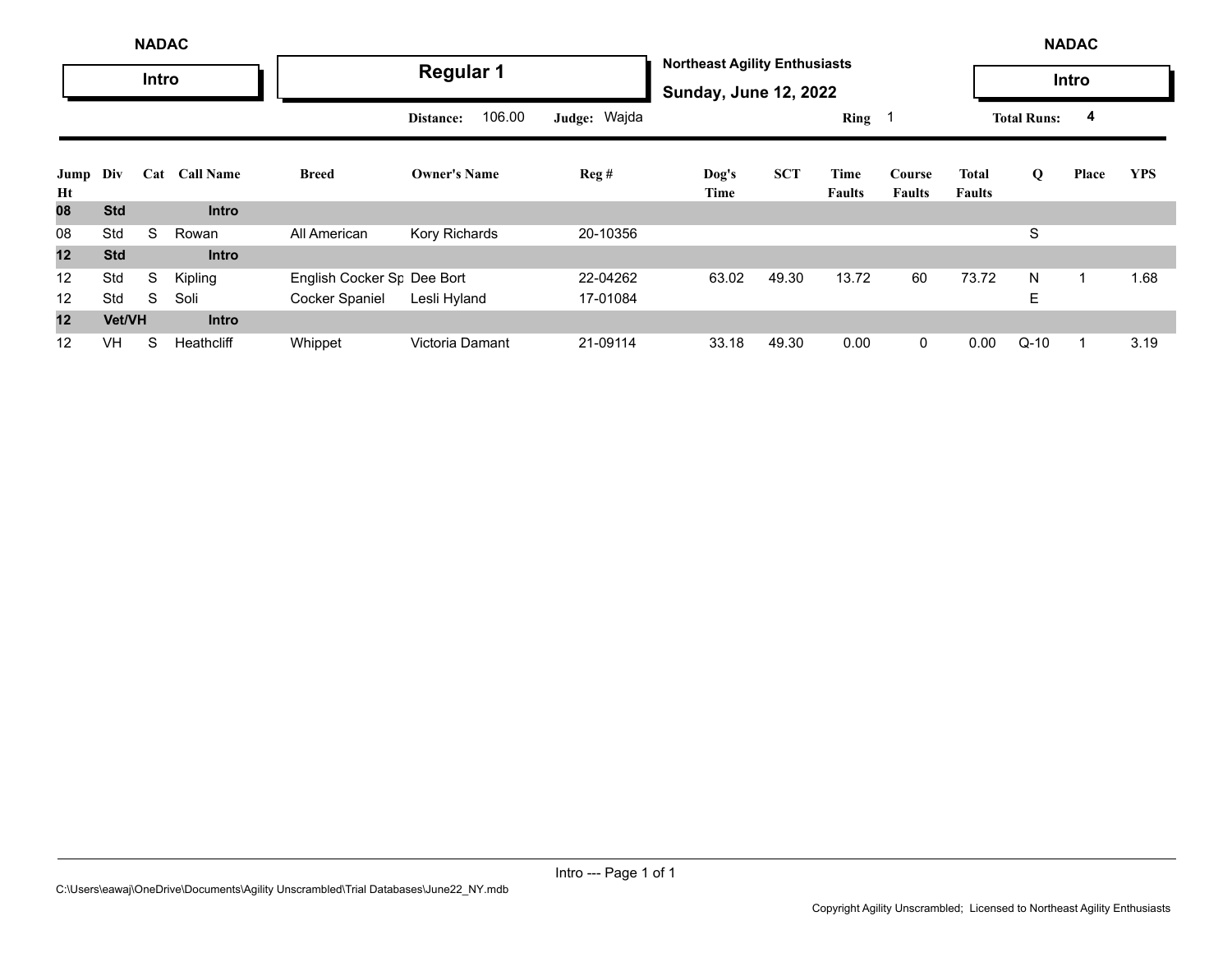|            |            | <b>NADAC</b> |                  |                                        |                     |              |                                                                      |            |                |                         |                        |                    | <b>NADAC</b> |            |
|------------|------------|--------------|------------------|----------------------------------------|---------------------|--------------|----------------------------------------------------------------------|------------|----------------|-------------------------|------------------------|--------------------|--------------|------------|
|            |            | <b>Intro</b> |                  |                                        | <b>Regular 1</b>    |              | <b>Northeast Agility Enthusiasts</b><br><b>Sunday, June 12, 2022</b> |            |                |                         |                        |                    | Intro        |            |
|            |            |              |                  |                                        | 106.00<br>Distance: | Judge: Wajda |                                                                      |            | Ring           |                         |                        | <b>Total Runs:</b> | 4            |            |
| Jump<br>Ht | Div        | Cat          | <b>Call Name</b> | <b>Breed</b>                           | <b>Owner's Name</b> | Reg#         | Dog's<br>Time                                                        | <b>SCT</b> | Time<br>Faults | Course<br><b>Faults</b> | Total<br><b>Faults</b> | Q                  | Place        | <b>YPS</b> |
| 08         | <b>Std</b> |              | <b>Intro</b>     |                                        |                     |              |                                                                      |            |                |                         |                        |                    |              |            |
| 08         | Std        | S            | Rowan            | All American                           | Kory Richards       | 20-10356     |                                                                      |            |                |                         |                        | S                  |              |            |
| 12         | <b>Std</b> |              | <b>Intro</b>     |                                        |                     |              |                                                                      |            |                |                         |                        |                    |              |            |
| 12         | Std        | S            | Kipling          | English Cocker S <sub>F</sub> Dee Bort |                     | 22-04262     | 63.02                                                                | 49.30      | 13.72          | 60                      | 73.72                  | N                  |              | 1.68       |
| 12         | Std        | S            | Soli             | Cocker Spaniel                         | Lesli Hyland        | 17-01084     |                                                                      |            |                |                         |                        | E                  |              |            |
| 12         | Vet/VH     |              | Intro            |                                        |                     |              |                                                                      |            |                |                         |                        |                    |              |            |
| 12         | <b>VH</b>  | S            | Heathcliff       | Whippet                                | Victoria Damant     | 21-09114     | 33.18                                                                | 49.30      | 0.00           | $\mathbf 0$             | 0.00                   | $Q-10$             |              | 3.19       |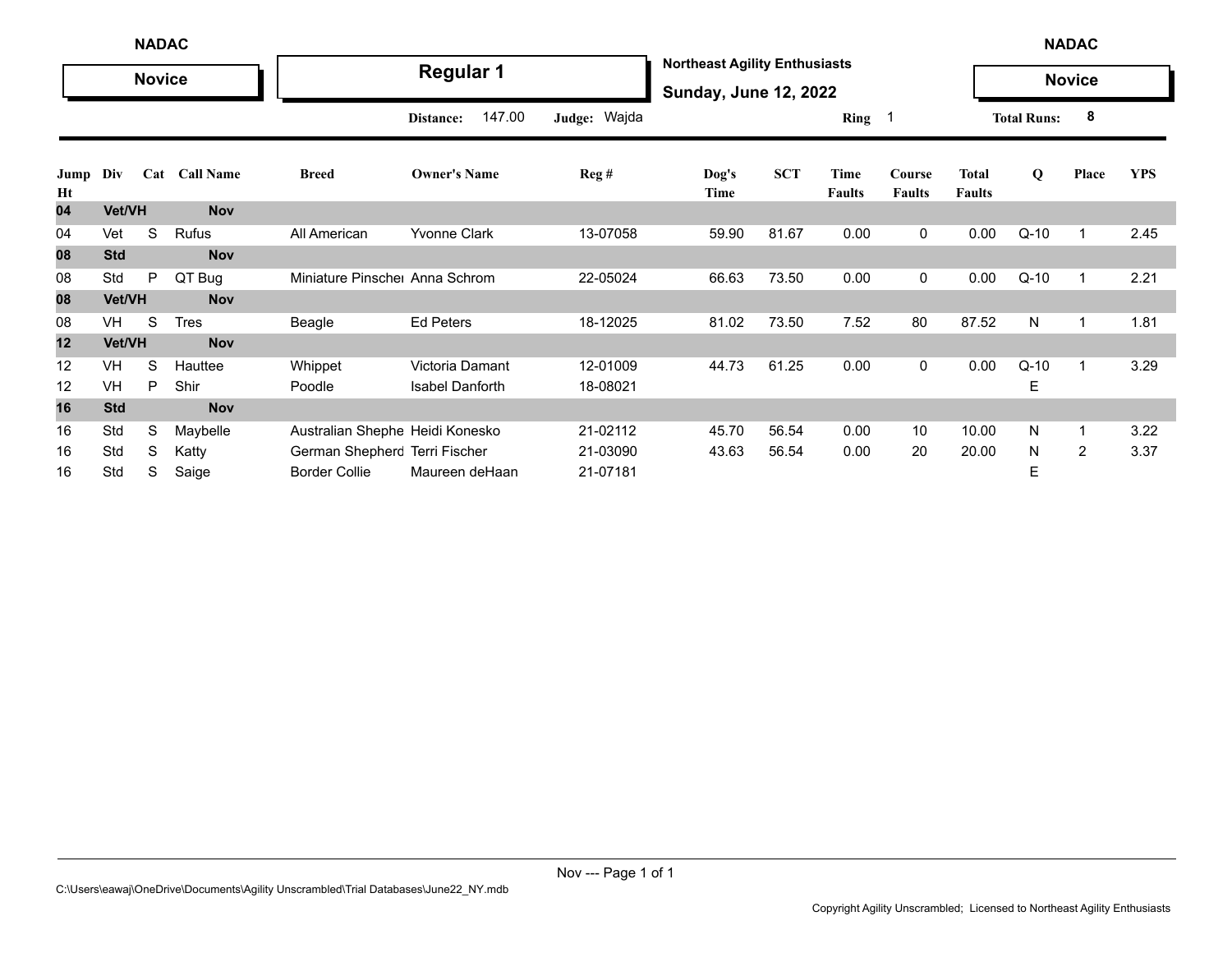|            | <b>NADAC</b> |               |               |                                 |                        |                  |                                                                      |            |                       |                         |                               | <b>NADAC</b>       |                         |            |
|------------|--------------|---------------|---------------|---------------------------------|------------------------|------------------|----------------------------------------------------------------------|------------|-----------------------|-------------------------|-------------------------------|--------------------|-------------------------|------------|
|            |              | <b>Novice</b> |               |                                 | <b>Regular 1</b>       |                  | <b>Northeast Agility Enthusiasts</b><br><b>Sunday, June 12, 2022</b> |            |                       |                         |                               |                    | <b>Novice</b>           |            |
|            |              |               |               |                                 | 147.00<br>Distance:    | Judge: Wajda     |                                                                      |            | Ring                  | - 1                     |                               | <b>Total Runs:</b> | 8                       |            |
| Jump<br>Ht | Div          |               | Cat Call Name | <b>Breed</b>                    | <b>Owner's Name</b>    | $\text{Reg } \#$ | Dog's<br>Time                                                        | <b>SCT</b> | Time<br><b>Faults</b> | Course<br><b>Faults</b> | <b>Total</b><br><b>Faults</b> | $\bf{Q}$           | Place                   | <b>YPS</b> |
| 04         | Vet/VH       |               | <b>Nov</b>    |                                 |                        |                  |                                                                      |            |                       |                         |                               |                    |                         |            |
| 04         | Vet          | S             | Rufus         | All American                    | <b>Yvonne Clark</b>    | 13-07058         | 59.90                                                                | 81.67      | 0.00                  | 0                       | 0.00                          | $Q-10$             | $\overline{\mathbf{1}}$ | 2.45       |
| 08         | <b>Std</b>   |               | <b>Nov</b>    |                                 |                        |                  |                                                                      |            |                       |                         |                               |                    |                         |            |
| 08         | Std          | P             | QT Bug        | Miniature Pinsche Anna Schrom   |                        | 22-05024         | 66.63                                                                | 73.50      | 0.00                  | 0                       | 0.00                          | $Q-10$             | -1                      | 2.21       |
| 08         | Vet/VH       |               | <b>Nov</b>    |                                 |                        |                  |                                                                      |            |                       |                         |                               |                    |                         |            |
| 08         | VH           | S             | <b>Tres</b>   | Beagle                          | <b>Ed Peters</b>       | 18-12025         | 81.02                                                                | 73.50      | 7.52                  | 80                      | 87.52                         | N                  | $\overline{\mathbf{1}}$ | 1.81       |
| 12         | Vet/VH       |               | <b>Nov</b>    |                                 |                        |                  |                                                                      |            |                       |                         |                               |                    |                         |            |
| 12         | VH           | S             | Hauttee       | Whippet                         | Victoria Damant        | 12-01009         | 44.73                                                                | 61.25      | 0.00                  | 0                       | 0.00                          | $Q-10$             | $\overline{\mathbf{1}}$ | 3.29       |
| 12         | <b>VH</b>    | P             | Shir          | Poodle                          | <b>Isabel Danforth</b> | 18-08021         |                                                                      |            |                       |                         |                               | E                  |                         |            |
| 16         | <b>Std</b>   |               | <b>Nov</b>    |                                 |                        |                  |                                                                      |            |                       |                         |                               |                    |                         |            |
| 16         | Std          | S             | Maybelle      | Australian Shephe Heidi Konesko |                        | 21-02112         | 45.70                                                                | 56.54      | 0.00                  | 10                      | 10.00                         | N                  | 1                       | 3.22       |
| 16         | Std          | S             | Katty         | German Shepherc Terri Fischer   |                        | 21-03090         | 43.63                                                                | 56.54      | 0.00                  | 20                      | 20.00                         | N                  | $\overline{c}$          | 3.37       |
| 16         | Std          | S             | Saige         | <b>Border Collie</b>            | Maureen deHaan         | 21-07181         |                                                                      |            |                       |                         |                               | Е                  |                         |            |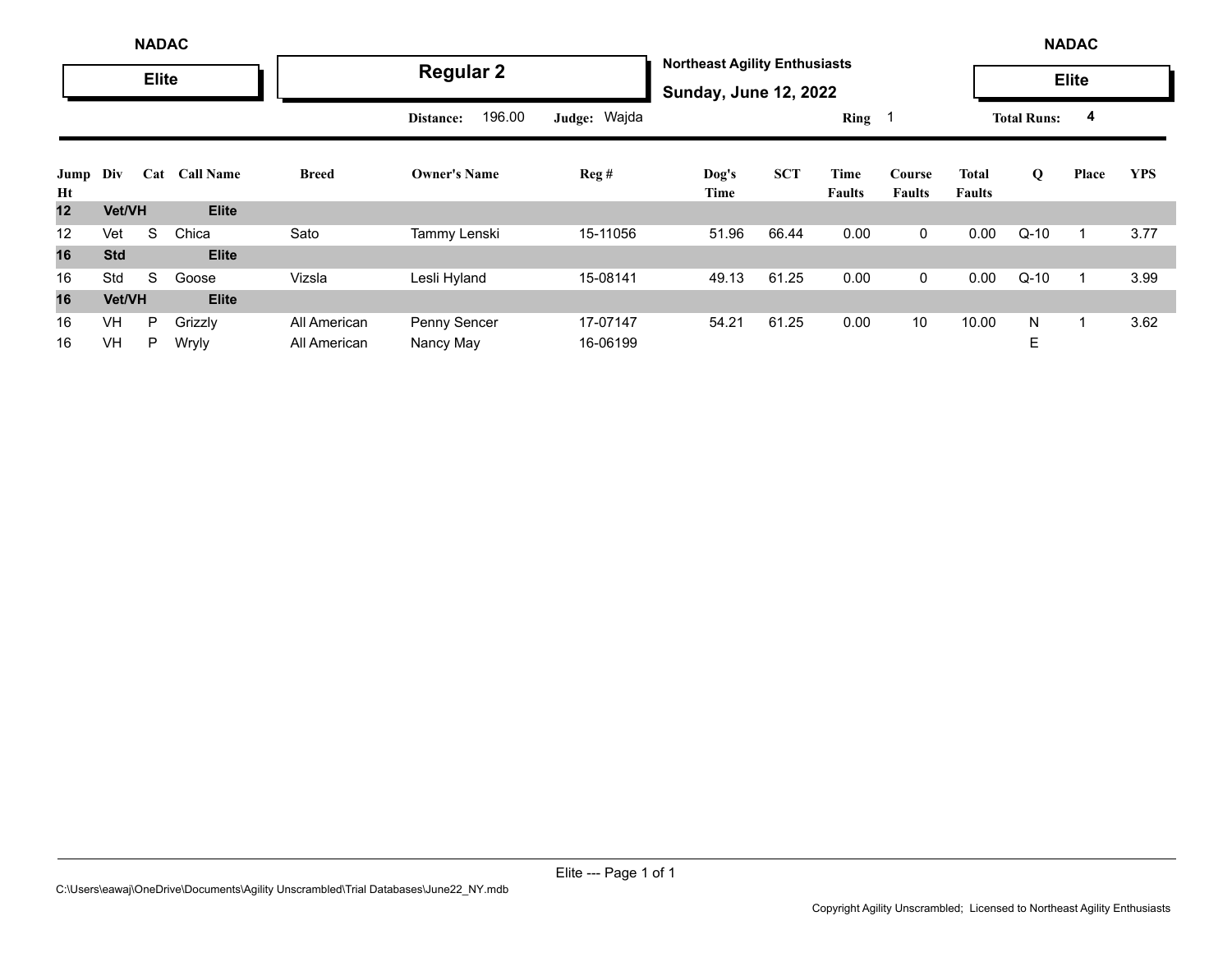|            | <b>NADAC</b><br><b>Elite</b> |     |                  |              |                     |              |                                                                      |            |                       |                         |                        |                    | <b>NADAC</b> |            |
|------------|------------------------------|-----|------------------|--------------|---------------------|--------------|----------------------------------------------------------------------|------------|-----------------------|-------------------------|------------------------|--------------------|--------------|------------|
|            |                              |     |                  |              | <b>Regular 2</b>    |              | <b>Northeast Agility Enthusiasts</b><br><b>Sunday, June 12, 2022</b> |            |                       |                         |                        |                    | <b>Elite</b> |            |
|            |                              |     |                  |              | 196.00<br>Distance: | Judge: Wajda |                                                                      |            | Ring                  |                         |                        | <b>Total Runs:</b> | 4            |            |
| Jump<br>Ht | Div                          | Cat | <b>Call Name</b> | Breed        | <b>Owner's Name</b> | Reg#         | Dog's<br>Time                                                        | <b>SCT</b> | Time<br><b>Faults</b> | Course<br><b>Faults</b> | Total<br><b>Faults</b> | Q                  | Place        | <b>YPS</b> |
| 12         | Vet/VH                       |     | <b>Elite</b>     |              |                     |              |                                                                      |            |                       |                         |                        |                    |              |            |
| 12         | Vet                          | S   | Chica            | Sato         | Tammy Lenski        | 15-11056     | 51.96                                                                | 66.44      | 0.00                  | $\mathbf 0$             | 0.00                   | $Q-10$             |              | 3.77       |
| 16         | <b>Std</b>                   |     | <b>Elite</b>     |              |                     |              |                                                                      |            |                       |                         |                        |                    |              |            |
| 16         | Std                          | S   | Goose            | Vizsla       | Lesli Hyland        | 15-08141     | 49.13                                                                | 61.25      | 0.00                  | 0                       | 0.00                   | $Q-10$             |              | 3.99       |
| 16         | Vet/VH                       |     | <b>Elite</b>     |              |                     |              |                                                                      |            |                       |                         |                        |                    |              |            |
| 16         | <b>VH</b>                    | P   | Grizzly          | All American | Penny Sencer        | 17-07147     | 54.21                                                                | 61.25      | 0.00                  | 10                      | 10.00                  | N                  |              | 3.62       |
| 16         | <b>VH</b>                    | P   | Wryly            | All American | Nancy May           | 16-06199     |                                                                      |            |                       |                         |                        | E                  |              |            |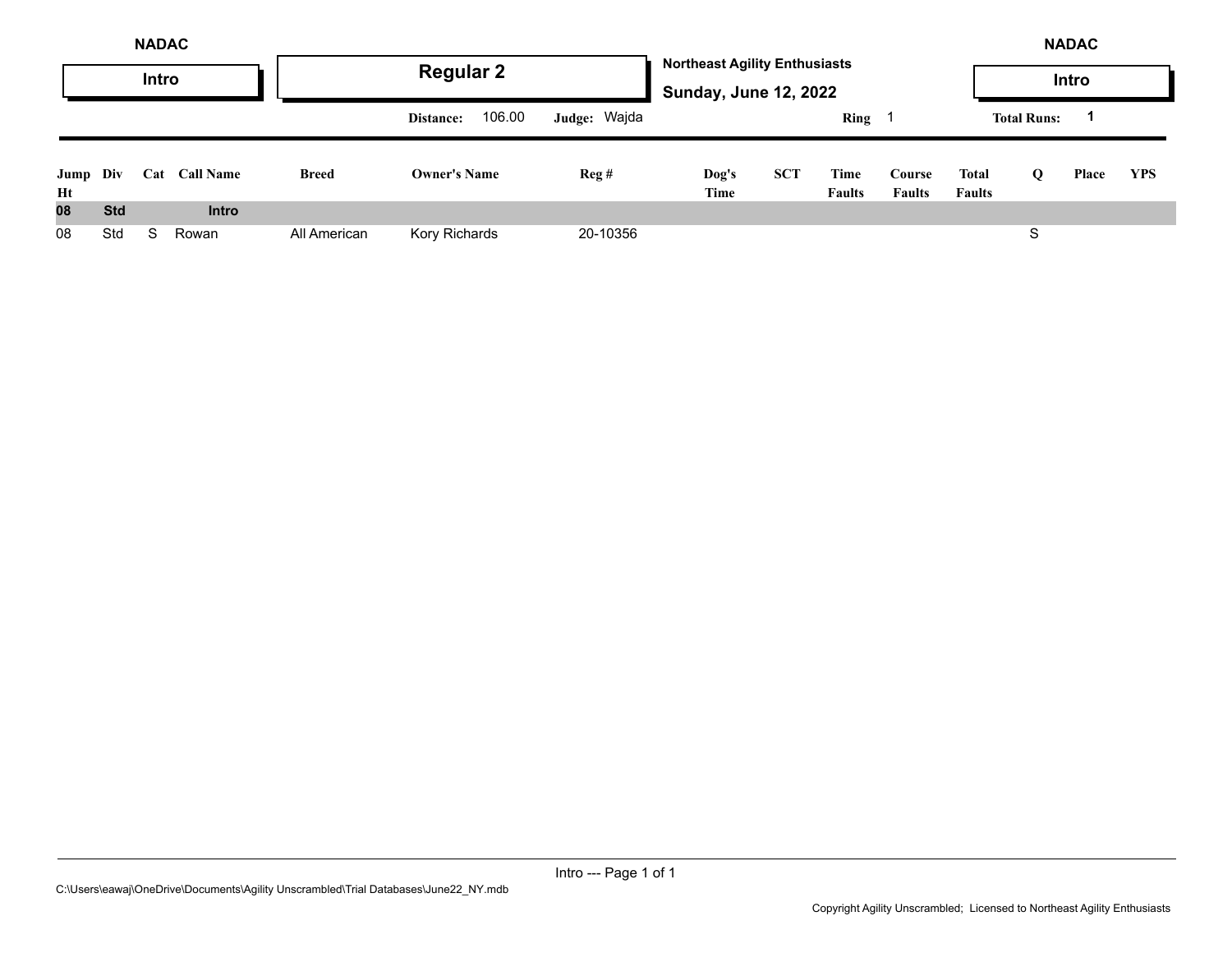|                | <b>NADAC</b><br>Intro |     |                  |              | <b>Regular 2</b>    |              | <b>Northeast Agility Enthusiasts</b> |            |                       |                         |                        |                    | <b>NADAC</b><br><b>Intro</b> |            |
|----------------|-----------------------|-----|------------------|--------------|---------------------|--------------|--------------------------------------|------------|-----------------------|-------------------------|------------------------|--------------------|------------------------------|------------|
|                |                       |     |                  |              | 106.00<br>Distance: | Judge: Wajda | <b>Sunday, June 12, 2022</b>         |            | <b>Ring</b>           |                         |                        | <b>Total Runs:</b> |                              |            |
| Jump Div<br>Ht |                       | Cat | <b>Call Name</b> | <b>Breed</b> | <b>Owner's Name</b> | Reg#         | Dog's<br>Time                        | <b>SCT</b> | Time<br><b>Faults</b> | Course<br><b>Faults</b> | Total<br><b>Faults</b> | Q                  | Place                        | <b>YPS</b> |
| 08             | <b>Std</b>            |     | <b>Intro</b>     |              |                     |              |                                      |            |                       |                         |                        |                    |                              |            |
| 08             | Std                   | S.  | Rowan            | All American | Kory Richards       | 20-10356     |                                      |            |                       |                         |                        | S                  |                              |            |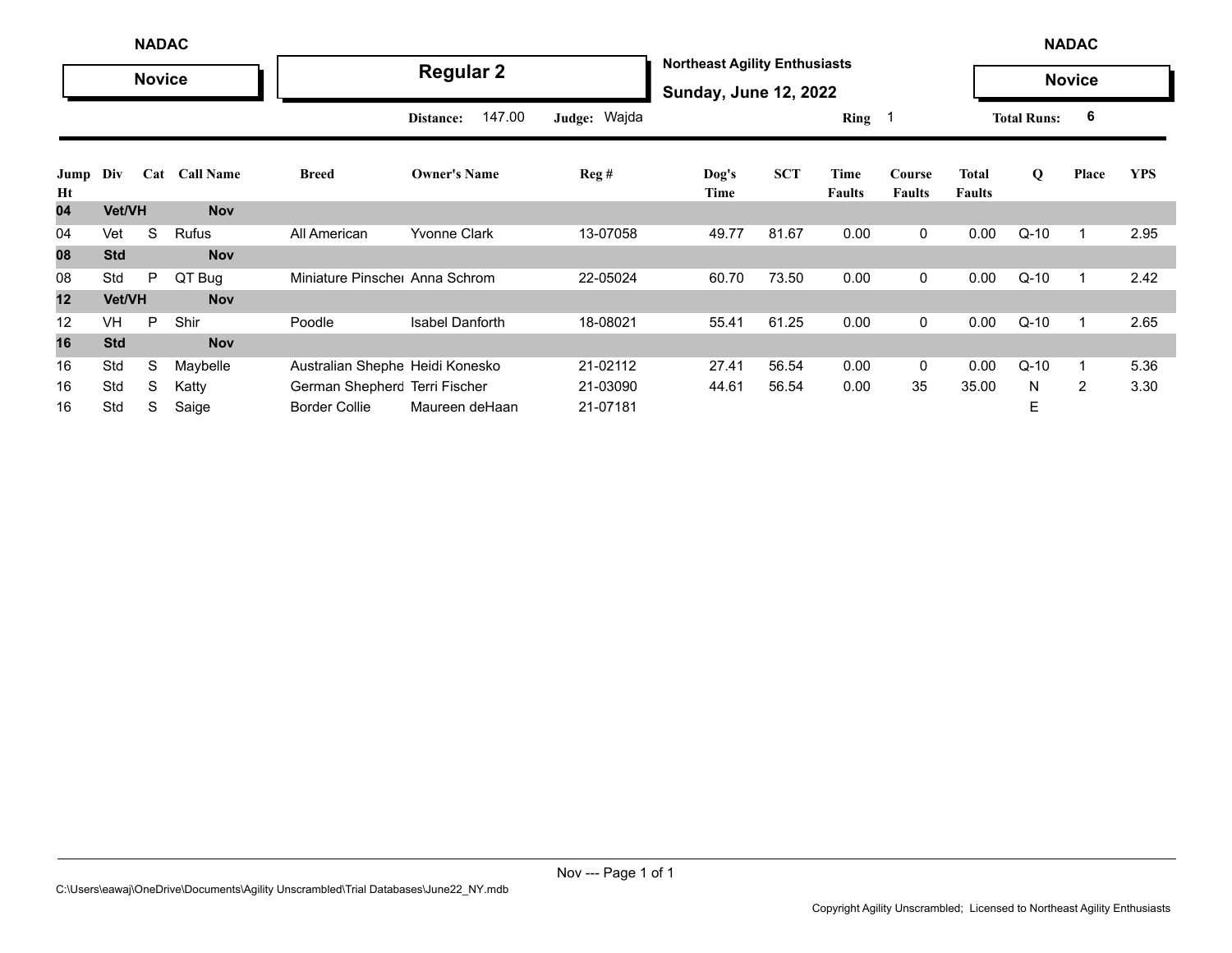|            | <b>NADAC</b><br><b>Novice</b> |   |               |                                 |                        |              |                                                                      |            |                       |                         |                               |                    | <b>NADAC</b>   |            |
|------------|-------------------------------|---|---------------|---------------------------------|------------------------|--------------|----------------------------------------------------------------------|------------|-----------------------|-------------------------|-------------------------------|--------------------|----------------|------------|
|            |                               |   |               |                                 | <b>Regular 2</b>       |              | <b>Northeast Agility Enthusiasts</b><br><b>Sunday, June 12, 2022</b> |            |                       |                         |                               |                    | <b>Novice</b>  |            |
|            |                               |   |               |                                 | 147.00<br>Distance:    | Judge: Wajda |                                                                      |            | Ring 1                |                         |                               | <b>Total Runs:</b> | 6              |            |
| Jump<br>Ht | Div                           |   | Cat Call Name | <b>Breed</b>                    | <b>Owner's Name</b>    | Reg#         | Dog's<br>Time                                                        | <b>SCT</b> | Time<br><b>Faults</b> | Course<br><b>Faults</b> | <b>Total</b><br><b>Faults</b> | $\bf{Q}$           | Place          | <b>YPS</b> |
| 04         | Vet/VH                        |   | <b>Nov</b>    |                                 |                        |              |                                                                      |            |                       |                         |                               |                    |                |            |
| 04         | Vet                           | S | Rufus         | All American                    | Yvonne Clark           | 13-07058     | 49.77                                                                | 81.67      | 0.00                  | 0                       | 0.00                          | $Q-10$             | $\mathbf{1}$   | 2.95       |
| 08         | <b>Std</b>                    |   | <b>Nov</b>    |                                 |                        |              |                                                                      |            |                       |                         |                               |                    |                |            |
| 08         | Std                           | P | QT Bug        | Miniature Pinsche Anna Schrom   |                        | 22-05024     | 60.70                                                                | 73.50      | 0.00                  | 0                       | 0.00                          | $Q-10$             |                | 2.42       |
| 12         | Vet/VH                        |   | <b>Nov</b>    |                                 |                        |              |                                                                      |            |                       |                         |                               |                    |                |            |
| 12         | <b>VH</b>                     | P | Shir          | Poodle                          | <b>Isabel Danforth</b> | 18-08021     | 55.41                                                                | 61.25      | 0.00                  | 0                       | 0.00                          | $Q-10$             | $\overline{1}$ | 2.65       |
| 16         | <b>Std</b>                    |   | <b>Nov</b>    |                                 |                        |              |                                                                      |            |                       |                         |                               |                    |                |            |
| 16         | Std                           | S | Maybelle      | Australian Shephe Heidi Konesko |                        | 21-02112     | 27.41                                                                | 56.54      | 0.00                  | 0                       | 0.00                          | $Q-10$             | $\mathbf{1}$   | 5.36       |
| 16         | Std                           | S | Katty         | German Shepherc Terri Fischer   |                        | 21-03090     | 44.61                                                                | 56.54      | 0.00                  | 35                      | 35.00                         | N                  | 2              | 3.30       |
| 16         | Std                           | S | Saige         | <b>Border Collie</b>            | Maureen deHaan         | 21-07181     |                                                                      |            |                       |                         |                               | E                  |                |            |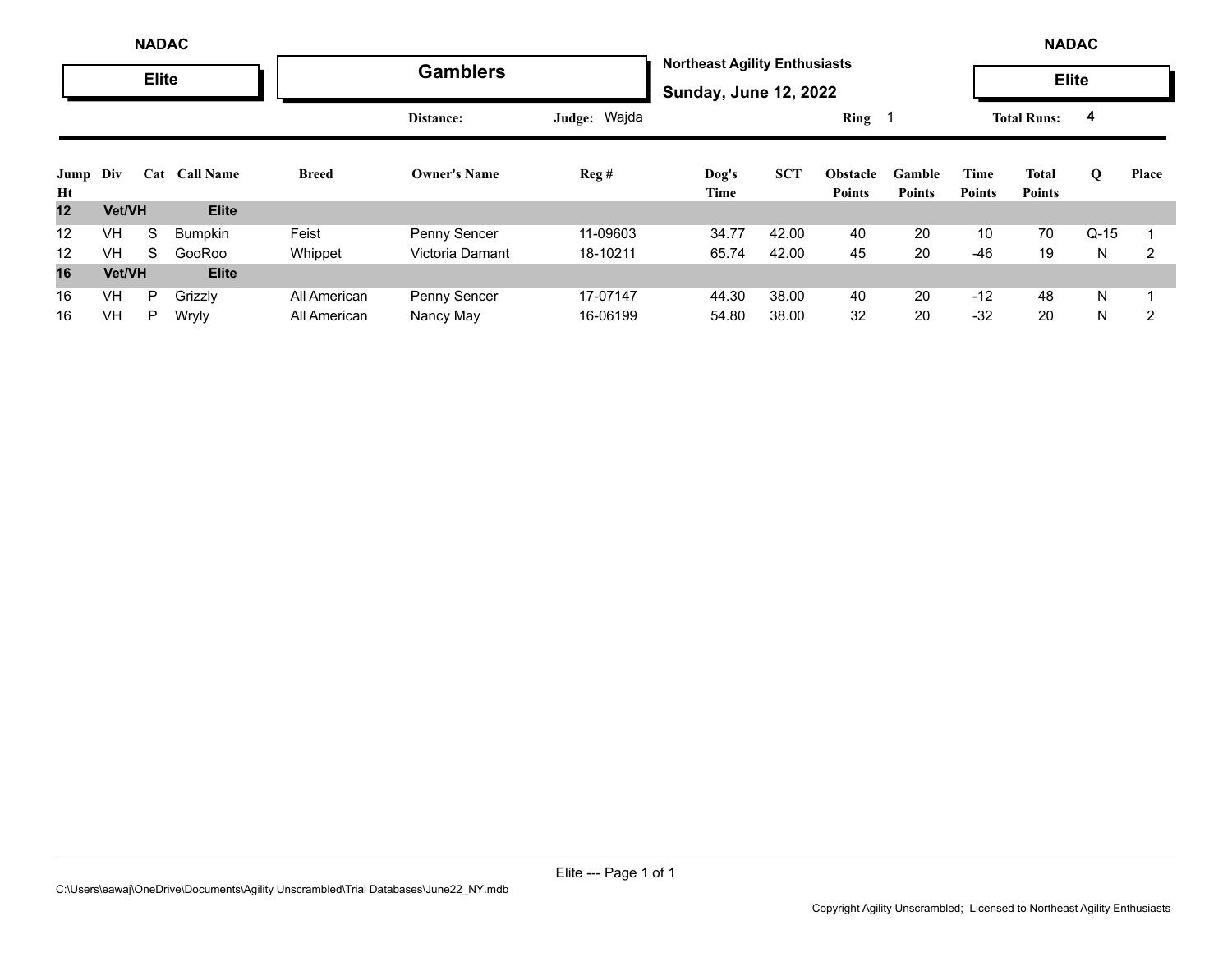|            |           | <b>NADAC</b> |                  |              |                     |              |                                                                      |            |                                  |                         |                       | <b>NADAC</b>                  |             |       |
|------------|-----------|--------------|------------------|--------------|---------------------|--------------|----------------------------------------------------------------------|------------|----------------------------------|-------------------------|-----------------------|-------------------------------|-------------|-------|
|            |           | <b>Elite</b> |                  |              | <b>Gamblers</b>     |              | <b>Northeast Agility Enthusiasts</b><br><b>Sunday, June 12, 2022</b> |            |                                  |                         |                       | <b>Elite</b>                  |             |       |
|            |           |              |                  |              | Distance:           | Judge: Wajda |                                                                      |            | Ring <sub>1</sub>                |                         |                       | <b>Total Runs:</b>            | 4           |       |
| Jump<br>Ht | Div       | Cat          | <b>Call Name</b> | <b>Breed</b> | <b>Owner's Name</b> | Reg#         | Dog's<br>Time                                                        | <b>SCT</b> | <b>Obstacle</b><br><b>Points</b> | Gamble<br><b>Points</b> | Time<br><b>Points</b> | <b>Total</b><br><b>Points</b> | $\mathbf 0$ | Place |
| 12         | Vet/VH    |              | <b>Elite</b>     |              |                     |              |                                                                      |            |                                  |                         |                       |                               |             |       |
| 12         | <b>VH</b> | S            | Bumpkin          | Feist        | <b>Penny Sencer</b> | 11-09603     | 34.77                                                                | 42.00      | 40                               | 20                      | 10                    | 70                            | $Q-15$      |       |
| 12         | <b>VH</b> | S            | GooRoo           | Whippet      | Victoria Damant     | 18-10211     | 65.74                                                                | 42.00      | 45                               | 20                      | $-46$                 | 19                            | N           | 2     |
| 16         | Vet/VH    |              | <b>Elite</b>     |              |                     |              |                                                                      |            |                                  |                         |                       |                               |             |       |
| 16         | VH        | P            | Grizzly          | All American | Penny Sencer        | 17-07147     | 44.30                                                                | 38.00      | 40                               | 20                      | $-12$                 | 48                            | N           |       |
| 16         | <b>VH</b> | P.           | Wryly            | All American | Nancy May           | 16-06199     | 54.80                                                                | 38.00      | 32                               | 20                      | $-32$                 | 20                            | N           | 2     |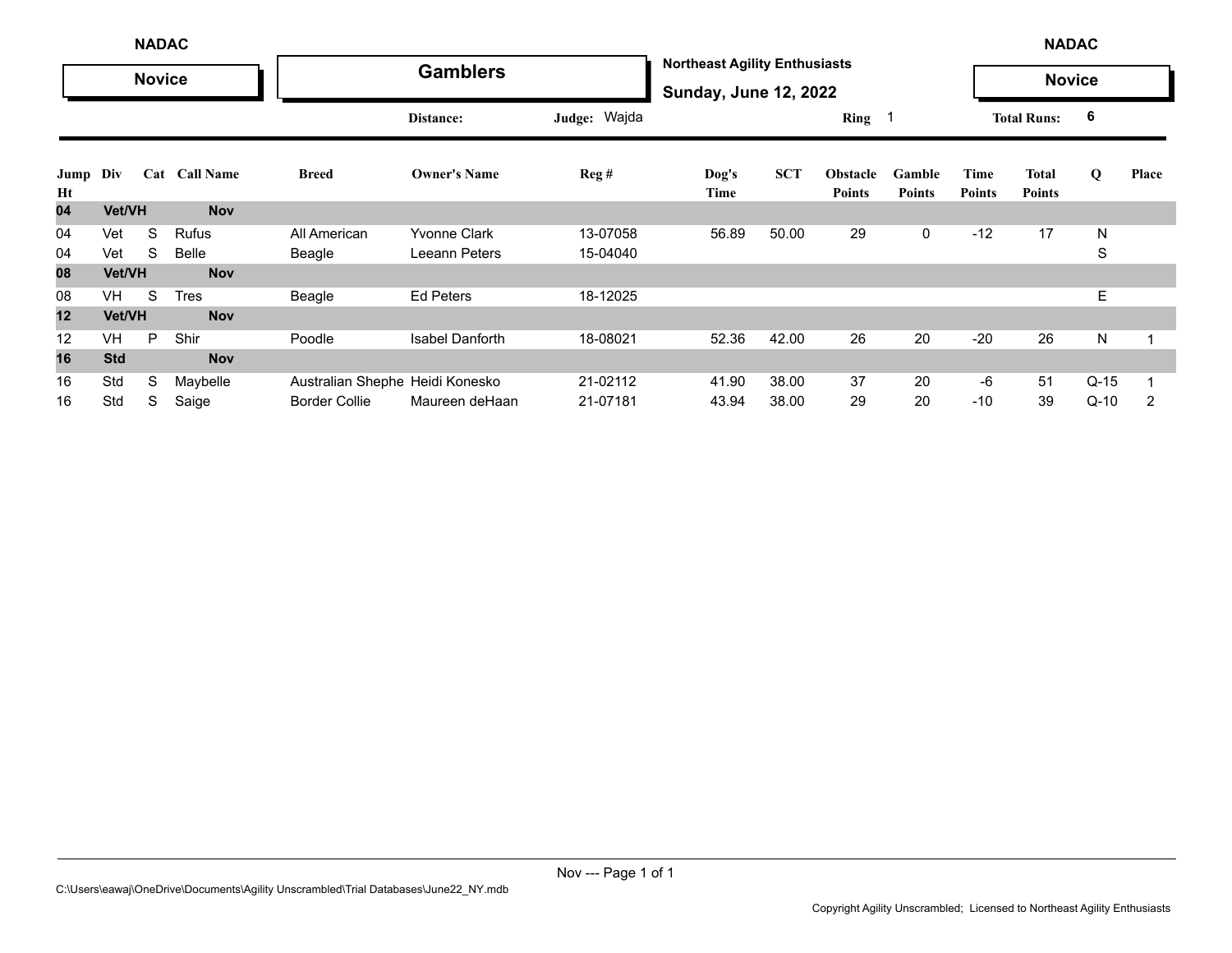|            | <b>NADAC</b> |               |               |                                 |                        |                  |                                                                      |            |                                  |                         |                       | <b>NADAC</b>           |               |       |
|------------|--------------|---------------|---------------|---------------------------------|------------------------|------------------|----------------------------------------------------------------------|------------|----------------------------------|-------------------------|-----------------------|------------------------|---------------|-------|
|            |              | <b>Novice</b> |               |                                 | <b>Gamblers</b>        |                  | <b>Northeast Agility Enthusiasts</b><br><b>Sunday, June 12, 2022</b> |            |                                  |                         |                       |                        | <b>Novice</b> |       |
|            |              |               |               |                                 | Distance:              | Judge: Wajda     |                                                                      |            | Ring                             |                         |                       | <b>Total Runs:</b>     | -6            |       |
| Jump<br>Ht | Div          |               | Cat Call Name | <b>Breed</b>                    | <b>Owner's Name</b>    | $\text{Reg } \#$ | Dog's<br>Time                                                        | <b>SCT</b> | <b>Obstacle</b><br><b>Points</b> | Gamble<br><b>Points</b> | Time<br><b>Points</b> | <b>Total</b><br>Points | Q             | Place |
| 04         | Vet/VH       |               | <b>Nov</b>    |                                 |                        |                  |                                                                      |            |                                  |                         |                       |                        |               |       |
| 04         | Vet          | S             | Rufus         | All American                    | <b>Yvonne Clark</b>    | 13-07058         | 56.89                                                                | 50.00      | 29                               | 0                       | $-12$                 | 17                     | N             |       |
| 04         | Vet          | S             | Belle         | Beagle                          | Leeann Peters          | 15-04040         |                                                                      |            |                                  |                         |                       |                        | S             |       |
| 08         | Vet/VH       |               | <b>Nov</b>    |                                 |                        |                  |                                                                      |            |                                  |                         |                       |                        |               |       |
| 08         | <b>VH</b>    | S             | <b>Tres</b>   | Beagle                          | <b>Ed Peters</b>       | 18-12025         |                                                                      |            |                                  |                         |                       |                        | Е             |       |
| 12         | Vet/VH       |               | <b>Nov</b>    |                                 |                        |                  |                                                                      |            |                                  |                         |                       |                        |               |       |
| 12         | <b>VH</b>    | P             | Shir          | Poodle                          | <b>Isabel Danforth</b> | 18-08021         | 52.36                                                                | 42.00      | 26                               | 20                      | $-20$                 | 26                     | N             |       |
| 16         | <b>Std</b>   |               | <b>Nov</b>    |                                 |                        |                  |                                                                      |            |                                  |                         |                       |                        |               |       |
| 16         | Std          | S             | Maybelle      | Australian Shephe Heidi Konesko |                        | 21-02112         | 41.90                                                                | 38.00      | 37                               | 20                      | -6                    | 51                     | $Q-15$        |       |
| 16         | Std          | S             | Saige         | <b>Border Collie</b>            | Maureen deHaan         | 21-07181         | 43.94                                                                | 38.00      | 29                               | 20                      | $-10$                 | 39                     | $Q-10$        | 2     |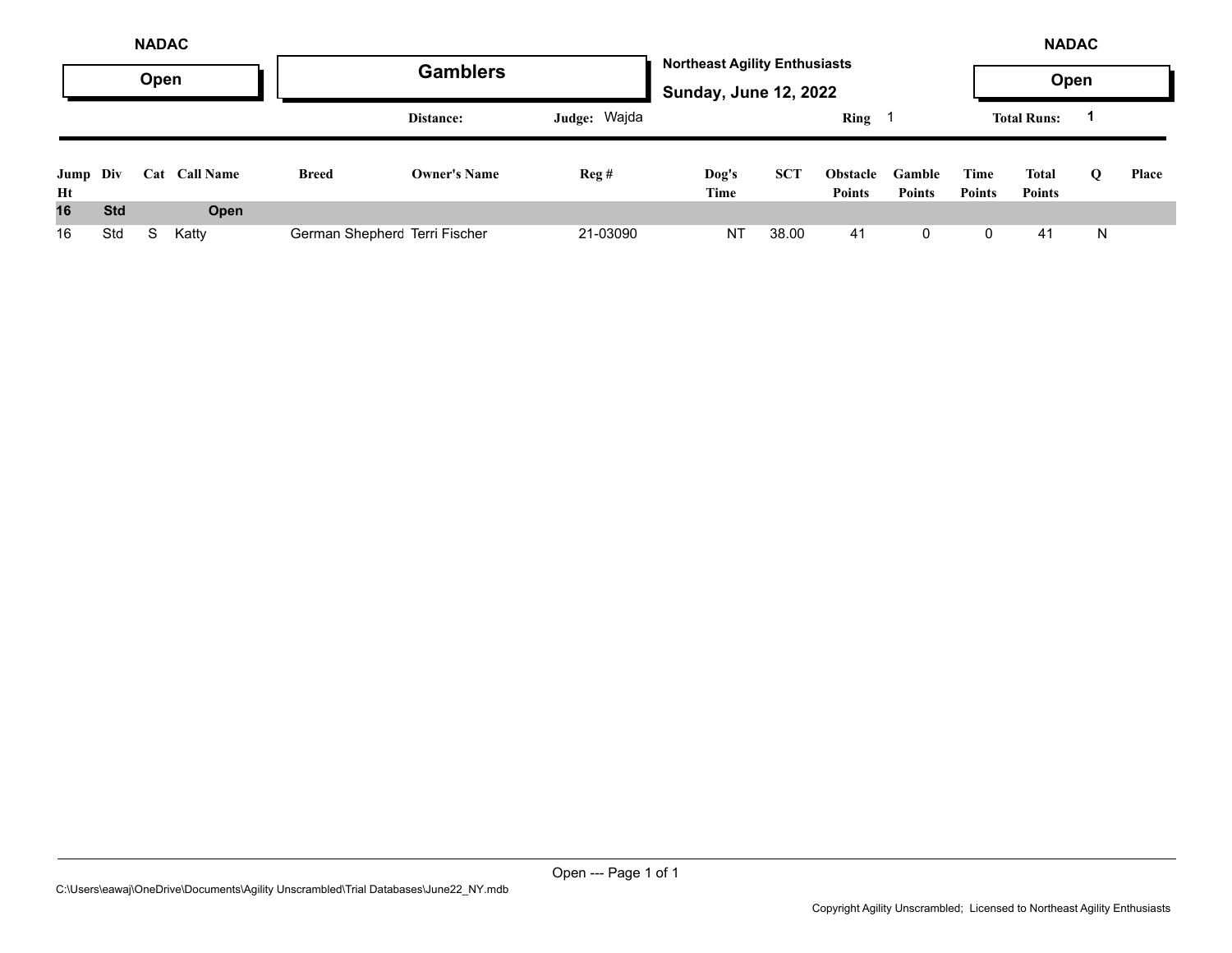|                |            | <b>NADAC</b><br>Open |                  |                               | <b>Gamblers</b>     |              | <b>Northeast Agility Enthusiasts</b><br><b>Sunday, June 12, 2022</b> |            |                                  |                         |                       | <b>NADAC</b><br>Open   |          |              |
|----------------|------------|----------------------|------------------|-------------------------------|---------------------|--------------|----------------------------------------------------------------------|------------|----------------------------------|-------------------------|-----------------------|------------------------|----------|--------------|
|                |            |                      |                  |                               | Distance:           | Judge: Wajda |                                                                      |            | <b>Ring</b>                      |                         |                       | <b>Total Runs:</b>     |          |              |
| Jump Div<br>Ht |            | Cat                  | <b>Call Name</b> | <b>Breed</b>                  | <b>Owner's Name</b> | Reg#         | Dog's<br>Time                                                        | <b>SCT</b> | <b>Obstacle</b><br><b>Points</b> | Gamble<br><b>Points</b> | Time<br><b>Points</b> | Total<br><b>Points</b> | $\Omega$ | <b>Place</b> |
| 16             | <b>Std</b> |                      | Open             |                               |                     |              |                                                                      |            |                                  |                         |                       |                        |          |              |
| 16             | Std        | S.                   | Katty            | German Shepherc Terri Fischer |                     | 21-03090     | <b>NT</b>                                                            | 38.00      | 41                               | 0                       | 0                     | 41                     | N        |              |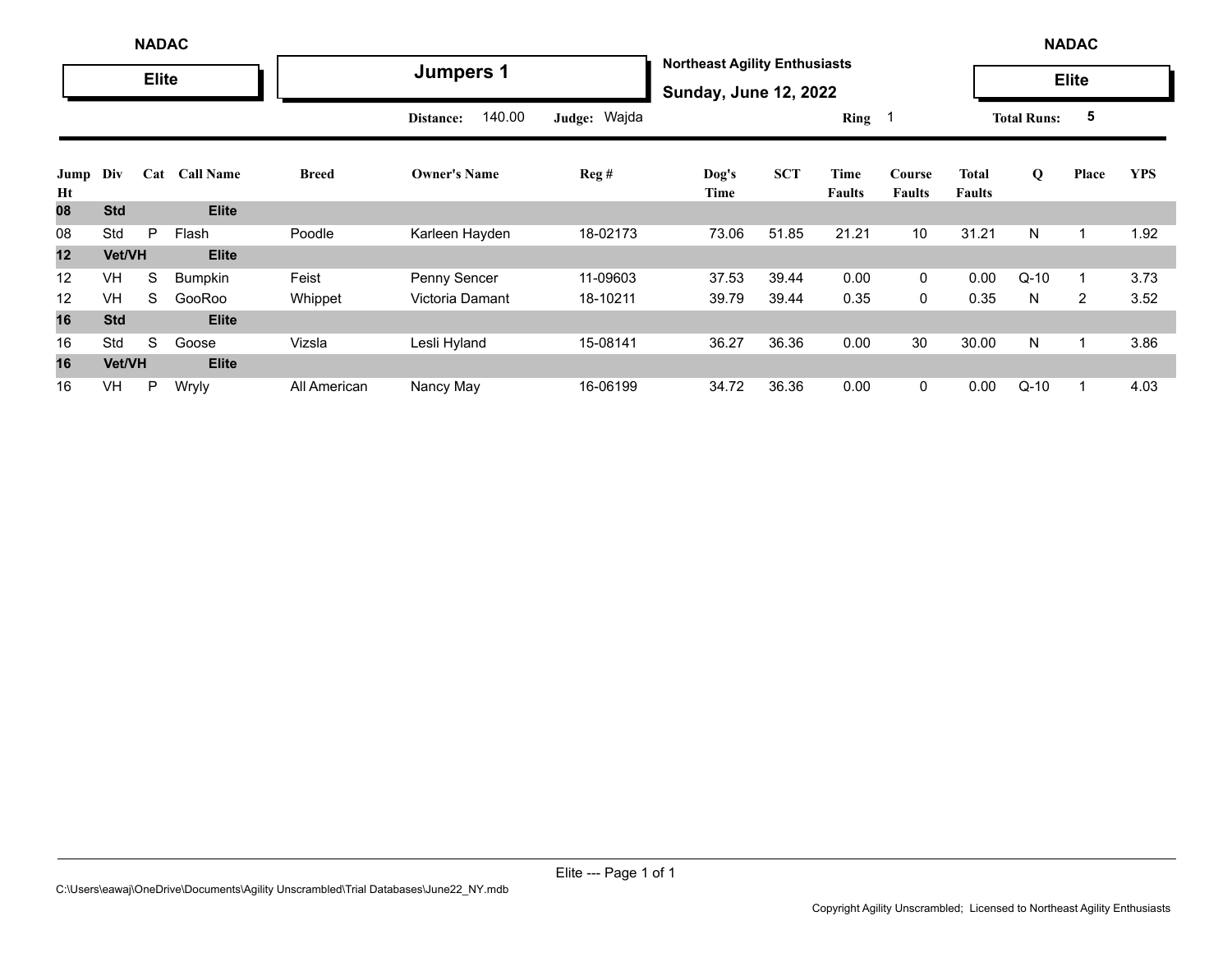|            | <b>NADAC</b> |              |                  |              |                     |              |               |                                                                      |                       |                         |                               |                    | <b>NADAC</b> |            |  |  |
|------------|--------------|--------------|------------------|--------------|---------------------|--------------|---------------|----------------------------------------------------------------------|-----------------------|-------------------------|-------------------------------|--------------------|--------------|------------|--|--|
|            |              | <b>Elite</b> |                  |              | <b>Jumpers 1</b>    |              |               | <b>Northeast Agility Enthusiasts</b><br><b>Sunday, June 12, 2022</b> |                       |                         |                               |                    | <b>Elite</b> |            |  |  |
|            |              |              |                  |              | 140.00<br>Distance: | Judge: Wajda |               |                                                                      | Ring 1                |                         |                               | <b>Total Runs:</b> | 5            |            |  |  |
| Jump<br>Ht | Div          | Cat          | <b>Call Name</b> | <b>Breed</b> | <b>Owner's Name</b> | Reg#         | Dog's<br>Time | <b>SCT</b>                                                           | Time<br><b>Faults</b> | Course<br><b>Faults</b> | <b>Total</b><br><b>Faults</b> | Q                  | Place        | <b>YPS</b> |  |  |
| 80         | <b>Std</b>   |              | <b>Elite</b>     |              |                     |              |               |                                                                      |                       |                         |                               |                    |              |            |  |  |
| 08         | Std          | P            | Flash            | Poodle       | Karleen Hayden      | 18-02173     | 73.06         | 51.85                                                                | 21.21                 | 10 <sup>°</sup>         | 31.21                         | N                  |              | 1.92       |  |  |
| 12         | Vet/VH       |              | <b>Elite</b>     |              |                     |              |               |                                                                      |                       |                         |                               |                    |              |            |  |  |
| 12         | VH           | S            | <b>Bumpkin</b>   | Feist        | Penny Sencer        | 11-09603     | 37.53         | 39.44                                                                | 0.00                  | $\mathbf 0$             | 0.00                          | $Q-10$             |              | 3.73       |  |  |
| 12         | <b>VH</b>    | S            | GooRoo           | Whippet      | Victoria Damant     | 18-10211     | 39.79         | 39.44                                                                | 0.35                  | 0                       | 0.35                          | N                  | 2            | 3.52       |  |  |
| 16         | <b>Std</b>   |              | <b>Elite</b>     |              |                     |              |               |                                                                      |                       |                         |                               |                    |              |            |  |  |
| 16         | Std          | S            | Goose            | Vizsla       | Lesli Hyland        | 15-08141     | 36.27         | 36.36                                                                | 0.00                  | 30                      | 30.00                         | N                  |              | 3.86       |  |  |
| 16         | Vet/VH       |              | <b>Elite</b>     |              |                     |              |               |                                                                      |                       |                         |                               |                    |              |            |  |  |
| 16         | <b>VH</b>    | P            | Wryly            | All American | Nancy May           | 16-06199     | 34.72         | 36.36                                                                | 0.00                  | $\mathbf 0$             | 0.00                          | $Q-10$             |              | 4.03       |  |  |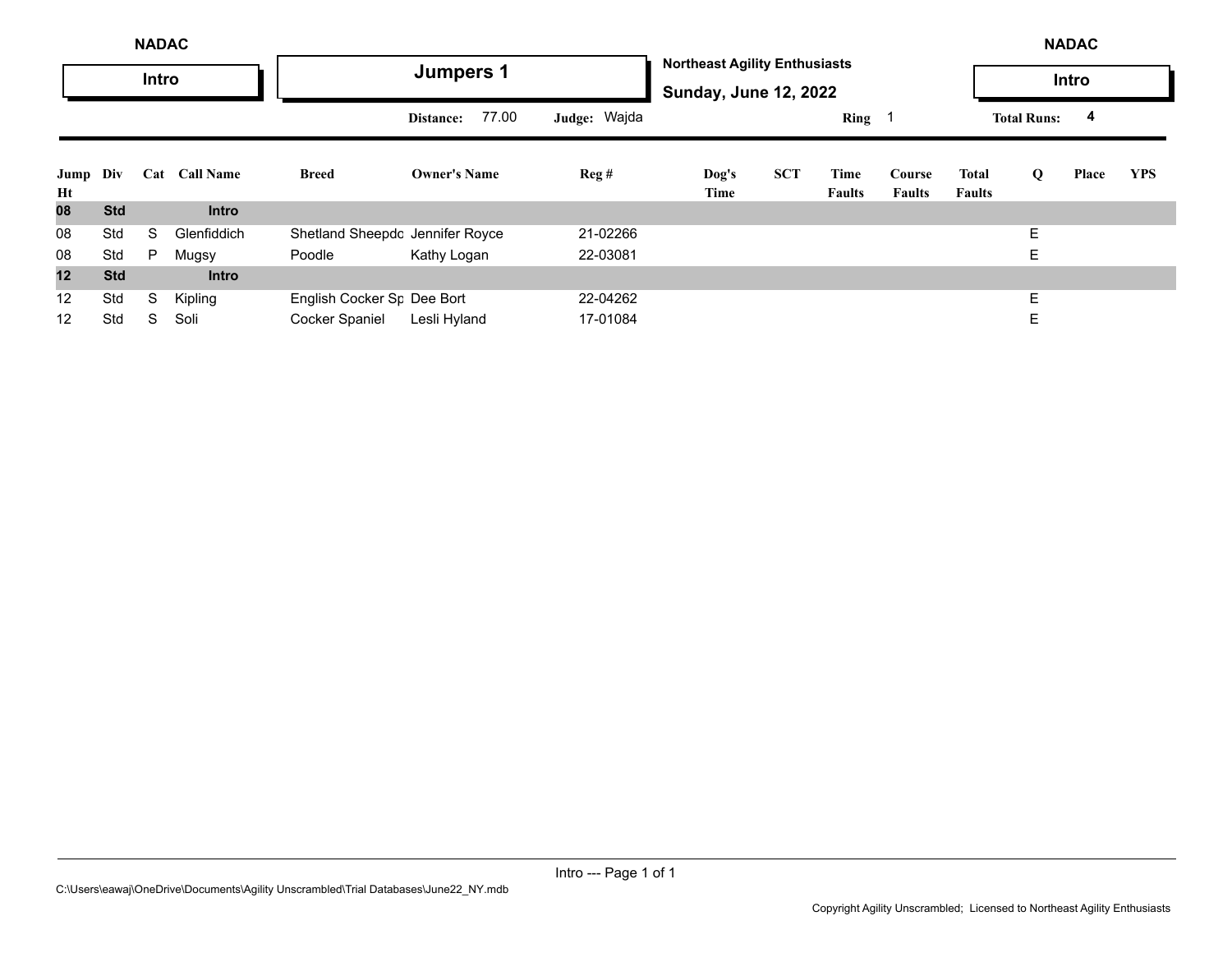| <b>NADAC</b>   |            |   |               |                                        |                     |                  |               |                                                                      | <b>NADAC</b>          |                         |                        |                    |       |            |  |  |  |
|----------------|------------|---|---------------|----------------------------------------|---------------------|------------------|---------------|----------------------------------------------------------------------|-----------------------|-------------------------|------------------------|--------------------|-------|------------|--|--|--|
|                | Intro      |   |               |                                        | <b>Jumpers 1</b>    |                  |               | <b>Northeast Agility Enthusiasts</b><br><b>Sunday, June 12, 2022</b> |                       |                         |                        |                    | Intro |            |  |  |  |
|                |            |   |               |                                        | 77.00<br>Distance:  | Judge: Wajda     |               |                                                                      | $Ring \t1$            |                         |                        | <b>Total Runs:</b> | 4     |            |  |  |  |
| Jump Div<br>Ht |            |   | Cat Call Name | <b>Breed</b>                           | <b>Owner's Name</b> | $\text{Reg } \#$ | Dog's<br>Time | <b>SCT</b>                                                           | Time<br><b>Faults</b> | Course<br><b>Faults</b> | Total<br><b>Faults</b> | Q                  | Place | <b>YPS</b> |  |  |  |
| 08             | <b>Std</b> |   | <b>Intro</b>  |                                        |                     |                  |               |                                                                      |                       |                         |                        |                    |       |            |  |  |  |
| 08             | Std        | S | Glenfiddich   | Shetland Sheepdc Jennifer Royce        |                     | 21-02266         |               |                                                                      |                       |                         |                        | E                  |       |            |  |  |  |
| 08             | Std        | P | Mugsy         | Poodle                                 | Kathy Logan         | 22-03081         |               |                                                                      |                       |                         |                        | E                  |       |            |  |  |  |
| 12             | <b>Std</b> |   | <b>Intro</b>  |                                        |                     |                  |               |                                                                      |                       |                         |                        |                    |       |            |  |  |  |
| 12             | Std        | S | Kipling       | English Cocker S <sub>F</sub> Dee Bort |                     | 22-04262         |               |                                                                      |                       |                         |                        | E                  |       |            |  |  |  |
| 12             | Std        | S | Soli          | <b>Cocker Spaniel</b>                  | Lesli Hyland        | 17-01084         |               |                                                                      |                       |                         |                        | E                  |       |            |  |  |  |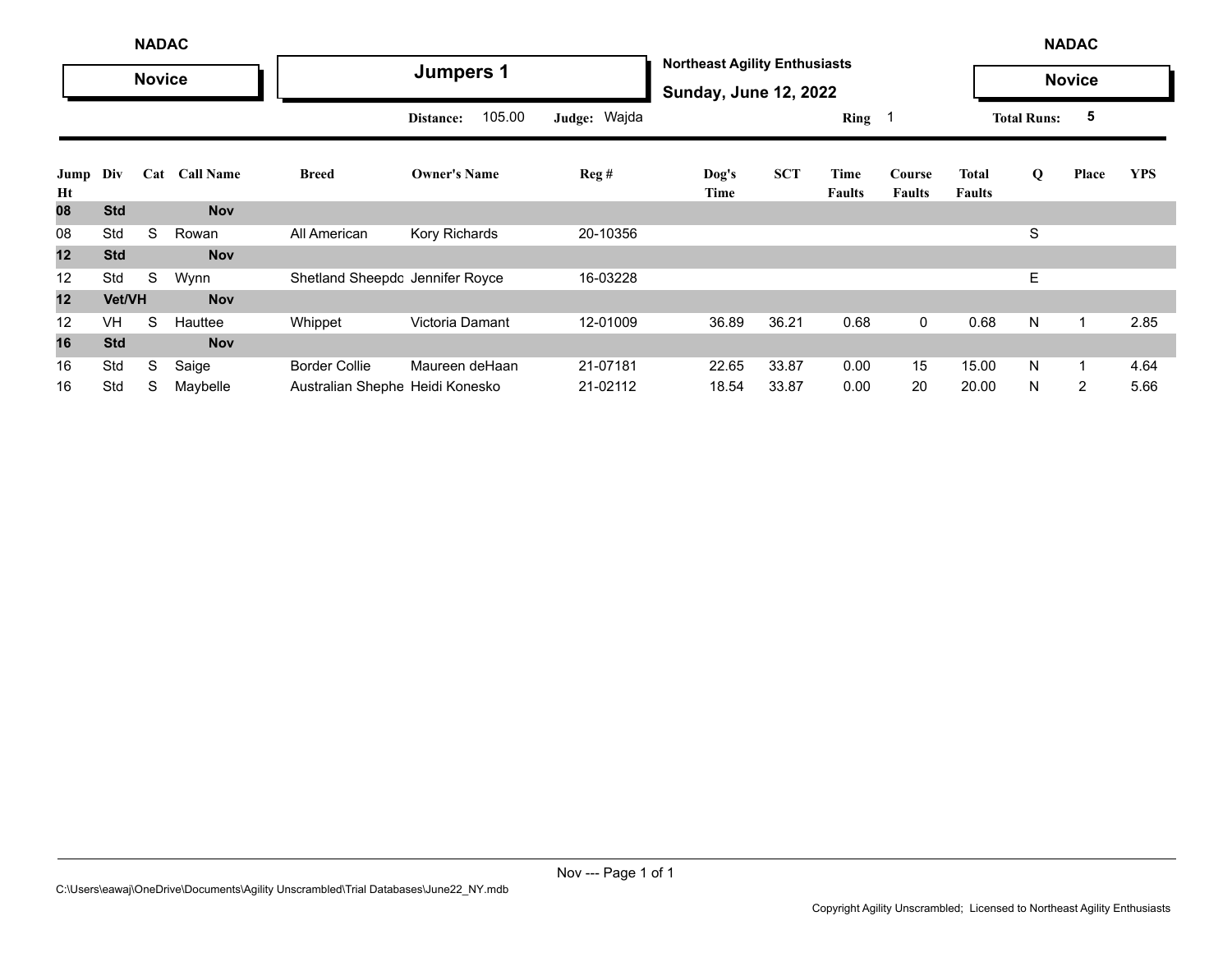|            | <b>NADAC</b>  |               |                  |                                 |                     |              | <b>NADAC</b>     |                                                                      |                |                         |                        |                    |               |            |  |  |  |
|------------|---------------|---------------|------------------|---------------------------------|---------------------|--------------|------------------|----------------------------------------------------------------------|----------------|-------------------------|------------------------|--------------------|---------------|------------|--|--|--|
|            |               | <b>Novice</b> |                  |                                 | <b>Jumpers 1</b>    |              |                  | <b>Northeast Agility Enthusiasts</b><br><b>Sunday, June 12, 2022</b> |                |                         |                        |                    | <b>Novice</b> |            |  |  |  |
|            |               |               |                  |                                 | 105.00<br>Distance: | Judge: Wajda |                  |                                                                      | Ring           |                         |                        | <b>Total Runs:</b> | 5             |            |  |  |  |
| Jump<br>Ht | Div           | Cat           | <b>Call Name</b> | <b>Breed</b>                    | <b>Owner's Name</b> | Reg#         | $\log's$<br>Time | <b>SCT</b>                                                           | Time<br>Faults | Course<br><b>Faults</b> | Total<br><b>Faults</b> | Q                  | Place         | <b>YPS</b> |  |  |  |
| 80         | <b>Std</b>    |               | <b>Nov</b>       |                                 |                     |              |                  |                                                                      |                |                         |                        |                    |               |            |  |  |  |
| 08         | Std           | S             | Rowan            | All American                    | Kory Richards       | 20-10356     |                  |                                                                      |                |                         |                        | S                  |               |            |  |  |  |
| 12         | <b>Std</b>    |               | <b>Nov</b>       |                                 |                     |              |                  |                                                                      |                |                         |                        |                    |               |            |  |  |  |
| 12         | Std           | S             | Wynn             | Shetland Sheepdc Jennifer Royce |                     | 16-03228     |                  |                                                                      |                |                         |                        | Е                  |               |            |  |  |  |
| 12         | <b>Vet/VH</b> |               | <b>Nov</b>       |                                 |                     |              |                  |                                                                      |                |                         |                        |                    |               |            |  |  |  |
| 12         | <b>VH</b>     | S             | Hauttee          | Whippet                         | Victoria Damant     | 12-01009     | 36.89            | 36.21                                                                | 0.68           | $\mathbf 0$             | 0.68                   | N                  | $\mathbf{1}$  | 2.85       |  |  |  |
| 16         | <b>Std</b>    |               | <b>Nov</b>       |                                 |                     |              |                  |                                                                      |                |                         |                        |                    |               |            |  |  |  |
| 16         | Std           | S             | Saige            | <b>Border Collie</b>            | Maureen deHaan      | 21-07181     | 22.65            | 33.87                                                                | 0.00           | 15                      | 15.00                  | N                  | $\mathbf 1$   | 4.64       |  |  |  |
| 16         | Std           | S             | Maybelle         | Australian Shephe Heidi Konesko |                     | 21-02112     | 18.54            | 33.87                                                                | 0.00           | 20                      | 20.00                  | N                  | 2             | 5.66       |  |  |  |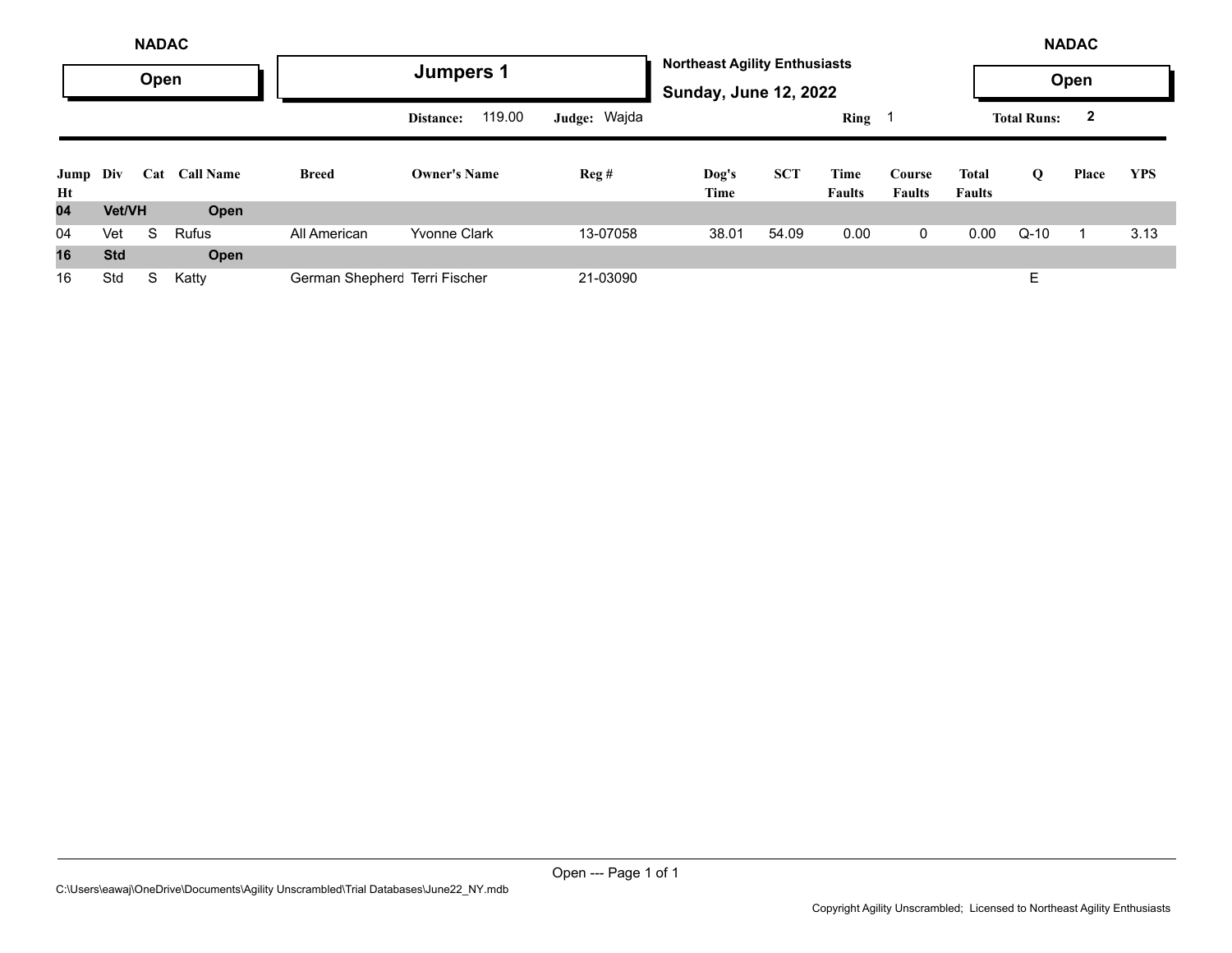| <b>NADAC</b>   |            |     |                  |                               |                     |              | <b>Northeast Agility Enthusiasts</b><br><b>Sunday, June 12, 2022</b> |            |                       |                         |                        | <b>NADAC</b>       |              |            |  |  |
|----------------|------------|-----|------------------|-------------------------------|---------------------|--------------|----------------------------------------------------------------------|------------|-----------------------|-------------------------|------------------------|--------------------|--------------|------------|--|--|
|                | Open       |     |                  | Jumpers 1                     |                     |              |                                                                      |            |                       |                         |                        | Open               |              |            |  |  |
|                |            |     |                  |                               | 119.00<br>Distance: | Judge: Wajda |                                                                      |            | Ring 1                |                         |                        | <b>Total Runs:</b> | $\mathbf{2}$ |            |  |  |
| Jump Div<br>Ht |            | Cat | <b>Call Name</b> | <b>Breed</b>                  | <b>Owner's Name</b> | Reg#         | Dog's<br>Time                                                        | <b>SCT</b> | Time<br><b>Faults</b> | Course<br><b>Faults</b> | Total<br><b>Faults</b> | Q                  | Place        | <b>YPS</b> |  |  |
| 04             | Vet/VH     |     | Open             |                               |                     |              |                                                                      |            |                       |                         |                        |                    |              |            |  |  |
| 04             | Vet        | S   | <b>Rufus</b>     | All American                  | <b>Yvonne Clark</b> | 13-07058     | 38.01                                                                | 54.09      | 0.00                  | $\mathbf{0}$            | 0.00                   | $Q-10$             |              | 3.13       |  |  |
| 16             | <b>Std</b> |     | Open             |                               |                     |              |                                                                      |            |                       |                         |                        |                    |              |            |  |  |
| 16             | Std        | S   | Katty            | German Shepherc Terri Fischer |                     | 21-03090     |                                                                      |            |                       |                         |                        | E                  |              |            |  |  |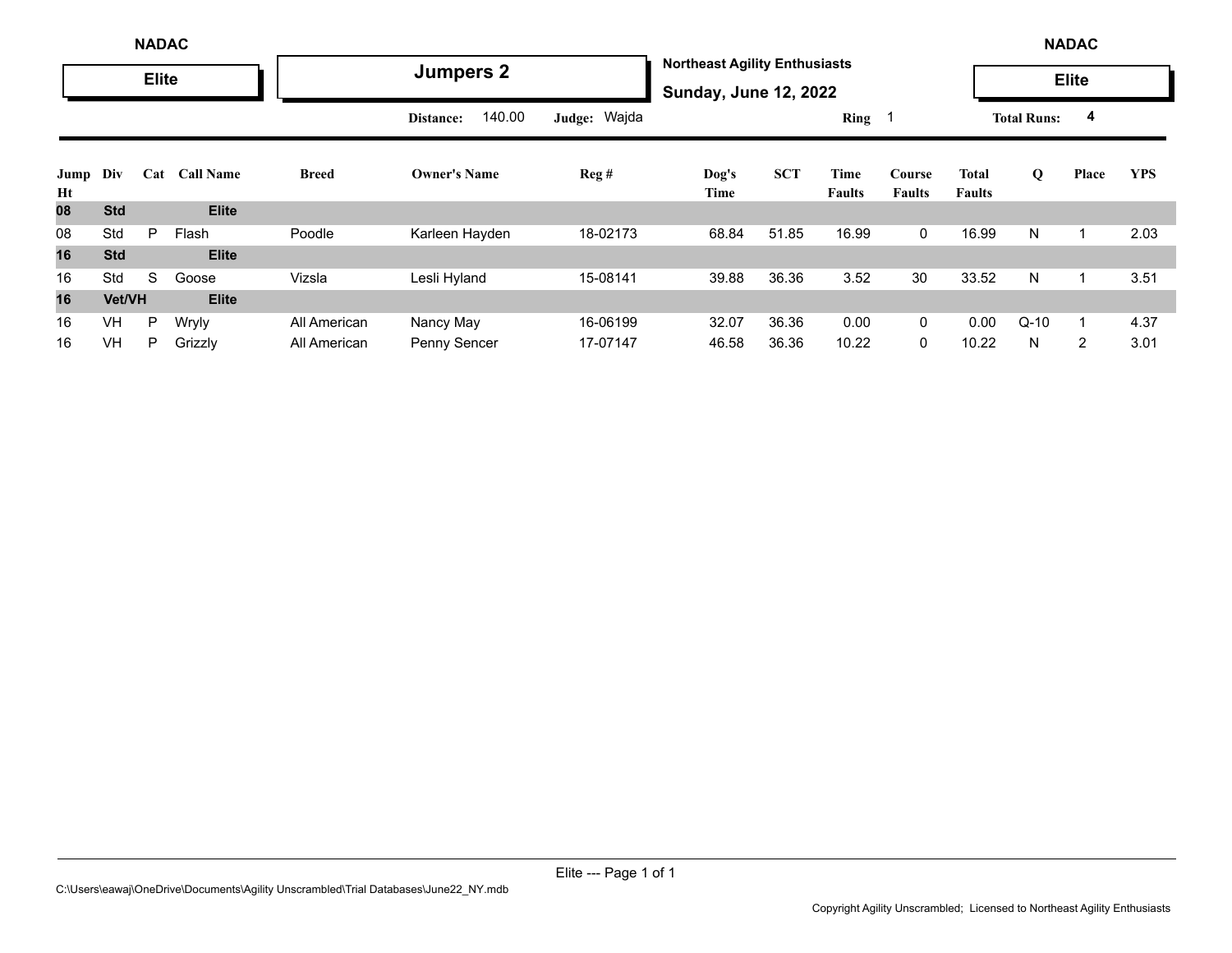|            | <b>NADAC</b> |              |                  |              |                     |              | <b>Northeast Agility Enthusiasts</b> |                              |                       |                         |                        | <b>NADAC</b>       |       |            |  |  |  |
|------------|--------------|--------------|------------------|--------------|---------------------|--------------|--------------------------------------|------------------------------|-----------------------|-------------------------|------------------------|--------------------|-------|------------|--|--|--|
|            |              | <b>Elite</b> |                  |              | <b>Jumpers 2</b>    |              |                                      | <b>Sunday, June 12, 2022</b> |                       |                         |                        | <b>Elite</b>       |       |            |  |  |  |
|            |              |              |                  |              | 140.00<br>Distance: | Judge: Wajda |                                      |                              | Ring 1                |                         |                        | <b>Total Runs:</b> | 4     |            |  |  |  |
| Jump<br>Ht | Div          | Cat          | <b>Call Name</b> | <b>Breed</b> | <b>Owner's Name</b> | Reg#         | Dog's<br>Time                        | <b>SCT</b>                   | Time<br><b>Faults</b> | Course<br><b>Faults</b> | Total<br><b>Faults</b> | Q                  | Place | <b>YPS</b> |  |  |  |
| 80         | <b>Std</b>   |              | <b>Elite</b>     |              |                     |              |                                      |                              |                       |                         |                        |                    |       |            |  |  |  |
| 08         | Std          | P            | Flash            | Poodle       | Karleen Hayden      | 18-02173     | 68.84                                | 51.85                        | 16.99                 | $\mathbf 0$             | 16.99                  | N                  |       | 2.03       |  |  |  |
| 16         | <b>Std</b>   |              | <b>Elite</b>     |              |                     |              |                                      |                              |                       |                         |                        |                    |       |            |  |  |  |
| 16         | Std          | S            | Goose            | Vizsla       | Lesli Hyland        | 15-08141     | 39.88                                | 36.36                        | 3.52                  | 30                      | 33.52                  | N                  |       | 3.51       |  |  |  |
| 16         | Vet/VH       |              | <b>Elite</b>     |              |                     |              |                                      |                              |                       |                         |                        |                    |       |            |  |  |  |
| 16         | <b>VH</b>    | P            | Wryly            | All American | Nancy May           | 16-06199     | 32.07                                | 36.36                        | 0.00                  | $\mathbf{0}$            | 0.00                   | $Q-10$             |       | 4.37       |  |  |  |
| 16         | <b>VH</b>    | P            | Grizzly          | All American | Penny Sencer        | 17-07147     | 46.58                                | 36.36                        | 10.22                 | $\Omega$                | 10.22                  | N                  | 2     | 3.01       |  |  |  |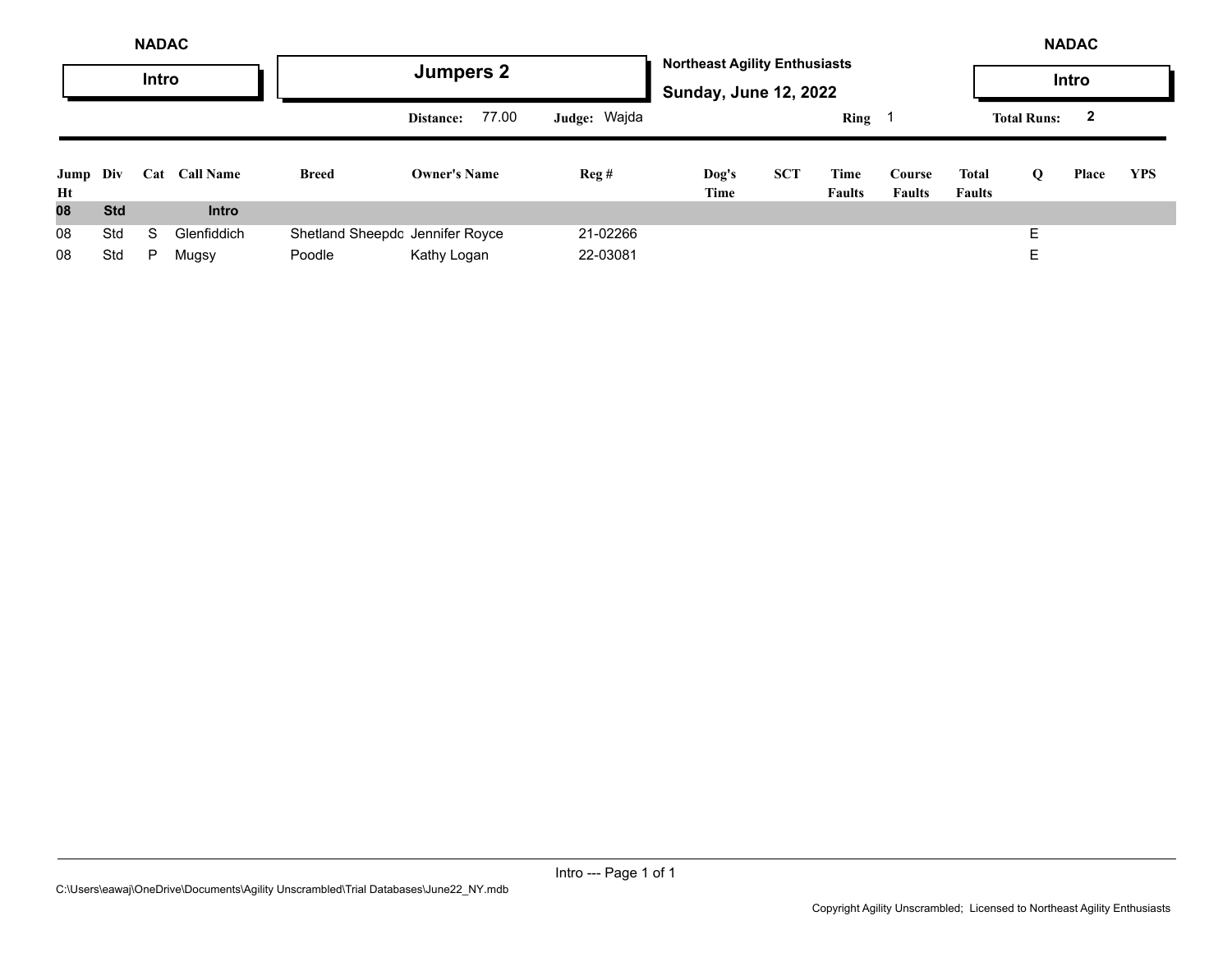| <b>NADAC</b>   |            |     |                  |                                 |                     |                |               |            |                                                                      |                         |                               | <b>NADAC</b>       |              |            |  |  |  |
|----------------|------------|-----|------------------|---------------------------------|---------------------|----------------|---------------|------------|----------------------------------------------------------------------|-------------------------|-------------------------------|--------------------|--------------|------------|--|--|--|
|                | Intro      |     |                  |                                 | <b>Jumpers 2</b>    |                |               |            | <b>Northeast Agility Enthusiasts</b><br><b>Sunday, June 12, 2022</b> |                         |                               |                    |              |            |  |  |  |
|                |            |     |                  |                                 | 77.00<br>Distance:  | Judge: Wajda   |               |            | $Ring \t1$                                                           |                         |                               | <b>Total Runs:</b> | $\mathbf{2}$ |            |  |  |  |
| Jump Div<br>Ht |            | Cat | <b>Call Name</b> | <b>Breed</b>                    | <b>Owner's Name</b> | $\text{Reg }#$ | Dog's<br>Time | <b>SCT</b> | Time<br><b>Faults</b>                                                | Course<br><b>Faults</b> | <b>Total</b><br><b>Faults</b> | Q                  | Place        | <b>YPS</b> |  |  |  |
| 08             | <b>Std</b> |     | <b>Intro</b>     |                                 |                     |                |               |            |                                                                      |                         |                               |                    |              |            |  |  |  |
| 08             | Std        | S   | Glenfiddich      | Shetland Sheepdc Jennifer Royce |                     | 21-02266       |               |            |                                                                      |                         |                               | F                  |              |            |  |  |  |
| 08             | Std        | P   | Mugsy            | Poodle                          | Kathy Logan         | 22-03081       |               |            |                                                                      |                         |                               | Е                  |              |            |  |  |  |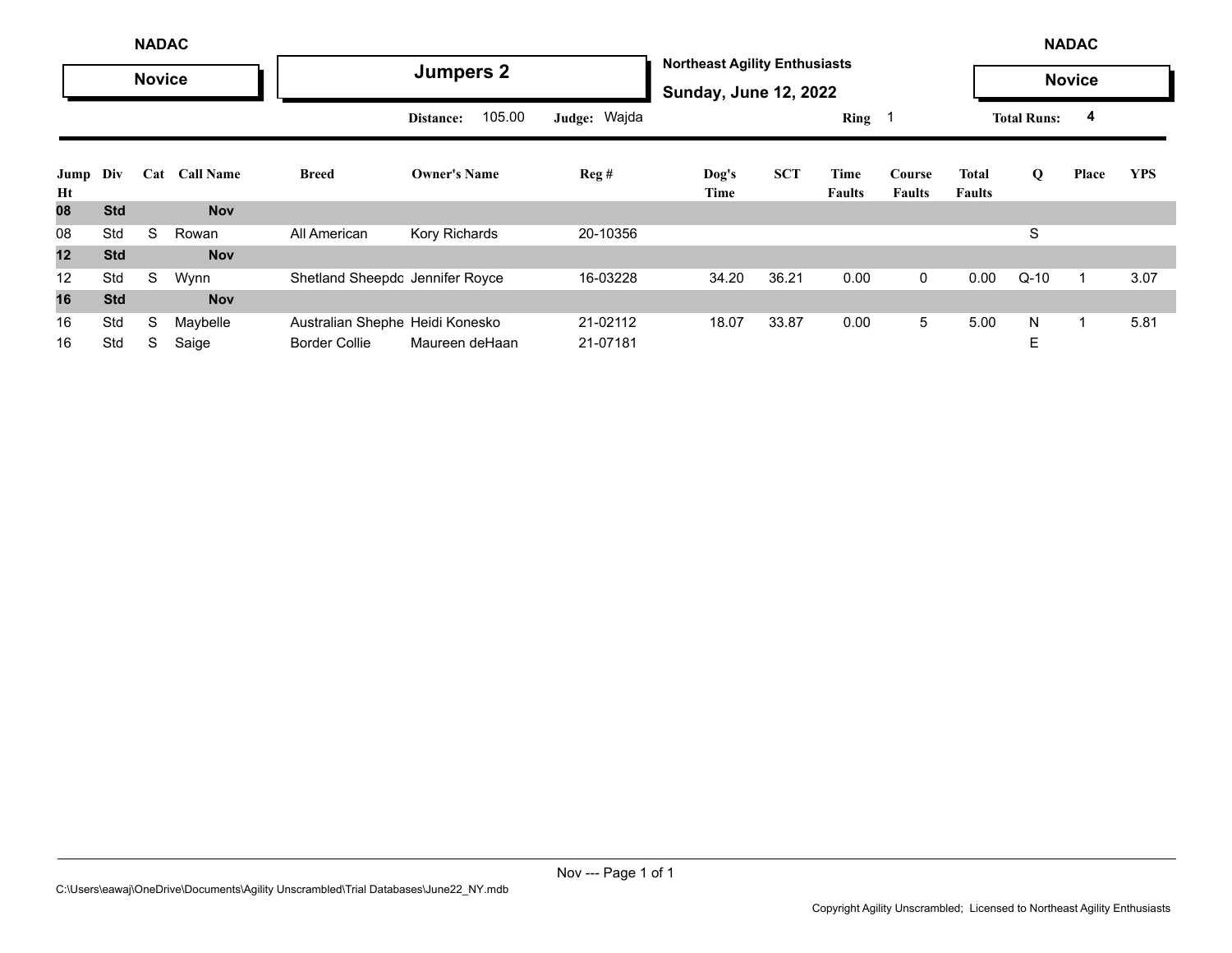|            | <b>NADAC</b> |               |                  |                                 |                     |              |               |                                                                      |                       |                         |                        |                    | <b>NADAC</b>  |            |  |  |  |
|------------|--------------|---------------|------------------|---------------------------------|---------------------|--------------|---------------|----------------------------------------------------------------------|-----------------------|-------------------------|------------------------|--------------------|---------------|------------|--|--|--|
|            |              | <b>Novice</b> |                  |                                 | <b>Jumpers 2</b>    |              |               | <b>Northeast Agility Enthusiasts</b><br><b>Sunday, June 12, 2022</b> |                       |                         |                        |                    | <b>Novice</b> |            |  |  |  |
|            |              |               |                  |                                 | 105.00<br>Distance: | Judge: Wajda |               |                                                                      | Ring                  |                         |                        | <b>Total Runs:</b> | 4             |            |  |  |  |
| Jump<br>Ht | Div          | Cat           | <b>Call Name</b> | <b>Breed</b>                    | <b>Owner's Name</b> | Reg#         | Dog's<br>Time | <b>SCT</b>                                                           | Time<br><b>Faults</b> | Course<br><b>Faults</b> | Total<br><b>Faults</b> | Q                  | Place         | <b>YPS</b> |  |  |  |
| 08         | <b>Std</b>   |               | <b>Nov</b>       |                                 |                     |              |               |                                                                      |                       |                         |                        |                    |               |            |  |  |  |
| 08         | Std          | S             | Rowan            | All American                    | Kory Richards       | 20-10356     |               |                                                                      |                       |                         |                        | S                  |               |            |  |  |  |
| 12         | <b>Std</b>   |               | <b>Nov</b>       |                                 |                     |              |               |                                                                      |                       |                         |                        |                    |               |            |  |  |  |
| 12         | Std          | S             | Wynn             | Shetland Sheepdc Jennifer Royce |                     | 16-03228     | 34.20         | 36.21                                                                | 0.00                  | $\mathbf{0}$            | 0.00                   | $Q-10$             | 1             | 3.07       |  |  |  |
| 16         | <b>Std</b>   |               | <b>Nov</b>       |                                 |                     |              |               |                                                                      |                       |                         |                        |                    |               |            |  |  |  |
| 16         | Std          | S             | Maybelle         | Australian Shephe Heidi Konesko |                     | 21-02112     | 18.07         | 33.87                                                                | 0.00                  | 5                       | 5.00                   | N                  | $\mathbf 1$   | 5.81       |  |  |  |
| 16         | Std          | S             | Saige            | <b>Border Collie</b>            | Maureen deHaan      | 21-07181     |               |                                                                      |                       |                         |                        | E                  |               |            |  |  |  |